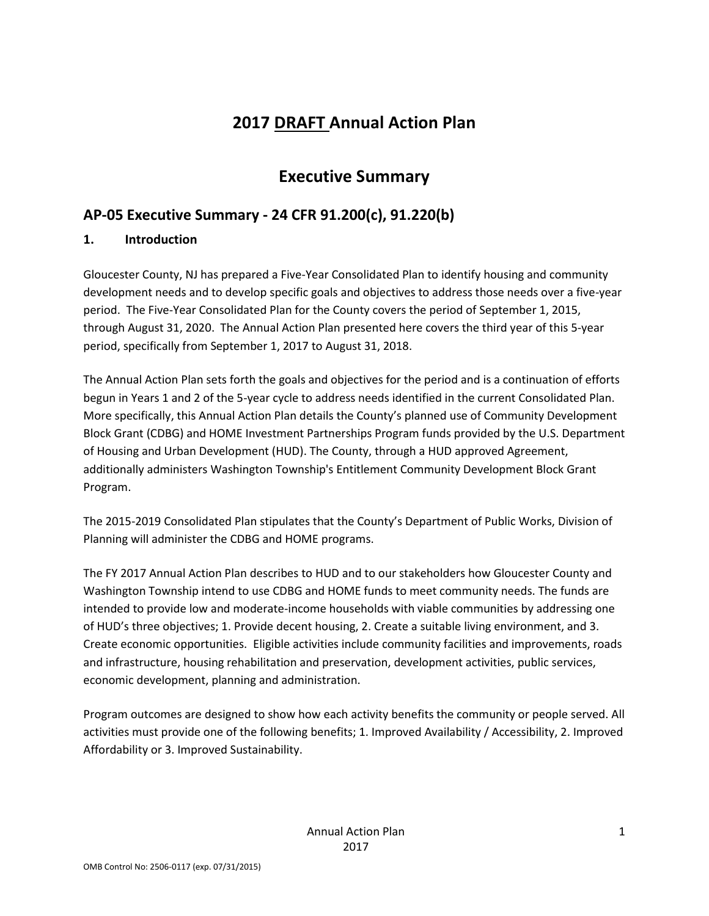# **2017 DRAFT Annual Action Plan**

# **Executive Summary**

# **AP-05 Executive Summary - 24 CFR 91.200(c), 91.220(b)**

# **1. Introduction**

Gloucester County, NJ has prepared a Five-Year Consolidated Plan to identify housing and community development needs and to develop specific goals and objectives to address those needs over a five-year period. The Five-Year Consolidated Plan for the County covers the period of September 1, 2015, through August 31, 2020. The Annual Action Plan presented here covers the third year of this 5-year period, specifically from September 1, 2017 to August 31, 2018.

The Annual Action Plan sets forth the goals and objectives for the period and is a continuation of efforts begun in Years 1 and 2 of the 5-year cycle to address needs identified in the current Consolidated Plan. More specifically, this Annual Action Plan details the County's planned use of Community Development Block Grant (CDBG) and HOME Investment Partnerships Program funds provided by the U.S. Department of Housing and Urban Development (HUD). The County, through a HUD approved Agreement, additionally administers Washington Township's Entitlement Community Development Block Grant Program.

The 2015-2019 Consolidated Plan stipulates that the County's Department of Public Works, Division of Planning will administer the CDBG and HOME programs.

The FY 2017 Annual Action Plan describes to HUD and to our stakeholders how Gloucester County and Washington Township intend to use CDBG and HOME funds to meet community needs. The funds are intended to provide low and moderate-income households with viable communities by addressing one of HUD's three objectives; 1. Provide decent housing, 2. Create a suitable living environment, and 3. Create economic opportunities. Eligible activities include community facilities and improvements, roads and infrastructure, housing rehabilitation and preservation, development activities, public services, economic development, planning and administration.

Program outcomes are designed to show how each activity benefits the community or people served. All activities must provide one of the following benefits; 1. Improved Availability / Accessibility, 2. Improved Affordability or 3. Improved Sustainability.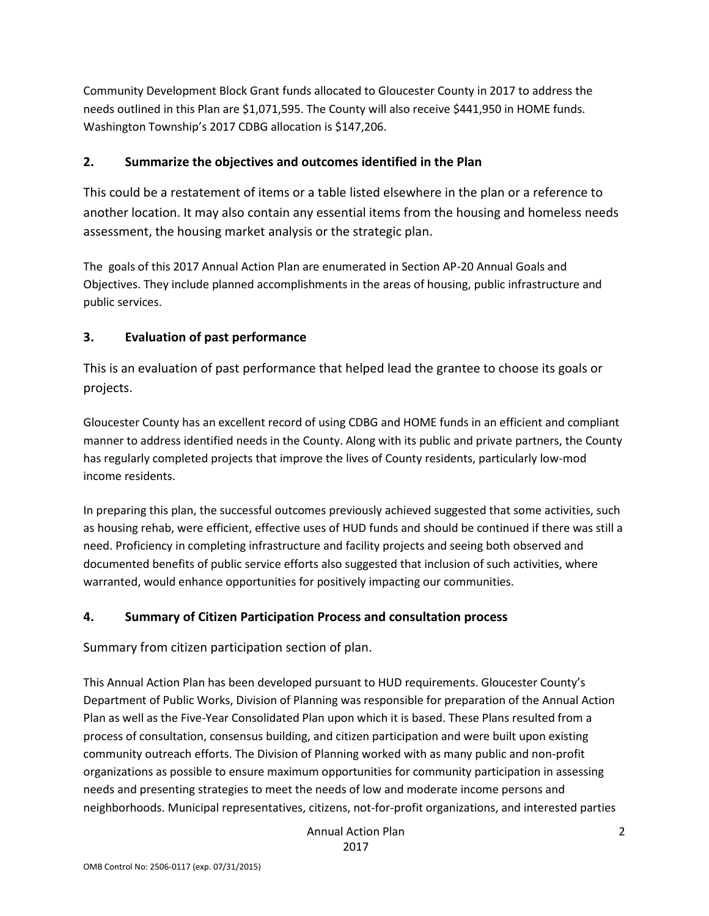Community Development Block Grant funds allocated to Gloucester County in 2017 to address the needs outlined in this Plan are \$1,071,595. The County will also receive \$441,950 in HOME funds. Washington Township's 2017 CDBG allocation is \$147,206.

### **2. Summarize the objectives and outcomes identified in the Plan**

This could be a restatement of items or a table listed elsewhere in the plan or a reference to another location. It may also contain any essential items from the housing and homeless needs assessment, the housing market analysis or the strategic plan.

The goals of this 2017 Annual Action Plan are enumerated in Section AP-20 Annual Goals and Objectives. They include planned accomplishments in the areas of housing, public infrastructure and public services.

### **3. Evaluation of past performance**

This is an evaluation of past performance that helped lead the grantee to choose its goals or projects.

Gloucester County has an excellent record of using CDBG and HOME funds in an efficient and compliant manner to address identified needs in the County. Along with its public and private partners, the County has regularly completed projects that improve the lives of County residents, particularly low-mod income residents.

In preparing this plan, the successful outcomes previously achieved suggested that some activities, such as housing rehab, were efficient, effective uses of HUD funds and should be continued if there was still a need. Proficiency in completing infrastructure and facility projects and seeing both observed and documented benefits of public service efforts also suggested that inclusion of such activities, where warranted, would enhance opportunities for positively impacting our communities.

#### **4. Summary of Citizen Participation Process and consultation process**

Summary from citizen participation section of plan.

This Annual Action Plan has been developed pursuant to HUD requirements. Gloucester County's Department of Public Works, Division of Planning was responsible for preparation of the Annual Action Plan as well as the Five-Year Consolidated Plan upon which it is based. These Plans resulted from a process of consultation, consensus building, and citizen participation and were built upon existing community outreach efforts. The Division of Planning worked with as many public and non-profit organizations as possible to ensure maximum opportunities for community participation in assessing needs and presenting strategies to meet the needs of low and moderate income persons and neighborhoods. Municipal representatives, citizens, not-for-profit organizations, and interested parties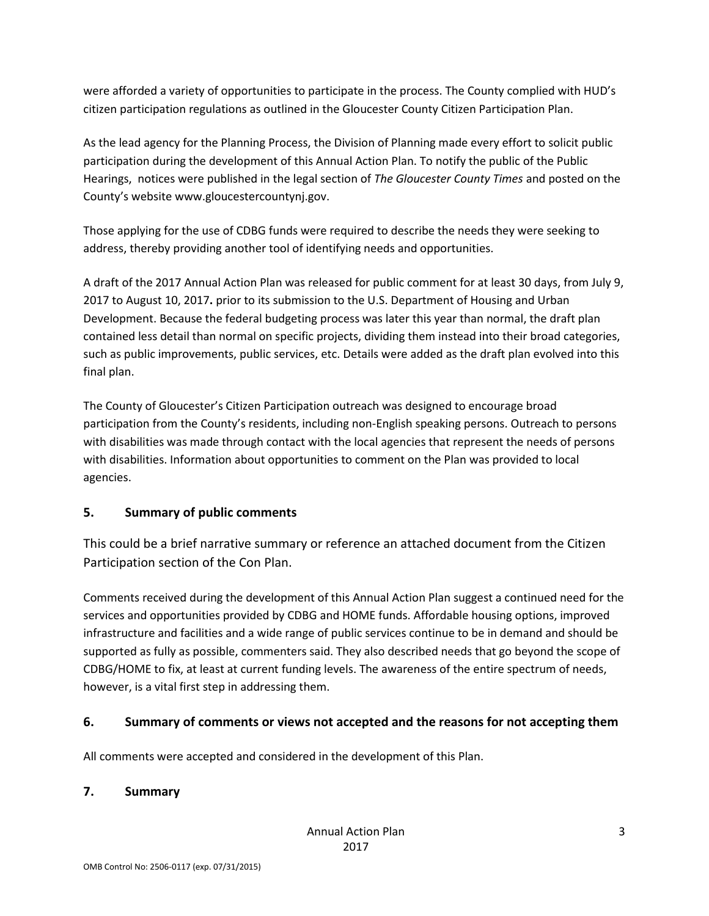were afforded a variety of opportunities to participate in the process. The County complied with HUD's citizen participation regulations as outlined in the Gloucester County Citizen Participation Plan.

As the lead agency for the Planning Process, the Division of Planning made every effort to solicit public participation during the development of this Annual Action Plan. To notify the public of the Public Hearings, notices were published in the legal section of *The Gloucester County Times* and posted on the County's website www.gloucestercountynj.gov.

Those applying for the use of CDBG funds were required to describe the needs they were seeking to address, thereby providing another tool of identifying needs and opportunities.

A draft of the 2017 Annual Action Plan was released for public comment for at least 30 days, from July 9, 2017 to August 10, 2017**.** prior to its submission to the U.S. Department of Housing and Urban Development. Because the federal budgeting process was later this year than normal, the draft plan contained less detail than normal on specific projects, dividing them instead into their broad categories, such as public improvements, public services, etc. Details were added as the draft plan evolved into this final plan.

The County of Gloucester's Citizen Participation outreach was designed to encourage broad participation from the County's residents, including non-English speaking persons. Outreach to persons with disabilities was made through contact with the local agencies that represent the needs of persons with disabilities. Information about opportunities to comment on the Plan was provided to local agencies.

# **5. Summary of public comments**

This could be a brief narrative summary or reference an attached document from the Citizen Participation section of the Con Plan.

Comments received during the development of this Annual Action Plan suggest a continued need for the services and opportunities provided by CDBG and HOME funds. Affordable housing options, improved infrastructure and facilities and a wide range of public services continue to be in demand and should be supported as fully as possible, commenters said. They also described needs that go beyond the scope of CDBG/HOME to fix, at least at current funding levels. The awareness of the entire spectrum of needs, however, is a vital first step in addressing them.

# **6. Summary of comments or views not accepted and the reasons for not accepting them**

All comments were accepted and considered in the development of this Plan.

#### **7. Summary**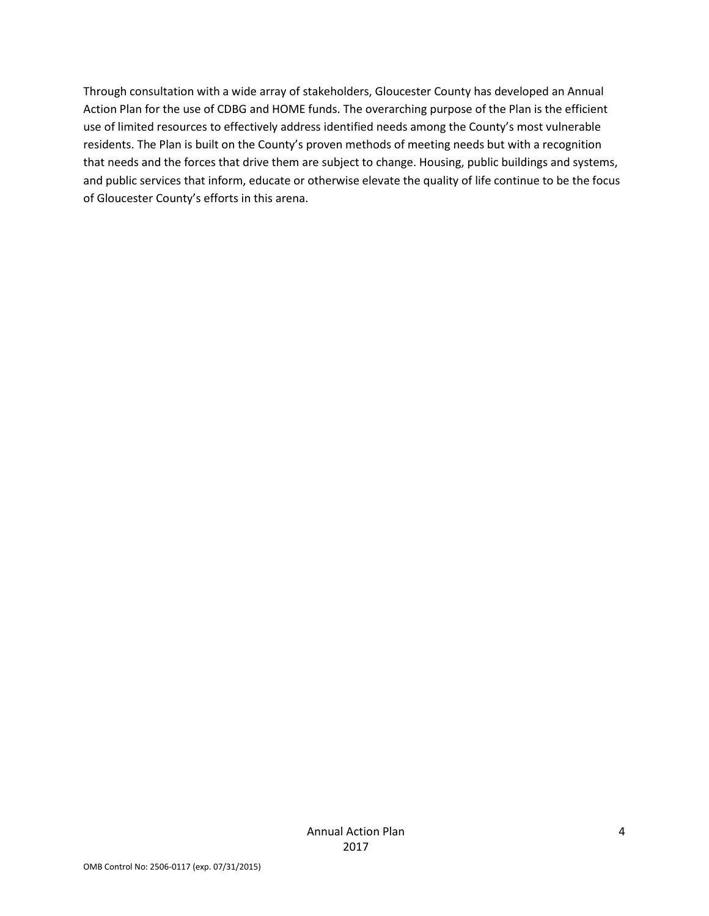Through consultation with a wide array of stakeholders, Gloucester County has developed an Annual Action Plan for the use of CDBG and HOME funds. The overarching purpose of the Plan is the efficient use of limited resources to effectively address identified needs among the County's most vulnerable residents. The Plan is built on the County's proven methods of meeting needs but with a recognition that needs and the forces that drive them are subject to change. Housing, public buildings and systems, and public services that inform, educate or otherwise elevate the quality of life continue to be the focus of Gloucester County's efforts in this arena.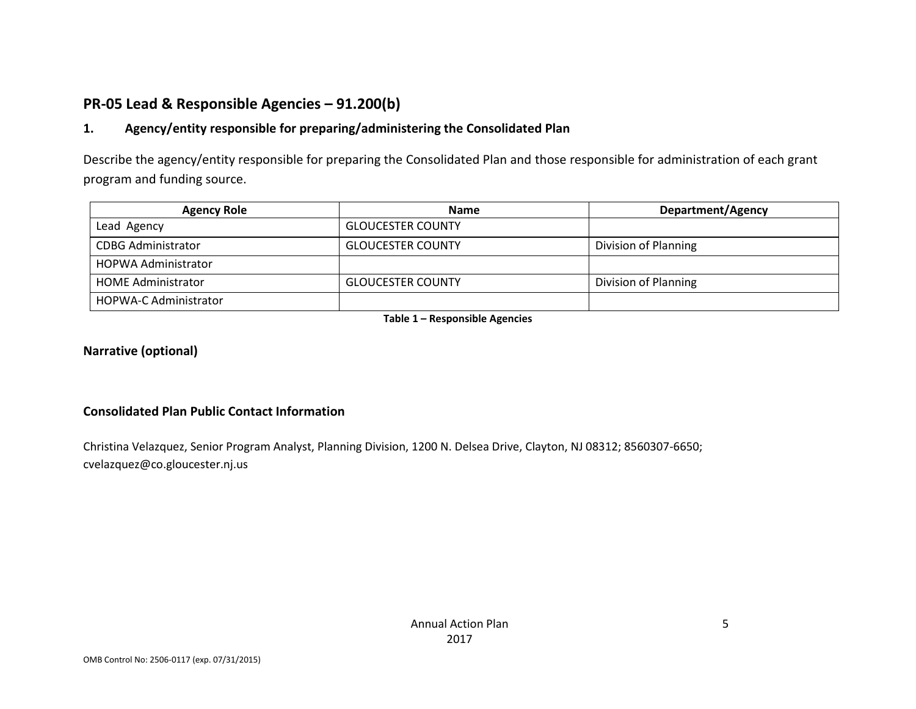# **PR-05 Lead & Responsible Agencies – 91.200(b)**

### **1. Agency/entity responsible for preparing/administering the Consolidated Plan**

Describe the agency/entity responsible for preparing the Consolidated Plan and those responsible for administration of each grant program and funding source.

| <b>Agency Role</b>           | <b>Name</b>              | Department/Agency    |
|------------------------------|--------------------------|----------------------|
| Lead Agency                  | <b>GLOUCESTER COUNTY</b> |                      |
| <b>CDBG Administrator</b>    | <b>GLOUCESTER COUNTY</b> | Division of Planning |
| HOPWA Administrator          |                          |                      |
| <b>HOME Administrator</b>    | <b>GLOUCESTER COUNTY</b> | Division of Planning |
| <b>HOPWA-C Administrator</b> |                          |                      |

**Table 1 – Responsible Agencies**

#### **Narrative (optional)**

#### **Consolidated Plan Public Contact Information**

Christina Velazquez, Senior Program Analyst, Planning Division, 1200 N. Delsea Drive, Clayton, NJ 08312; 8560307-6650; cvelazquez@co.gloucester.nj.us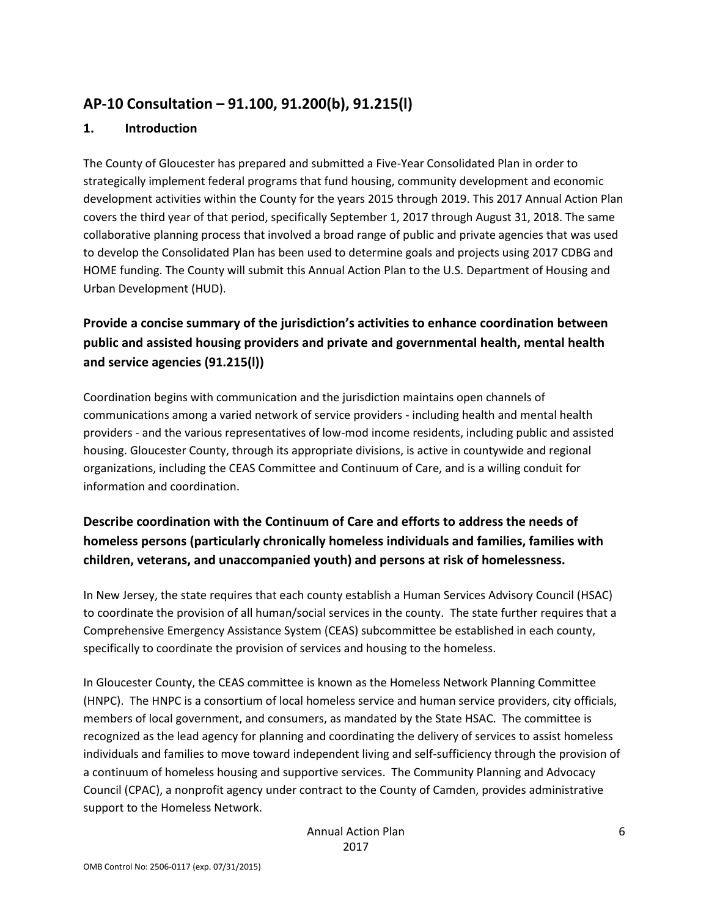# **AP-10 Consultation – 91.100, 91.200(b), 91.215(l)**

#### **1. Introduction**

The County of Gloucester has prepared and submitted a Five-Year Consolidated Plan in order to strategically implement federal programs that fund housing, community development and economic development activities within the County for the years 2015 through 2019. This 2017 Annual Action Plan covers the third year of that period, specifically September 1, 2017 through August 31, 2018. The same collaborative planning process that involved a broad range of public and private agencies that was used to develop the Consolidated Plan has been used to determine goals and projects using 2017 CDBG and HOME funding. The County will submit this Annual Action Plan to the U.S. Department of Housing and Urban Development (HUD).

# **Provide a concise summary of the jurisdiction's activities to enhance coordination between public and assisted housing providers and private and governmental health, mental health and service agencies (91.215(l))**

Coordination begins with communication and the jurisdiction maintains open channels of communications among a varied network of service providers - including health and mental health providers - and the various representatives of low-mod income residents, including public and assisted housing. Gloucester County, through its appropriate divisions, is active in countywide and regional organizations, including the CEAS Committee and Continuum of Care, and is a willing conduit for information and coordination.

# **Describe coordination with the Continuum of Care and efforts to address the needs of homeless persons (particularly chronically homeless individuals and families, families with children, veterans, and unaccompanied youth) and persons at risk of homelessness.**

In New Jersey, the state requires that each county establish a Human Services Advisory Council (HSAC) to coordinate the provision of all human/social services in the county. The state further requires that a Comprehensive Emergency Assistance System (CEAS) subcommittee be established in each county, specifically to coordinate the provision of services and housing to the homeless.

In Gloucester County, the CEAS committee is known as the Homeless Network Planning Committee (HNPC). The HNPC is a consortium of local homeless service and human service providers, city officials, members of local government, and consumers, as mandated by the State HSAC. The committee is recognized as the lead agency for planning and coordinating the delivery of services to assist homeless individuals and families to move toward independent living and self-sufficiency through the provision of a continuum of homeless housing and supportive services. The Community Planning and Advocacy Council (CPAC), a nonprofit agency under contract to the County of Camden, provides administrative support to the Homeless Network.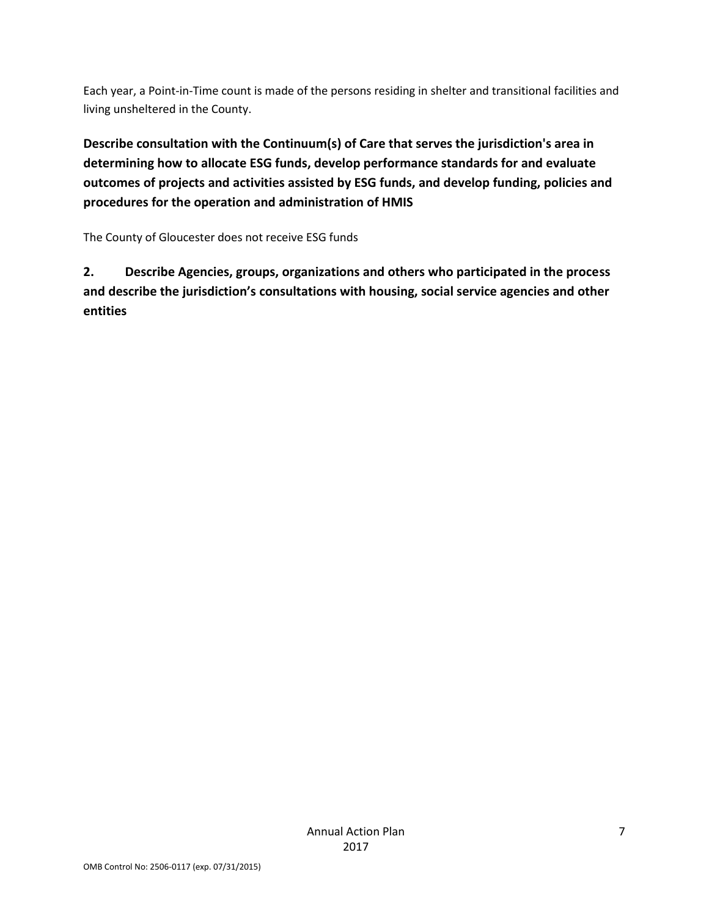Each year, a Point-in-Time count is made of the persons residing in shelter and transitional facilities and living unsheltered in the County.

**Describe consultation with the Continuum(s) of Care that serves the jurisdiction's area in determining how to allocate ESG funds, develop performance standards for and evaluate outcomes of projects and activities assisted by ESG funds, and develop funding, policies and procedures for the operation and administration of HMIS**

The County of Gloucester does not receive ESG funds

**2. Describe Agencies, groups, organizations and others who participated in the process and describe the jurisdiction's consultations with housing, social service agencies and other entities**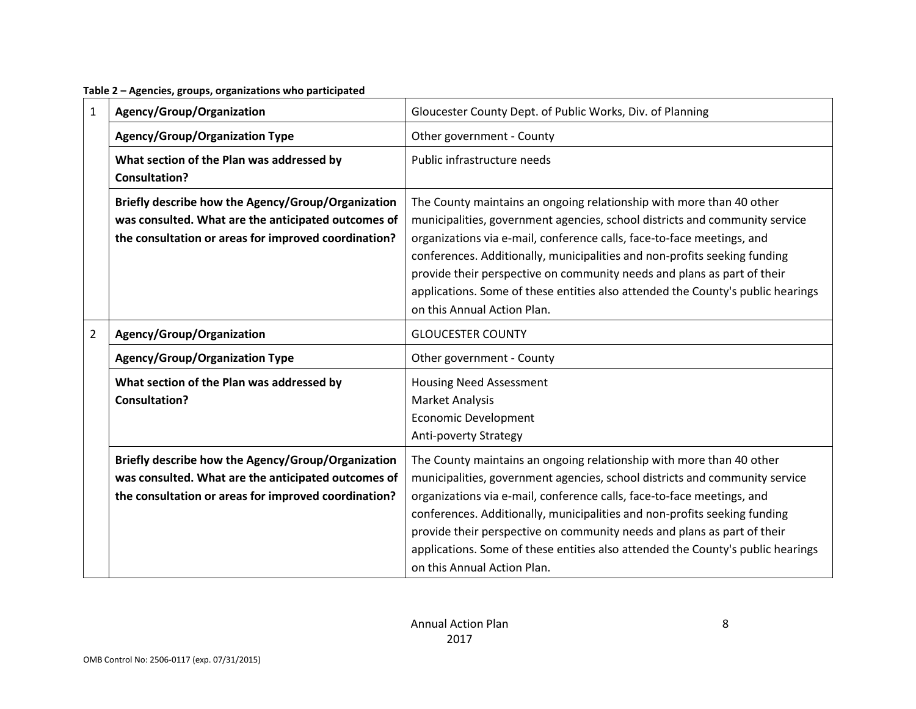**Table 2 – Agencies, groups, organizations who participated**

| 1              | Agency/Group/Organization                                                                                                                                         | Gloucester County Dept. of Public Works, Div. of Planning                                                                                                                                                                                                                                                                                                                                                                                                                                               |
|----------------|-------------------------------------------------------------------------------------------------------------------------------------------------------------------|---------------------------------------------------------------------------------------------------------------------------------------------------------------------------------------------------------------------------------------------------------------------------------------------------------------------------------------------------------------------------------------------------------------------------------------------------------------------------------------------------------|
|                | <b>Agency/Group/Organization Type</b>                                                                                                                             | Other government - County                                                                                                                                                                                                                                                                                                                                                                                                                                                                               |
|                | What section of the Plan was addressed by<br><b>Consultation?</b>                                                                                                 | Public infrastructure needs                                                                                                                                                                                                                                                                                                                                                                                                                                                                             |
|                | Briefly describe how the Agency/Group/Organization<br>was consulted. What are the anticipated outcomes of<br>the consultation or areas for improved coordination? | The County maintains an ongoing relationship with more than 40 other<br>municipalities, government agencies, school districts and community service<br>organizations via e-mail, conference calls, face-to-face meetings, and<br>conferences. Additionally, municipalities and non-profits seeking funding<br>provide their perspective on community needs and plans as part of their<br>applications. Some of these entities also attended the County's public hearings<br>on this Annual Action Plan. |
| $\overline{2}$ | Agency/Group/Organization                                                                                                                                         | <b>GLOUCESTER COUNTY</b>                                                                                                                                                                                                                                                                                                                                                                                                                                                                                |
|                | <b>Agency/Group/Organization Type</b>                                                                                                                             | Other government - County                                                                                                                                                                                                                                                                                                                                                                                                                                                                               |
|                | What section of the Plan was addressed by<br><b>Consultation?</b>                                                                                                 | <b>Housing Need Assessment</b><br><b>Market Analysis</b><br><b>Economic Development</b><br>Anti-poverty Strategy                                                                                                                                                                                                                                                                                                                                                                                        |
|                | Briefly describe how the Agency/Group/Organization<br>was consulted. What are the anticipated outcomes of<br>the consultation or areas for improved coordination? | The County maintains an ongoing relationship with more than 40 other<br>municipalities, government agencies, school districts and community service<br>organizations via e-mail, conference calls, face-to-face meetings, and<br>conferences. Additionally, municipalities and non-profits seeking funding<br>provide their perspective on community needs and plans as part of their<br>applications. Some of these entities also attended the County's public hearings<br>on this Annual Action Plan. |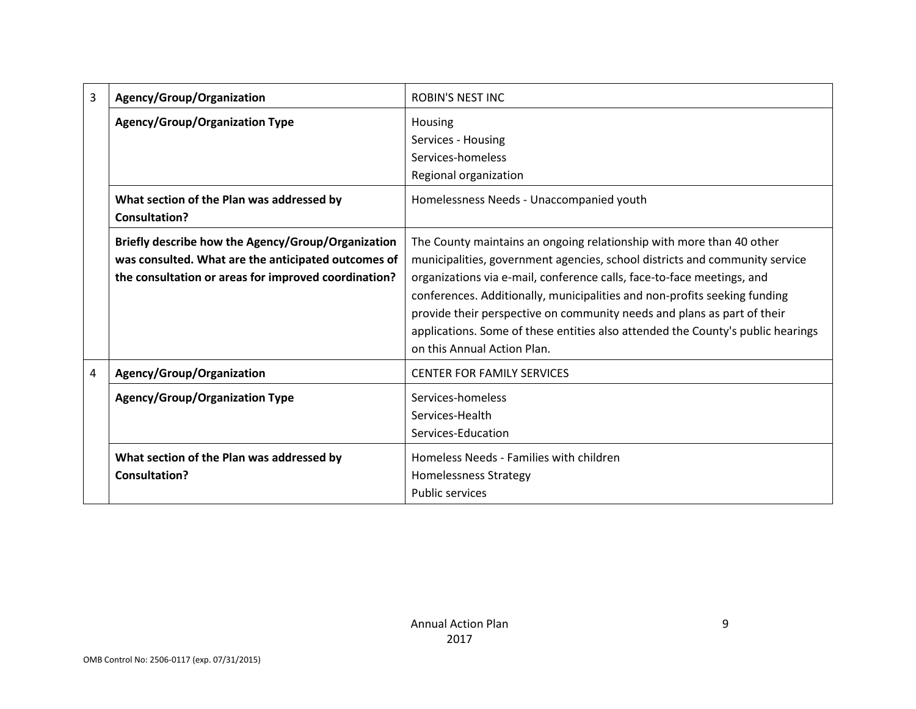| 3 | Agency/Group/Organization                                                                                                                                         | <b>ROBIN'S NEST INC</b>                                                                                                                                                                                                                                                                                                                                                                                                                                                                                 |
|---|-------------------------------------------------------------------------------------------------------------------------------------------------------------------|---------------------------------------------------------------------------------------------------------------------------------------------------------------------------------------------------------------------------------------------------------------------------------------------------------------------------------------------------------------------------------------------------------------------------------------------------------------------------------------------------------|
|   | <b>Agency/Group/Organization Type</b>                                                                                                                             | Housing<br>Services - Housing<br>Services-homeless<br>Regional organization                                                                                                                                                                                                                                                                                                                                                                                                                             |
|   | What section of the Plan was addressed by<br>Consultation?                                                                                                        | Homelessness Needs - Unaccompanied youth                                                                                                                                                                                                                                                                                                                                                                                                                                                                |
|   | Briefly describe how the Agency/Group/Organization<br>was consulted. What are the anticipated outcomes of<br>the consultation or areas for improved coordination? | The County maintains an ongoing relationship with more than 40 other<br>municipalities, government agencies, school districts and community service<br>organizations via e-mail, conference calls, face-to-face meetings, and<br>conferences. Additionally, municipalities and non-profits seeking funding<br>provide their perspective on community needs and plans as part of their<br>applications. Some of these entities also attended the County's public hearings<br>on this Annual Action Plan. |
| 4 | Agency/Group/Organization                                                                                                                                         | <b>CENTER FOR FAMILY SERVICES</b>                                                                                                                                                                                                                                                                                                                                                                                                                                                                       |
|   | <b>Agency/Group/Organization Type</b>                                                                                                                             | Services-homeless<br>Services-Health<br>Services-Education                                                                                                                                                                                                                                                                                                                                                                                                                                              |
|   | What section of the Plan was addressed by<br>Consultation?                                                                                                        | Homeless Needs - Families with children<br><b>Homelessness Strategy</b><br><b>Public services</b>                                                                                                                                                                                                                                                                                                                                                                                                       |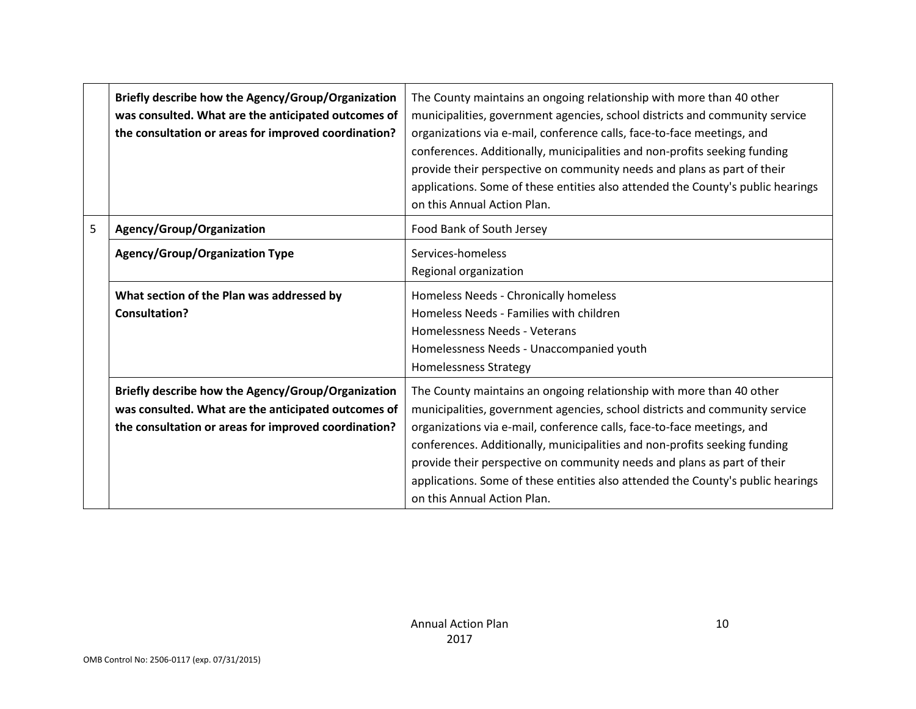|   | Briefly describe how the Agency/Group/Organization<br>was consulted. What are the anticipated outcomes of<br>the consultation or areas for improved coordination? | The County maintains an ongoing relationship with more than 40 other<br>municipalities, government agencies, school districts and community service<br>organizations via e-mail, conference calls, face-to-face meetings, and<br>conferences. Additionally, municipalities and non-profits seeking funding<br>provide their perspective on community needs and plans as part of their<br>applications. Some of these entities also attended the County's public hearings<br>on this Annual Action Plan. |
|---|-------------------------------------------------------------------------------------------------------------------------------------------------------------------|---------------------------------------------------------------------------------------------------------------------------------------------------------------------------------------------------------------------------------------------------------------------------------------------------------------------------------------------------------------------------------------------------------------------------------------------------------------------------------------------------------|
| 5 | Agency/Group/Organization                                                                                                                                         | Food Bank of South Jersey                                                                                                                                                                                                                                                                                                                                                                                                                                                                               |
|   | <b>Agency/Group/Organization Type</b>                                                                                                                             | Services-homeless<br>Regional organization                                                                                                                                                                                                                                                                                                                                                                                                                                                              |
|   | What section of the Plan was addressed by<br>Consultation?                                                                                                        | Homeless Needs - Chronically homeless<br>Homeless Needs - Families with children<br>Homelessness Needs - Veterans<br>Homelessness Needs - Unaccompanied youth<br><b>Homelessness Strategy</b>                                                                                                                                                                                                                                                                                                           |
|   | Briefly describe how the Agency/Group/Organization<br>was consulted. What are the anticipated outcomes of<br>the consultation or areas for improved coordination? | The County maintains an ongoing relationship with more than 40 other<br>municipalities, government agencies, school districts and community service<br>organizations via e-mail, conference calls, face-to-face meetings, and<br>conferences. Additionally, municipalities and non-profits seeking funding<br>provide their perspective on community needs and plans as part of their<br>applications. Some of these entities also attended the County's public hearings<br>on this Annual Action Plan. |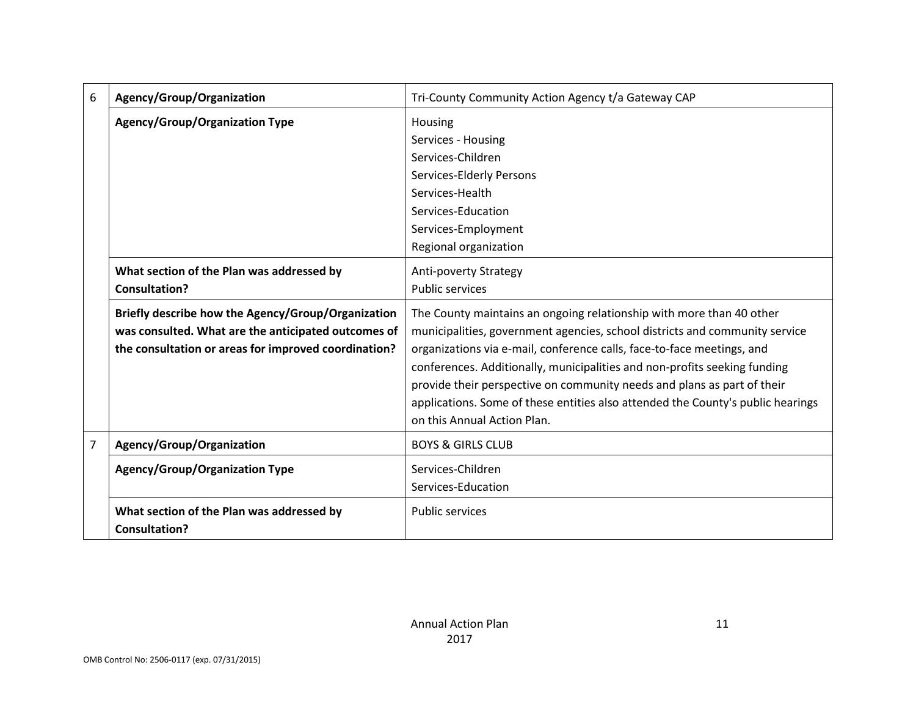| 6              | Agency/Group/Organization                                                                                                                                         | Tri-County Community Action Agency t/a Gateway CAP                                                                                                                                                                                                                                                                                                                                                                                                                                                      |
|----------------|-------------------------------------------------------------------------------------------------------------------------------------------------------------------|---------------------------------------------------------------------------------------------------------------------------------------------------------------------------------------------------------------------------------------------------------------------------------------------------------------------------------------------------------------------------------------------------------------------------------------------------------------------------------------------------------|
|                | <b>Agency/Group/Organization Type</b>                                                                                                                             | Housing<br>Services - Housing<br>Services-Children                                                                                                                                                                                                                                                                                                                                                                                                                                                      |
|                |                                                                                                                                                                   | Services-Elderly Persons<br>Services-Health                                                                                                                                                                                                                                                                                                                                                                                                                                                             |
|                |                                                                                                                                                                   | Services-Education<br>Services-Employment<br>Regional organization                                                                                                                                                                                                                                                                                                                                                                                                                                      |
|                | What section of the Plan was addressed by<br><b>Consultation?</b>                                                                                                 | Anti-poverty Strategy<br><b>Public services</b>                                                                                                                                                                                                                                                                                                                                                                                                                                                         |
|                | Briefly describe how the Agency/Group/Organization<br>was consulted. What are the anticipated outcomes of<br>the consultation or areas for improved coordination? | The County maintains an ongoing relationship with more than 40 other<br>municipalities, government agencies, school districts and community service<br>organizations via e-mail, conference calls, face-to-face meetings, and<br>conferences. Additionally, municipalities and non-profits seeking funding<br>provide their perspective on community needs and plans as part of their<br>applications. Some of these entities also attended the County's public hearings<br>on this Annual Action Plan. |
| $\overline{7}$ | Agency/Group/Organization                                                                                                                                         | <b>BOYS &amp; GIRLS CLUB</b>                                                                                                                                                                                                                                                                                                                                                                                                                                                                            |
|                | <b>Agency/Group/Organization Type</b>                                                                                                                             | Services-Children<br>Services-Education                                                                                                                                                                                                                                                                                                                                                                                                                                                                 |
|                | What section of the Plan was addressed by<br><b>Consultation?</b>                                                                                                 | <b>Public services</b>                                                                                                                                                                                                                                                                                                                                                                                                                                                                                  |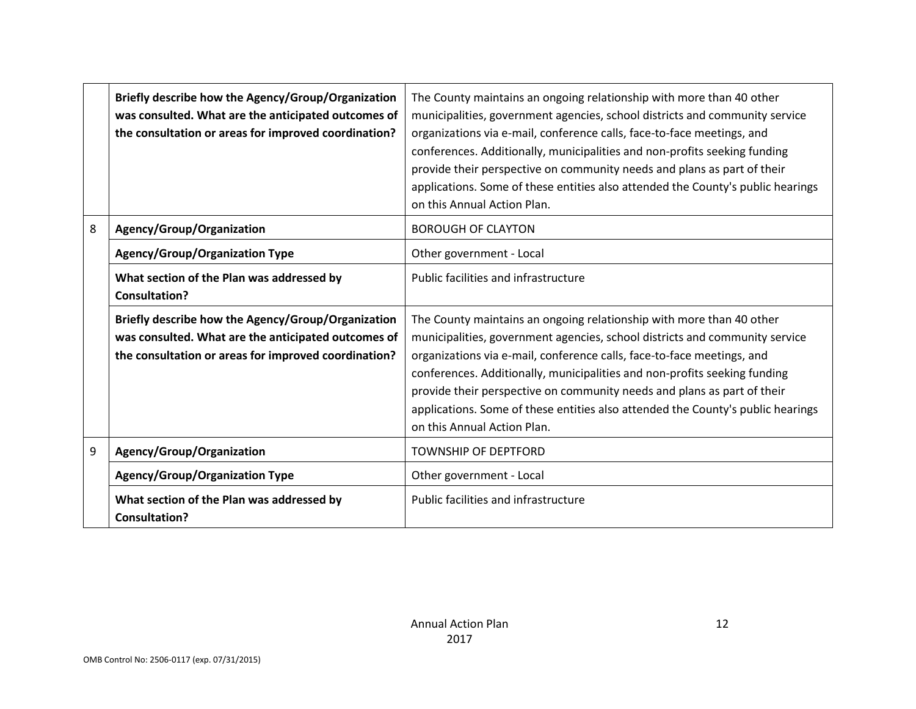|   | Briefly describe how the Agency/Group/Organization<br>was consulted. What are the anticipated outcomes of<br>the consultation or areas for improved coordination? | The County maintains an ongoing relationship with more than 40 other<br>municipalities, government agencies, school districts and community service<br>organizations via e-mail, conference calls, face-to-face meetings, and<br>conferences. Additionally, municipalities and non-profits seeking funding<br>provide their perspective on community needs and plans as part of their<br>applications. Some of these entities also attended the County's public hearings<br>on this Annual Action Plan. |
|---|-------------------------------------------------------------------------------------------------------------------------------------------------------------------|---------------------------------------------------------------------------------------------------------------------------------------------------------------------------------------------------------------------------------------------------------------------------------------------------------------------------------------------------------------------------------------------------------------------------------------------------------------------------------------------------------|
| 8 | Agency/Group/Organization                                                                                                                                         | <b>BOROUGH OF CLAYTON</b>                                                                                                                                                                                                                                                                                                                                                                                                                                                                               |
|   | <b>Agency/Group/Organization Type</b>                                                                                                                             | Other government - Local                                                                                                                                                                                                                                                                                                                                                                                                                                                                                |
|   | What section of the Plan was addressed by<br><b>Consultation?</b>                                                                                                 | <b>Public facilities and infrastructure</b>                                                                                                                                                                                                                                                                                                                                                                                                                                                             |
|   | Briefly describe how the Agency/Group/Organization<br>was consulted. What are the anticipated outcomes of<br>the consultation or areas for improved coordination? | The County maintains an ongoing relationship with more than 40 other<br>municipalities, government agencies, school districts and community service<br>organizations via e-mail, conference calls, face-to-face meetings, and<br>conferences. Additionally, municipalities and non-profits seeking funding<br>provide their perspective on community needs and plans as part of their<br>applications. Some of these entities also attended the County's public hearings<br>on this Annual Action Plan. |
| 9 | Agency/Group/Organization                                                                                                                                         | <b>TOWNSHIP OF DEPTFORD</b>                                                                                                                                                                                                                                                                                                                                                                                                                                                                             |
|   | <b>Agency/Group/Organization Type</b>                                                                                                                             | Other government - Local                                                                                                                                                                                                                                                                                                                                                                                                                                                                                |
|   | What section of the Plan was addressed by<br><b>Consultation?</b>                                                                                                 | Public facilities and infrastructure                                                                                                                                                                                                                                                                                                                                                                                                                                                                    |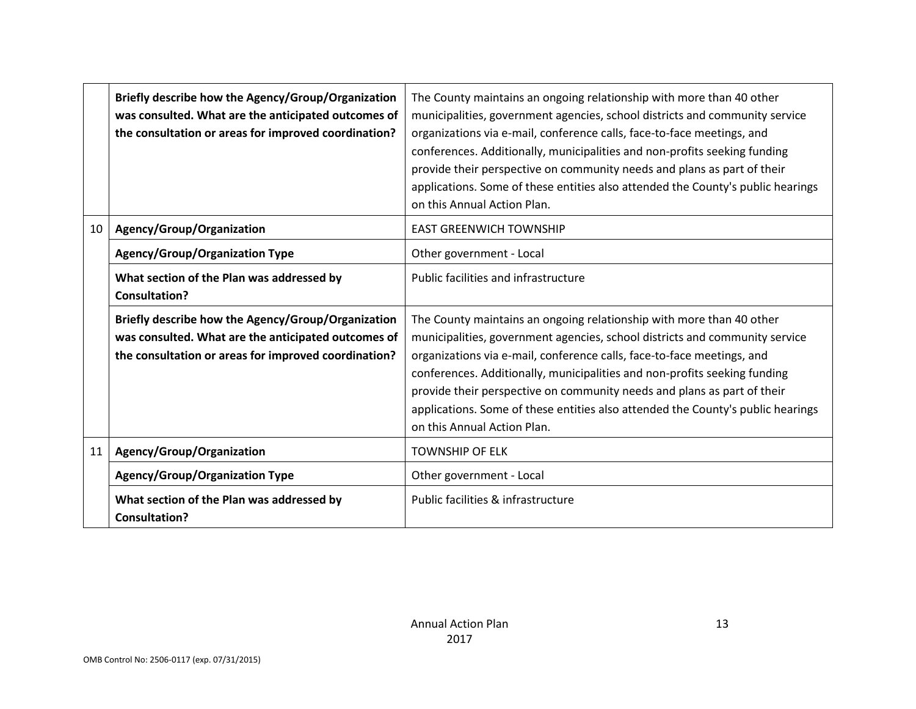|    | Briefly describe how the Agency/Group/Organization<br>was consulted. What are the anticipated outcomes of<br>the consultation or areas for improved coordination? | The County maintains an ongoing relationship with more than 40 other<br>municipalities, government agencies, school districts and community service<br>organizations via e-mail, conference calls, face-to-face meetings, and<br>conferences. Additionally, municipalities and non-profits seeking funding<br>provide their perspective on community needs and plans as part of their<br>applications. Some of these entities also attended the County's public hearings<br>on this Annual Action Plan. |
|----|-------------------------------------------------------------------------------------------------------------------------------------------------------------------|---------------------------------------------------------------------------------------------------------------------------------------------------------------------------------------------------------------------------------------------------------------------------------------------------------------------------------------------------------------------------------------------------------------------------------------------------------------------------------------------------------|
| 10 | Agency/Group/Organization                                                                                                                                         | <b>EAST GREENWICH TOWNSHIP</b>                                                                                                                                                                                                                                                                                                                                                                                                                                                                          |
|    | <b>Agency/Group/Organization Type</b>                                                                                                                             | Other government - Local                                                                                                                                                                                                                                                                                                                                                                                                                                                                                |
|    | What section of the Plan was addressed by<br><b>Consultation?</b>                                                                                                 | <b>Public facilities and infrastructure</b>                                                                                                                                                                                                                                                                                                                                                                                                                                                             |
|    | Briefly describe how the Agency/Group/Organization<br>was consulted. What are the anticipated outcomes of<br>the consultation or areas for improved coordination? | The County maintains an ongoing relationship with more than 40 other<br>municipalities, government agencies, school districts and community service<br>organizations via e-mail, conference calls, face-to-face meetings, and<br>conferences. Additionally, municipalities and non-profits seeking funding<br>provide their perspective on community needs and plans as part of their<br>applications. Some of these entities also attended the County's public hearings<br>on this Annual Action Plan. |
| 11 | Agency/Group/Organization                                                                                                                                         | <b>TOWNSHIP OF ELK</b>                                                                                                                                                                                                                                                                                                                                                                                                                                                                                  |
|    | <b>Agency/Group/Organization Type</b>                                                                                                                             | Other government - Local                                                                                                                                                                                                                                                                                                                                                                                                                                                                                |
|    | What section of the Plan was addressed by<br><b>Consultation?</b>                                                                                                 | Public facilities & infrastructure                                                                                                                                                                                                                                                                                                                                                                                                                                                                      |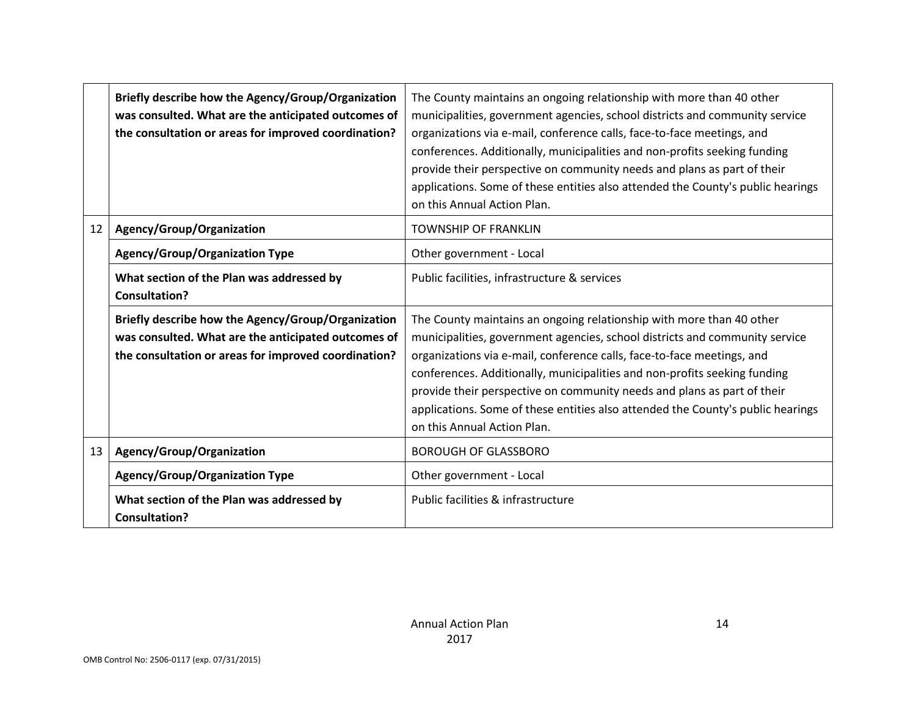|    | Briefly describe how the Agency/Group/Organization<br>was consulted. What are the anticipated outcomes of<br>the consultation or areas for improved coordination? | The County maintains an ongoing relationship with more than 40 other<br>municipalities, government agencies, school districts and community service<br>organizations via e-mail, conference calls, face-to-face meetings, and<br>conferences. Additionally, municipalities and non-profits seeking funding<br>provide their perspective on community needs and plans as part of their<br>applications. Some of these entities also attended the County's public hearings<br>on this Annual Action Plan. |
|----|-------------------------------------------------------------------------------------------------------------------------------------------------------------------|---------------------------------------------------------------------------------------------------------------------------------------------------------------------------------------------------------------------------------------------------------------------------------------------------------------------------------------------------------------------------------------------------------------------------------------------------------------------------------------------------------|
| 12 | Agency/Group/Organization                                                                                                                                         | <b>TOWNSHIP OF FRANKLIN</b>                                                                                                                                                                                                                                                                                                                                                                                                                                                                             |
|    | <b>Agency/Group/Organization Type</b>                                                                                                                             | Other government - Local                                                                                                                                                                                                                                                                                                                                                                                                                                                                                |
|    | What section of the Plan was addressed by<br><b>Consultation?</b>                                                                                                 | Public facilities, infrastructure & services                                                                                                                                                                                                                                                                                                                                                                                                                                                            |
|    | Briefly describe how the Agency/Group/Organization<br>was consulted. What are the anticipated outcomes of<br>the consultation or areas for improved coordination? | The County maintains an ongoing relationship with more than 40 other<br>municipalities, government agencies, school districts and community service<br>organizations via e-mail, conference calls, face-to-face meetings, and<br>conferences. Additionally, municipalities and non-profits seeking funding<br>provide their perspective on community needs and plans as part of their<br>applications. Some of these entities also attended the County's public hearings<br>on this Annual Action Plan. |
| 13 | Agency/Group/Organization                                                                                                                                         | <b>BOROUGH OF GLASSBORO</b>                                                                                                                                                                                                                                                                                                                                                                                                                                                                             |
|    | <b>Agency/Group/Organization Type</b>                                                                                                                             | Other government - Local                                                                                                                                                                                                                                                                                                                                                                                                                                                                                |
|    | What section of the Plan was addressed by<br><b>Consultation?</b>                                                                                                 | Public facilities & infrastructure                                                                                                                                                                                                                                                                                                                                                                                                                                                                      |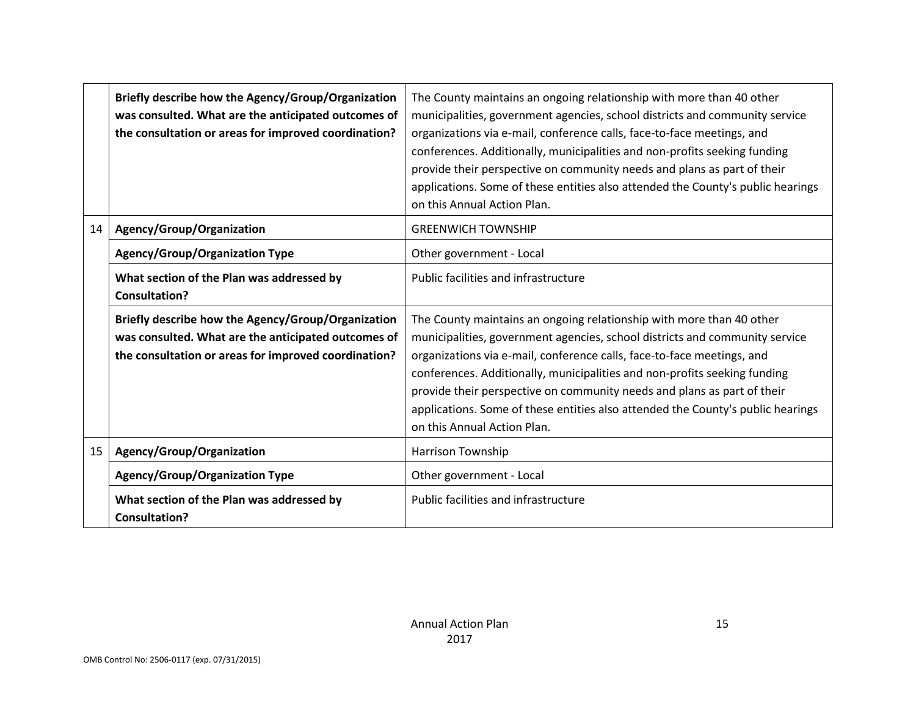|    | Briefly describe how the Agency/Group/Organization<br>was consulted. What are the anticipated outcomes of<br>the consultation or areas for improved coordination? | The County maintains an ongoing relationship with more than 40 other<br>municipalities, government agencies, school districts and community service<br>organizations via e-mail, conference calls, face-to-face meetings, and<br>conferences. Additionally, municipalities and non-profits seeking funding<br>provide their perspective on community needs and plans as part of their<br>applications. Some of these entities also attended the County's public hearings<br>on this Annual Action Plan. |
|----|-------------------------------------------------------------------------------------------------------------------------------------------------------------------|---------------------------------------------------------------------------------------------------------------------------------------------------------------------------------------------------------------------------------------------------------------------------------------------------------------------------------------------------------------------------------------------------------------------------------------------------------------------------------------------------------|
| 14 | Agency/Group/Organization                                                                                                                                         | <b>GREENWICH TOWNSHIP</b>                                                                                                                                                                                                                                                                                                                                                                                                                                                                               |
|    | <b>Agency/Group/Organization Type</b>                                                                                                                             | Other government - Local                                                                                                                                                                                                                                                                                                                                                                                                                                                                                |
|    | What section of the Plan was addressed by<br><b>Consultation?</b>                                                                                                 | Public facilities and infrastructure                                                                                                                                                                                                                                                                                                                                                                                                                                                                    |
|    | Briefly describe how the Agency/Group/Organization<br>was consulted. What are the anticipated outcomes of<br>the consultation or areas for improved coordination? | The County maintains an ongoing relationship with more than 40 other<br>municipalities, government agencies, school districts and community service<br>organizations via e-mail, conference calls, face-to-face meetings, and<br>conferences. Additionally, municipalities and non-profits seeking funding<br>provide their perspective on community needs and plans as part of their<br>applications. Some of these entities also attended the County's public hearings<br>on this Annual Action Plan. |
| 15 | Agency/Group/Organization                                                                                                                                         | <b>Harrison Township</b>                                                                                                                                                                                                                                                                                                                                                                                                                                                                                |
|    | <b>Agency/Group/Organization Type</b>                                                                                                                             | Other government - Local                                                                                                                                                                                                                                                                                                                                                                                                                                                                                |
|    | What section of the Plan was addressed by<br><b>Consultation?</b>                                                                                                 | Public facilities and infrastructure                                                                                                                                                                                                                                                                                                                                                                                                                                                                    |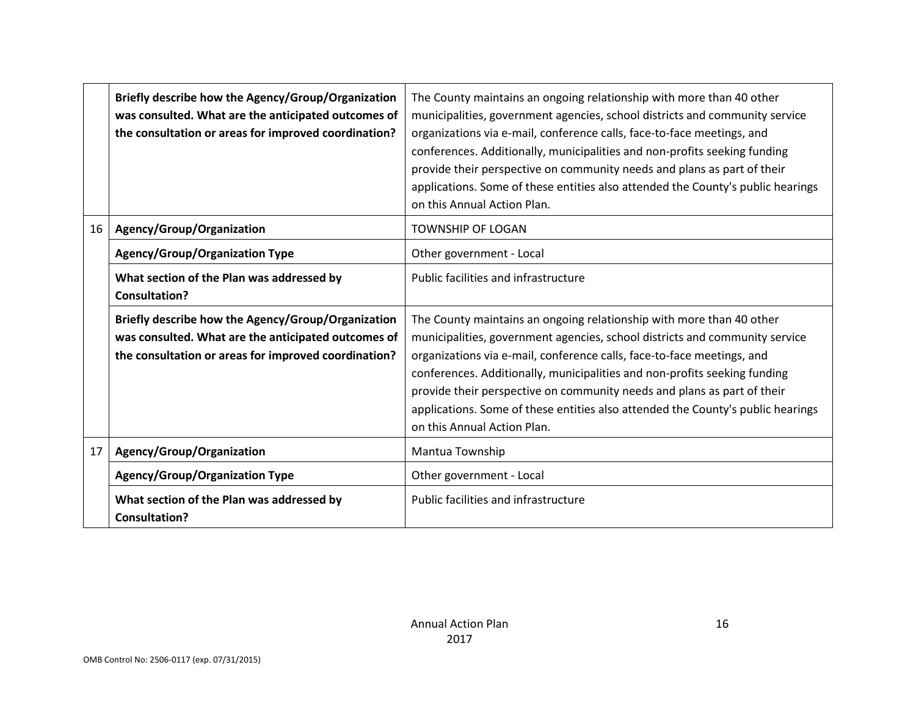|    | Briefly describe how the Agency/Group/Organization<br>was consulted. What are the anticipated outcomes of<br>the consultation or areas for improved coordination? | The County maintains an ongoing relationship with more than 40 other<br>municipalities, government agencies, school districts and community service<br>organizations via e-mail, conference calls, face-to-face meetings, and<br>conferences. Additionally, municipalities and non-profits seeking funding<br>provide their perspective on community needs and plans as part of their<br>applications. Some of these entities also attended the County's public hearings<br>on this Annual Action Plan. |
|----|-------------------------------------------------------------------------------------------------------------------------------------------------------------------|---------------------------------------------------------------------------------------------------------------------------------------------------------------------------------------------------------------------------------------------------------------------------------------------------------------------------------------------------------------------------------------------------------------------------------------------------------------------------------------------------------|
| 16 | Agency/Group/Organization                                                                                                                                         | <b>TOWNSHIP OF LOGAN</b>                                                                                                                                                                                                                                                                                                                                                                                                                                                                                |
|    | <b>Agency/Group/Organization Type</b>                                                                                                                             | Other government - Local                                                                                                                                                                                                                                                                                                                                                                                                                                                                                |
|    | What section of the Plan was addressed by<br><b>Consultation?</b>                                                                                                 | Public facilities and infrastructure                                                                                                                                                                                                                                                                                                                                                                                                                                                                    |
|    | Briefly describe how the Agency/Group/Organization<br>was consulted. What are the anticipated outcomes of<br>the consultation or areas for improved coordination? | The County maintains an ongoing relationship with more than 40 other<br>municipalities, government agencies, school districts and community service<br>organizations via e-mail, conference calls, face-to-face meetings, and<br>conferences. Additionally, municipalities and non-profits seeking funding<br>provide their perspective on community needs and plans as part of their<br>applications. Some of these entities also attended the County's public hearings<br>on this Annual Action Plan. |
| 17 | Agency/Group/Organization                                                                                                                                         | Mantua Township                                                                                                                                                                                                                                                                                                                                                                                                                                                                                         |
|    | <b>Agency/Group/Organization Type</b>                                                                                                                             | Other government - Local                                                                                                                                                                                                                                                                                                                                                                                                                                                                                |
|    | What section of the Plan was addressed by<br><b>Consultation?</b>                                                                                                 | Public facilities and infrastructure                                                                                                                                                                                                                                                                                                                                                                                                                                                                    |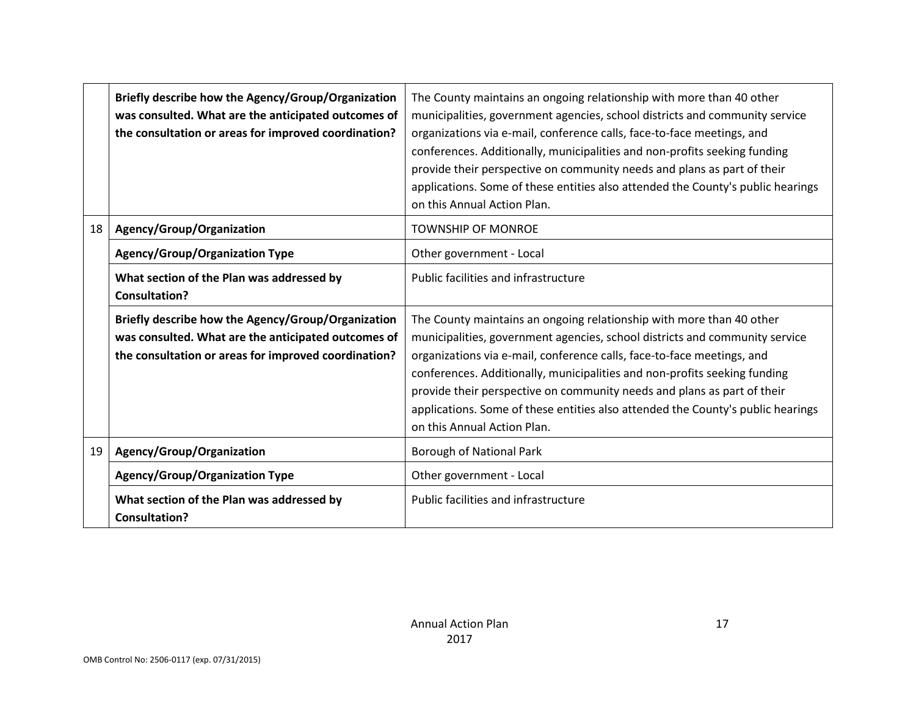|    | Briefly describe how the Agency/Group/Organization<br>was consulted. What are the anticipated outcomes of<br>the consultation or areas for improved coordination? | The County maintains an ongoing relationship with more than 40 other<br>municipalities, government agencies, school districts and community service<br>organizations via e-mail, conference calls, face-to-face meetings, and<br>conferences. Additionally, municipalities and non-profits seeking funding<br>provide their perspective on community needs and plans as part of their<br>applications. Some of these entities also attended the County's public hearings<br>on this Annual Action Plan. |
|----|-------------------------------------------------------------------------------------------------------------------------------------------------------------------|---------------------------------------------------------------------------------------------------------------------------------------------------------------------------------------------------------------------------------------------------------------------------------------------------------------------------------------------------------------------------------------------------------------------------------------------------------------------------------------------------------|
| 18 | Agency/Group/Organization                                                                                                                                         | <b>TOWNSHIP OF MONROE</b>                                                                                                                                                                                                                                                                                                                                                                                                                                                                               |
|    | <b>Agency/Group/Organization Type</b>                                                                                                                             | Other government - Local                                                                                                                                                                                                                                                                                                                                                                                                                                                                                |
|    | What section of the Plan was addressed by<br><b>Consultation?</b>                                                                                                 | Public facilities and infrastructure                                                                                                                                                                                                                                                                                                                                                                                                                                                                    |
|    | Briefly describe how the Agency/Group/Organization<br>was consulted. What are the anticipated outcomes of<br>the consultation or areas for improved coordination? | The County maintains an ongoing relationship with more than 40 other<br>municipalities, government agencies, school districts and community service<br>organizations via e-mail, conference calls, face-to-face meetings, and<br>conferences. Additionally, municipalities and non-profits seeking funding<br>provide their perspective on community needs and plans as part of their<br>applications. Some of these entities also attended the County's public hearings<br>on this Annual Action Plan. |
| 19 | Agency/Group/Organization                                                                                                                                         | <b>Borough of National Park</b>                                                                                                                                                                                                                                                                                                                                                                                                                                                                         |
|    | <b>Agency/Group/Organization Type</b>                                                                                                                             | Other government - Local                                                                                                                                                                                                                                                                                                                                                                                                                                                                                |
|    | What section of the Plan was addressed by<br><b>Consultation?</b>                                                                                                 | Public facilities and infrastructure                                                                                                                                                                                                                                                                                                                                                                                                                                                                    |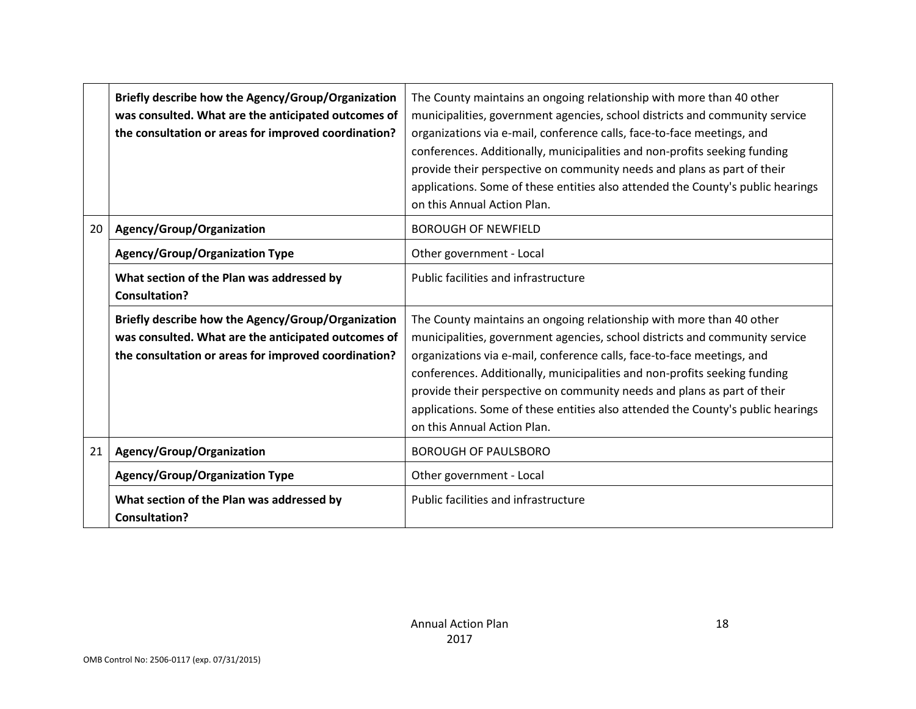|    | Briefly describe how the Agency/Group/Organization<br>was consulted. What are the anticipated outcomes of<br>the consultation or areas for improved coordination? | The County maintains an ongoing relationship with more than 40 other<br>municipalities, government agencies, school districts and community service<br>organizations via e-mail, conference calls, face-to-face meetings, and<br>conferences. Additionally, municipalities and non-profits seeking funding<br>provide their perspective on community needs and plans as part of their<br>applications. Some of these entities also attended the County's public hearings<br>on this Annual Action Plan. |
|----|-------------------------------------------------------------------------------------------------------------------------------------------------------------------|---------------------------------------------------------------------------------------------------------------------------------------------------------------------------------------------------------------------------------------------------------------------------------------------------------------------------------------------------------------------------------------------------------------------------------------------------------------------------------------------------------|
| 20 | Agency/Group/Organization                                                                                                                                         | <b>BOROUGH OF NEWFIELD</b>                                                                                                                                                                                                                                                                                                                                                                                                                                                                              |
|    | <b>Agency/Group/Organization Type</b>                                                                                                                             | Other government - Local                                                                                                                                                                                                                                                                                                                                                                                                                                                                                |
|    | What section of the Plan was addressed by<br><b>Consultation?</b>                                                                                                 | Public facilities and infrastructure                                                                                                                                                                                                                                                                                                                                                                                                                                                                    |
|    | Briefly describe how the Agency/Group/Organization<br>was consulted. What are the anticipated outcomes of<br>the consultation or areas for improved coordination? | The County maintains an ongoing relationship with more than 40 other<br>municipalities, government agencies, school districts and community service<br>organizations via e-mail, conference calls, face-to-face meetings, and<br>conferences. Additionally, municipalities and non-profits seeking funding<br>provide their perspective on community needs and plans as part of their<br>applications. Some of these entities also attended the County's public hearings<br>on this Annual Action Plan. |
| 21 | Agency/Group/Organization                                                                                                                                         | <b>BOROUGH OF PAULSBORO</b>                                                                                                                                                                                                                                                                                                                                                                                                                                                                             |
|    | <b>Agency/Group/Organization Type</b>                                                                                                                             | Other government - Local                                                                                                                                                                                                                                                                                                                                                                                                                                                                                |
|    | What section of the Plan was addressed by<br><b>Consultation?</b>                                                                                                 | Public facilities and infrastructure                                                                                                                                                                                                                                                                                                                                                                                                                                                                    |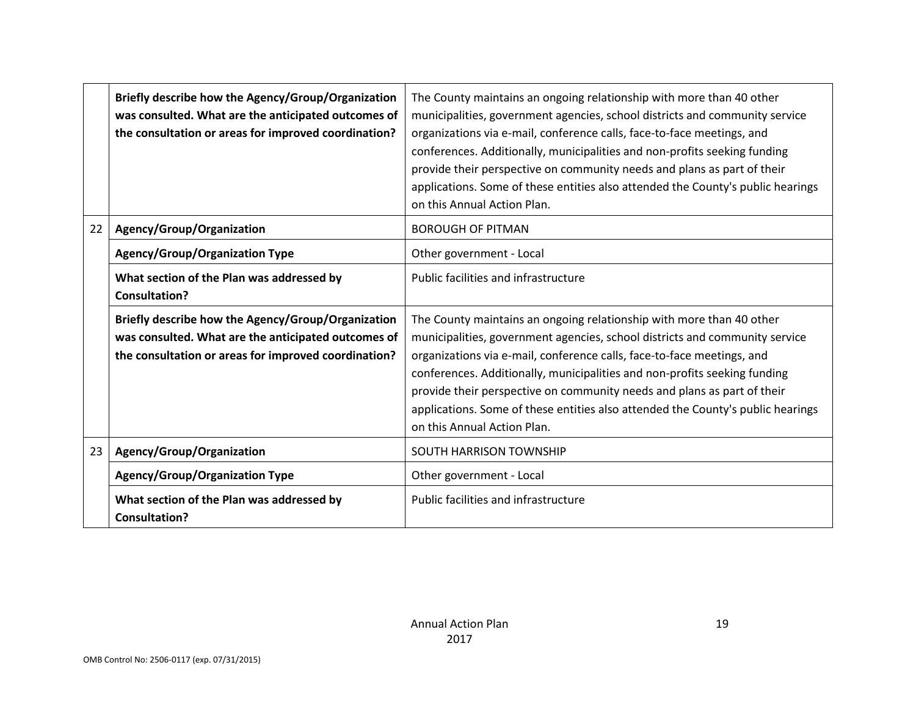|    | Briefly describe how the Agency/Group/Organization<br>was consulted. What are the anticipated outcomes of<br>the consultation or areas for improved coordination? | The County maintains an ongoing relationship with more than 40 other<br>municipalities, government agencies, school districts and community service<br>organizations via e-mail, conference calls, face-to-face meetings, and<br>conferences. Additionally, municipalities and non-profits seeking funding<br>provide their perspective on community needs and plans as part of their<br>applications. Some of these entities also attended the County's public hearings<br>on this Annual Action Plan. |  |  |  |
|----|-------------------------------------------------------------------------------------------------------------------------------------------------------------------|---------------------------------------------------------------------------------------------------------------------------------------------------------------------------------------------------------------------------------------------------------------------------------------------------------------------------------------------------------------------------------------------------------------------------------------------------------------------------------------------------------|--|--|--|
| 22 | Agency/Group/Organization                                                                                                                                         | <b>BOROUGH OF PITMAN</b>                                                                                                                                                                                                                                                                                                                                                                                                                                                                                |  |  |  |
|    | <b>Agency/Group/Organization Type</b>                                                                                                                             | Other government - Local                                                                                                                                                                                                                                                                                                                                                                                                                                                                                |  |  |  |
|    | What section of the Plan was addressed by<br><b>Consultation?</b>                                                                                                 | Public facilities and infrastructure                                                                                                                                                                                                                                                                                                                                                                                                                                                                    |  |  |  |
|    | Briefly describe how the Agency/Group/Organization<br>was consulted. What are the anticipated outcomes of<br>the consultation or areas for improved coordination? | The County maintains an ongoing relationship with more than 40 other<br>municipalities, government agencies, school districts and community service<br>organizations via e-mail, conference calls, face-to-face meetings, and<br>conferences. Additionally, municipalities and non-profits seeking funding<br>provide their perspective on community needs and plans as part of their<br>applications. Some of these entities also attended the County's public hearings<br>on this Annual Action Plan. |  |  |  |
| 23 | Agency/Group/Organization                                                                                                                                         | <b>SOUTH HARRISON TOWNSHIP</b>                                                                                                                                                                                                                                                                                                                                                                                                                                                                          |  |  |  |
|    | <b>Agency/Group/Organization Type</b>                                                                                                                             | Other government - Local                                                                                                                                                                                                                                                                                                                                                                                                                                                                                |  |  |  |
|    | What section of the Plan was addressed by<br><b>Consultation?</b>                                                                                                 | Public facilities and infrastructure                                                                                                                                                                                                                                                                                                                                                                                                                                                                    |  |  |  |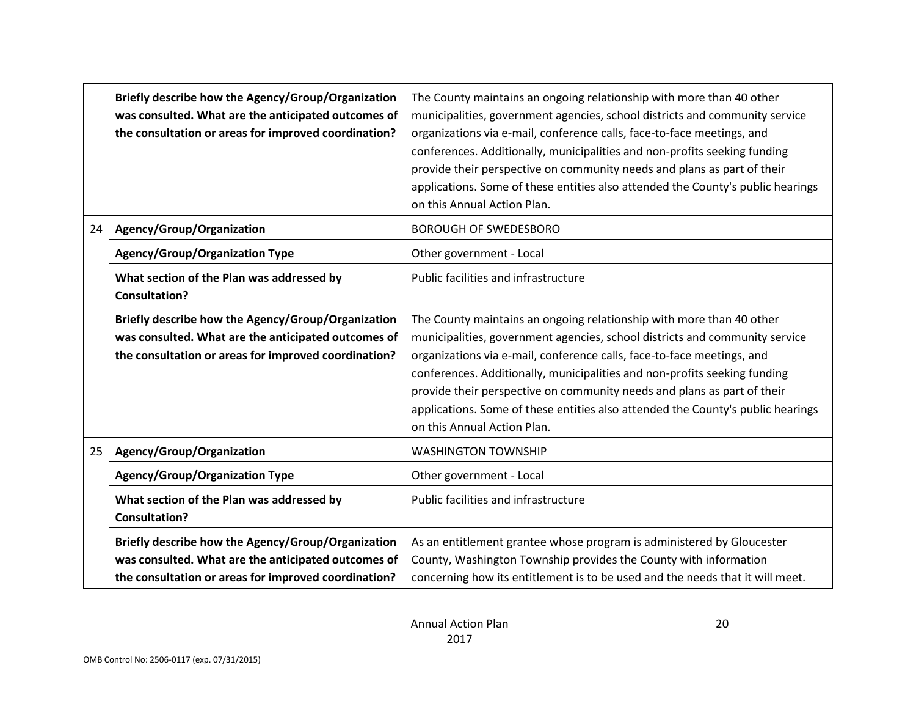|    | Briefly describe how the Agency/Group/Organization<br>was consulted. What are the anticipated outcomes of<br>the consultation or areas for improved coordination? | The County maintains an ongoing relationship with more than 40 other<br>municipalities, government agencies, school districts and community service<br>organizations via e-mail, conference calls, face-to-face meetings, and<br>conferences. Additionally, municipalities and non-profits seeking funding<br>provide their perspective on community needs and plans as part of their<br>applications. Some of these entities also attended the County's public hearings<br>on this Annual Action Plan. |  |  |  |  |
|----|-------------------------------------------------------------------------------------------------------------------------------------------------------------------|---------------------------------------------------------------------------------------------------------------------------------------------------------------------------------------------------------------------------------------------------------------------------------------------------------------------------------------------------------------------------------------------------------------------------------------------------------------------------------------------------------|--|--|--|--|
| 24 | Agency/Group/Organization                                                                                                                                         | <b>BOROUGH OF SWEDESBORO</b>                                                                                                                                                                                                                                                                                                                                                                                                                                                                            |  |  |  |  |
|    | <b>Agency/Group/Organization Type</b>                                                                                                                             | Other government - Local                                                                                                                                                                                                                                                                                                                                                                                                                                                                                |  |  |  |  |
|    | What section of the Plan was addressed by<br><b>Consultation?</b>                                                                                                 | Public facilities and infrastructure                                                                                                                                                                                                                                                                                                                                                                                                                                                                    |  |  |  |  |
|    | Briefly describe how the Agency/Group/Organization<br>was consulted. What are the anticipated outcomes of<br>the consultation or areas for improved coordination? | The County maintains an ongoing relationship with more than 40 other<br>municipalities, government agencies, school districts and community service<br>organizations via e-mail, conference calls, face-to-face meetings, and<br>conferences. Additionally, municipalities and non-profits seeking funding<br>provide their perspective on community needs and plans as part of their<br>applications. Some of these entities also attended the County's public hearings<br>on this Annual Action Plan. |  |  |  |  |
| 25 | Agency/Group/Organization                                                                                                                                         | <b>WASHINGTON TOWNSHIP</b>                                                                                                                                                                                                                                                                                                                                                                                                                                                                              |  |  |  |  |
|    | <b>Agency/Group/Organization Type</b>                                                                                                                             | Other government - Local                                                                                                                                                                                                                                                                                                                                                                                                                                                                                |  |  |  |  |
|    | What section of the Plan was addressed by<br><b>Consultation?</b>                                                                                                 | Public facilities and infrastructure                                                                                                                                                                                                                                                                                                                                                                                                                                                                    |  |  |  |  |
|    | Briefly describe how the Agency/Group/Organization<br>was consulted. What are the anticipated outcomes of<br>the consultation or areas for improved coordination? | As an entitlement grantee whose program is administered by Gloucester<br>County, Washington Township provides the County with information<br>concerning how its entitlement is to be used and the needs that it will meet.                                                                                                                                                                                                                                                                              |  |  |  |  |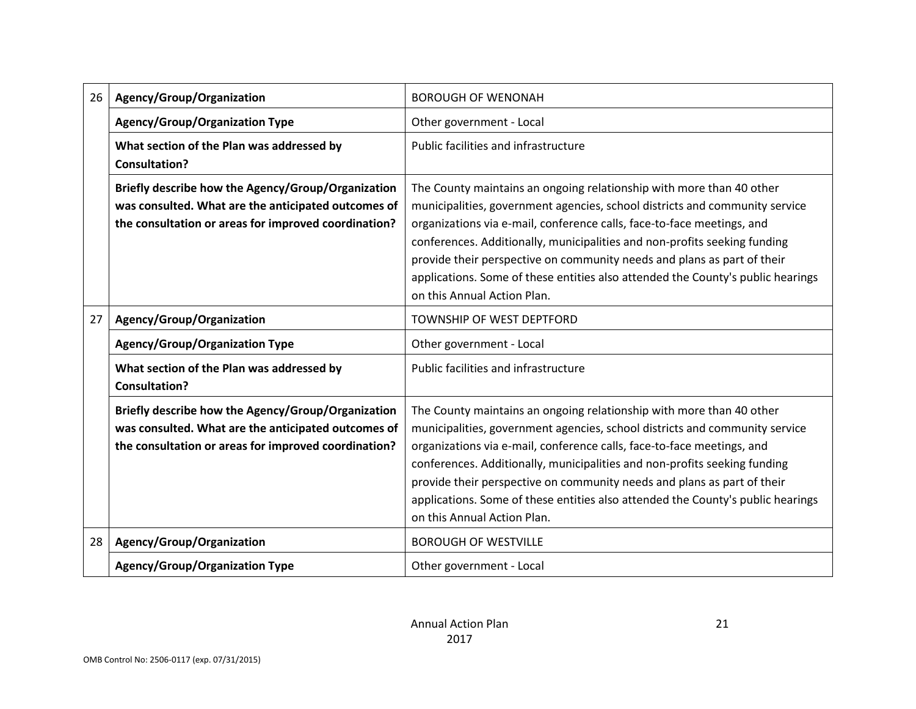| 26 | Agency/Group/Organization                                                                                                                                         | <b>BOROUGH OF WENONAH</b>                                                                                                                                                                                                                                                                                                                                                                                                                                                                               |
|----|-------------------------------------------------------------------------------------------------------------------------------------------------------------------|---------------------------------------------------------------------------------------------------------------------------------------------------------------------------------------------------------------------------------------------------------------------------------------------------------------------------------------------------------------------------------------------------------------------------------------------------------------------------------------------------------|
|    | <b>Agency/Group/Organization Type</b>                                                                                                                             | Other government - Local                                                                                                                                                                                                                                                                                                                                                                                                                                                                                |
|    | What section of the Plan was addressed by<br><b>Consultation?</b>                                                                                                 | Public facilities and infrastructure                                                                                                                                                                                                                                                                                                                                                                                                                                                                    |
|    | Briefly describe how the Agency/Group/Organization<br>was consulted. What are the anticipated outcomes of<br>the consultation or areas for improved coordination? | The County maintains an ongoing relationship with more than 40 other<br>municipalities, government agencies, school districts and community service<br>organizations via e-mail, conference calls, face-to-face meetings, and<br>conferences. Additionally, municipalities and non-profits seeking funding<br>provide their perspective on community needs and plans as part of their<br>applications. Some of these entities also attended the County's public hearings<br>on this Annual Action Plan. |
| 27 | Agency/Group/Organization                                                                                                                                         | TOWNSHIP OF WEST DEPTFORD                                                                                                                                                                                                                                                                                                                                                                                                                                                                               |
|    | <b>Agency/Group/Organization Type</b>                                                                                                                             | Other government - Local                                                                                                                                                                                                                                                                                                                                                                                                                                                                                |
|    | What section of the Plan was addressed by<br><b>Consultation?</b>                                                                                                 | Public facilities and infrastructure                                                                                                                                                                                                                                                                                                                                                                                                                                                                    |
|    | Briefly describe how the Agency/Group/Organization<br>was consulted. What are the anticipated outcomes of<br>the consultation or areas for improved coordination? | The County maintains an ongoing relationship with more than 40 other<br>municipalities, government agencies, school districts and community service<br>organizations via e-mail, conference calls, face-to-face meetings, and<br>conferences. Additionally, municipalities and non-profits seeking funding<br>provide their perspective on community needs and plans as part of their<br>applications. Some of these entities also attended the County's public hearings<br>on this Annual Action Plan. |
| 28 | Agency/Group/Organization                                                                                                                                         | <b>BOROUGH OF WESTVILLE</b>                                                                                                                                                                                                                                                                                                                                                                                                                                                                             |
|    | <b>Agency/Group/Organization Type</b>                                                                                                                             | Other government - Local                                                                                                                                                                                                                                                                                                                                                                                                                                                                                |

21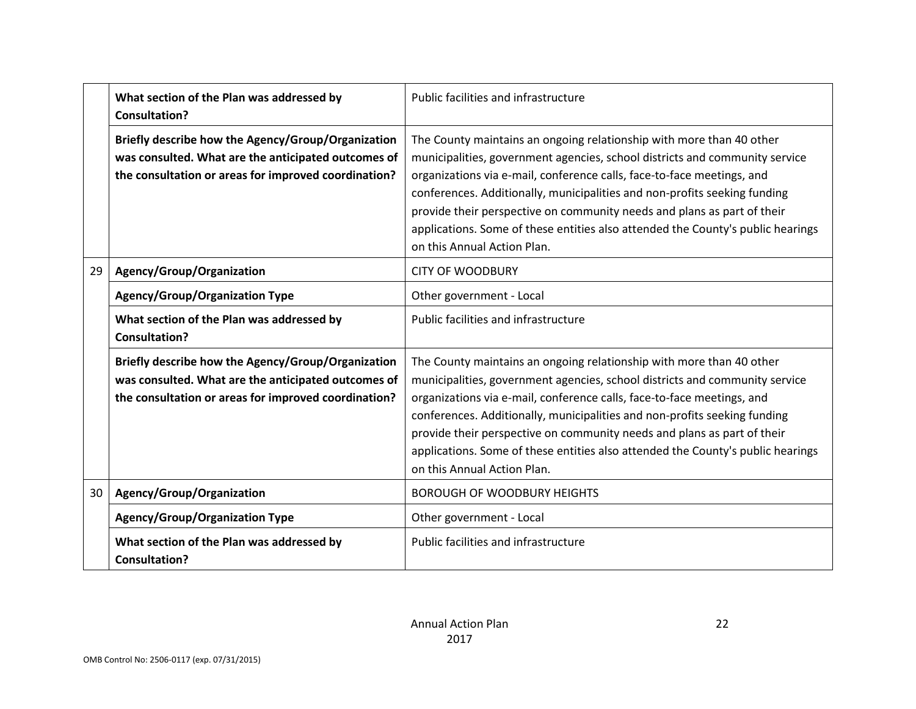|    | What section of the Plan was addressed by<br><b>Consultation?</b>                                                                                                 | Public facilities and infrastructure                                                                                                                                                                                                                                                                                                                                                                                                                                                                    |  |  |
|----|-------------------------------------------------------------------------------------------------------------------------------------------------------------------|---------------------------------------------------------------------------------------------------------------------------------------------------------------------------------------------------------------------------------------------------------------------------------------------------------------------------------------------------------------------------------------------------------------------------------------------------------------------------------------------------------|--|--|
|    | Briefly describe how the Agency/Group/Organization<br>was consulted. What are the anticipated outcomes of<br>the consultation or areas for improved coordination? | The County maintains an ongoing relationship with more than 40 other<br>municipalities, government agencies, school districts and community service<br>organizations via e-mail, conference calls, face-to-face meetings, and<br>conferences. Additionally, municipalities and non-profits seeking funding<br>provide their perspective on community needs and plans as part of their<br>applications. Some of these entities also attended the County's public hearings<br>on this Annual Action Plan. |  |  |
| 29 | Agency/Group/Organization                                                                                                                                         | <b>CITY OF WOODBURY</b>                                                                                                                                                                                                                                                                                                                                                                                                                                                                                 |  |  |
|    | <b>Agency/Group/Organization Type</b>                                                                                                                             | Other government - Local                                                                                                                                                                                                                                                                                                                                                                                                                                                                                |  |  |
|    | What section of the Plan was addressed by<br><b>Consultation?</b>                                                                                                 | Public facilities and infrastructure                                                                                                                                                                                                                                                                                                                                                                                                                                                                    |  |  |
|    | Briefly describe how the Agency/Group/Organization<br>was consulted. What are the anticipated outcomes of<br>the consultation or areas for improved coordination? | The County maintains an ongoing relationship with more than 40 other<br>municipalities, government agencies, school districts and community service<br>organizations via e-mail, conference calls, face-to-face meetings, and<br>conferences. Additionally, municipalities and non-profits seeking funding<br>provide their perspective on community needs and plans as part of their<br>applications. Some of these entities also attended the County's public hearings<br>on this Annual Action Plan. |  |  |
| 30 | Agency/Group/Organization                                                                                                                                         | <b>BOROUGH OF WOODBURY HEIGHTS</b>                                                                                                                                                                                                                                                                                                                                                                                                                                                                      |  |  |
|    | <b>Agency/Group/Organization Type</b>                                                                                                                             | Other government - Local                                                                                                                                                                                                                                                                                                                                                                                                                                                                                |  |  |
|    | What section of the Plan was addressed by<br><b>Consultation?</b>                                                                                                 | Public facilities and infrastructure                                                                                                                                                                                                                                                                                                                                                                                                                                                                    |  |  |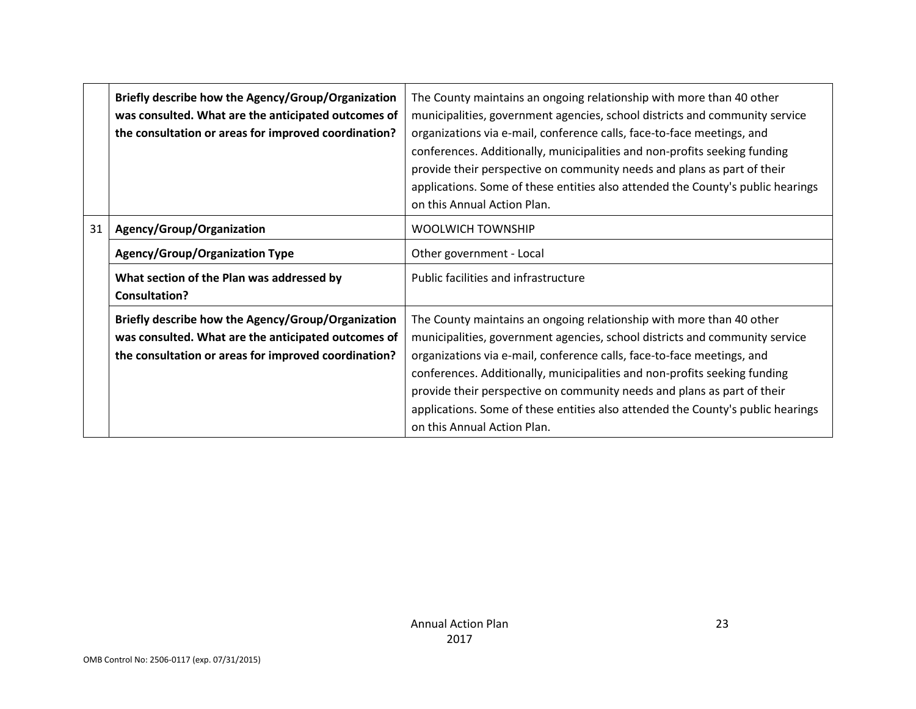|    | Briefly describe how the Agency/Group/Organization<br>was consulted. What are the anticipated outcomes of<br>the consultation or areas for improved coordination? | The County maintains an ongoing relationship with more than 40 other<br>municipalities, government agencies, school districts and community service<br>organizations via e-mail, conference calls, face-to-face meetings, and<br>conferences. Additionally, municipalities and non-profits seeking funding<br>provide their perspective on community needs and plans as part of their<br>applications. Some of these entities also attended the County's public hearings<br>on this Annual Action Plan. |
|----|-------------------------------------------------------------------------------------------------------------------------------------------------------------------|---------------------------------------------------------------------------------------------------------------------------------------------------------------------------------------------------------------------------------------------------------------------------------------------------------------------------------------------------------------------------------------------------------------------------------------------------------------------------------------------------------|
| 31 | Agency/Group/Organization                                                                                                                                         | <b>WOOLWICH TOWNSHIP</b>                                                                                                                                                                                                                                                                                                                                                                                                                                                                                |
|    | <b>Agency/Group/Organization Type</b>                                                                                                                             | Other government - Local                                                                                                                                                                                                                                                                                                                                                                                                                                                                                |
|    | What section of the Plan was addressed by<br><b>Consultation?</b>                                                                                                 | Public facilities and infrastructure                                                                                                                                                                                                                                                                                                                                                                                                                                                                    |
|    | Briefly describe how the Agency/Group/Organization<br>was consulted. What are the anticipated outcomes of<br>the consultation or areas for improved coordination? | The County maintains an ongoing relationship with more than 40 other<br>municipalities, government agencies, school districts and community service<br>organizations via e-mail, conference calls, face-to-face meetings, and<br>conferences. Additionally, municipalities and non-profits seeking funding<br>provide their perspective on community needs and plans as part of their<br>applications. Some of these entities also attended the County's public hearings<br>on this Annual Action Plan. |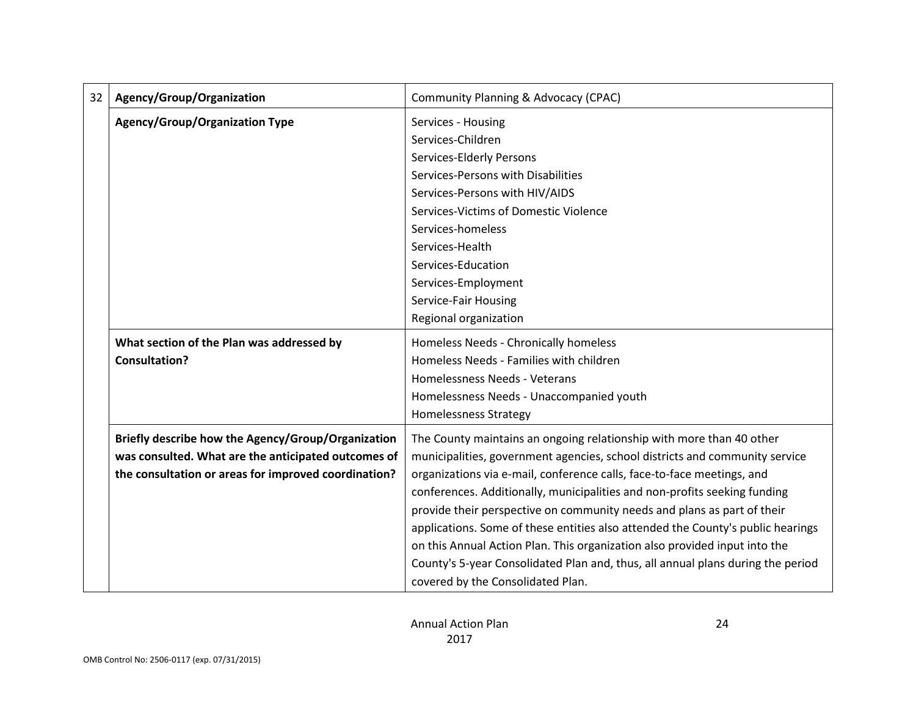| 32 | Agency/Group/Organization                            | <b>Community Planning &amp; Advocacy (CPAC)</b>                                 |
|----|------------------------------------------------------|---------------------------------------------------------------------------------|
|    | <b>Agency/Group/Organization Type</b>                | Services - Housing                                                              |
|    |                                                      | Services-Children                                                               |
|    |                                                      | Services-Elderly Persons                                                        |
|    |                                                      | Services-Persons with Disabilities                                              |
|    |                                                      | Services-Persons with HIV/AIDS                                                  |
|    |                                                      | Services-Victims of Domestic Violence                                           |
|    |                                                      | Services-homeless                                                               |
|    |                                                      | Services-Health                                                                 |
|    |                                                      | Services-Education                                                              |
|    |                                                      | Services-Employment                                                             |
|    |                                                      | Service-Fair Housing                                                            |
|    |                                                      | Regional organization                                                           |
|    | What section of the Plan was addressed by            | Homeless Needs - Chronically homeless                                           |
|    | <b>Consultation?</b>                                 | Homeless Needs - Families with children                                         |
|    |                                                      | Homelessness Needs - Veterans                                                   |
|    |                                                      | Homelessness Needs - Unaccompanied youth                                        |
|    |                                                      | <b>Homelessness Strategy</b>                                                    |
|    | Briefly describe how the Agency/Group/Organization   | The County maintains an ongoing relationship with more than 40 other            |
|    | was consulted. What are the anticipated outcomes of  | municipalities, government agencies, school districts and community service     |
|    | the consultation or areas for improved coordination? | organizations via e-mail, conference calls, face-to-face meetings, and          |
|    |                                                      | conferences. Additionally, municipalities and non-profits seeking funding       |
|    |                                                      | provide their perspective on community needs and plans as part of their         |
|    |                                                      | applications. Some of these entities also attended the County's public hearings |
|    |                                                      | on this Annual Action Plan. This organization also provided input into the      |
|    |                                                      | County's 5-year Consolidated Plan and, thus, all annual plans during the period |
|    |                                                      | covered by the Consolidated Plan.                                               |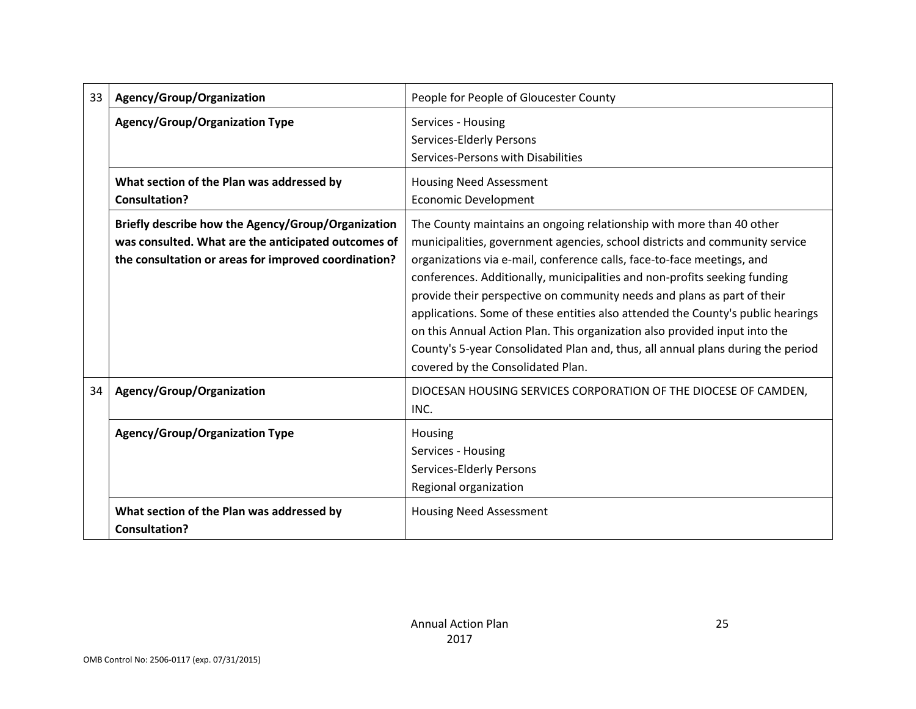| 33 | Agency/Group/Organization                                                                                                                                         | People for People of Gloucester County                                                                                                                                                                                                                                                                                                                                                                                                                                                                                                                                                                                                                                         |  |  |  |
|----|-------------------------------------------------------------------------------------------------------------------------------------------------------------------|--------------------------------------------------------------------------------------------------------------------------------------------------------------------------------------------------------------------------------------------------------------------------------------------------------------------------------------------------------------------------------------------------------------------------------------------------------------------------------------------------------------------------------------------------------------------------------------------------------------------------------------------------------------------------------|--|--|--|
|    | <b>Agency/Group/Organization Type</b>                                                                                                                             | Services - Housing<br>Services-Elderly Persons<br>Services-Persons with Disabilities                                                                                                                                                                                                                                                                                                                                                                                                                                                                                                                                                                                           |  |  |  |
|    | What section of the Plan was addressed by<br><b>Consultation?</b>                                                                                                 | <b>Housing Need Assessment</b><br><b>Economic Development</b>                                                                                                                                                                                                                                                                                                                                                                                                                                                                                                                                                                                                                  |  |  |  |
|    | Briefly describe how the Agency/Group/Organization<br>was consulted. What are the anticipated outcomes of<br>the consultation or areas for improved coordination? | The County maintains an ongoing relationship with more than 40 other<br>municipalities, government agencies, school districts and community service<br>organizations via e-mail, conference calls, face-to-face meetings, and<br>conferences. Additionally, municipalities and non-profits seeking funding<br>provide their perspective on community needs and plans as part of their<br>applications. Some of these entities also attended the County's public hearings<br>on this Annual Action Plan. This organization also provided input into the<br>County's 5-year Consolidated Plan and, thus, all annual plans during the period<br>covered by the Consolidated Plan. |  |  |  |
| 34 | Agency/Group/Organization                                                                                                                                         | DIOCESAN HOUSING SERVICES CORPORATION OF THE DIOCESE OF CAMDEN,<br>INC.                                                                                                                                                                                                                                                                                                                                                                                                                                                                                                                                                                                                        |  |  |  |
|    | <b>Agency/Group/Organization Type</b>                                                                                                                             | Housing<br>Services - Housing<br>Services-Elderly Persons<br>Regional organization                                                                                                                                                                                                                                                                                                                                                                                                                                                                                                                                                                                             |  |  |  |
|    | What section of the Plan was addressed by<br><b>Consultation?</b>                                                                                                 | <b>Housing Need Assessment</b>                                                                                                                                                                                                                                                                                                                                                                                                                                                                                                                                                                                                                                                 |  |  |  |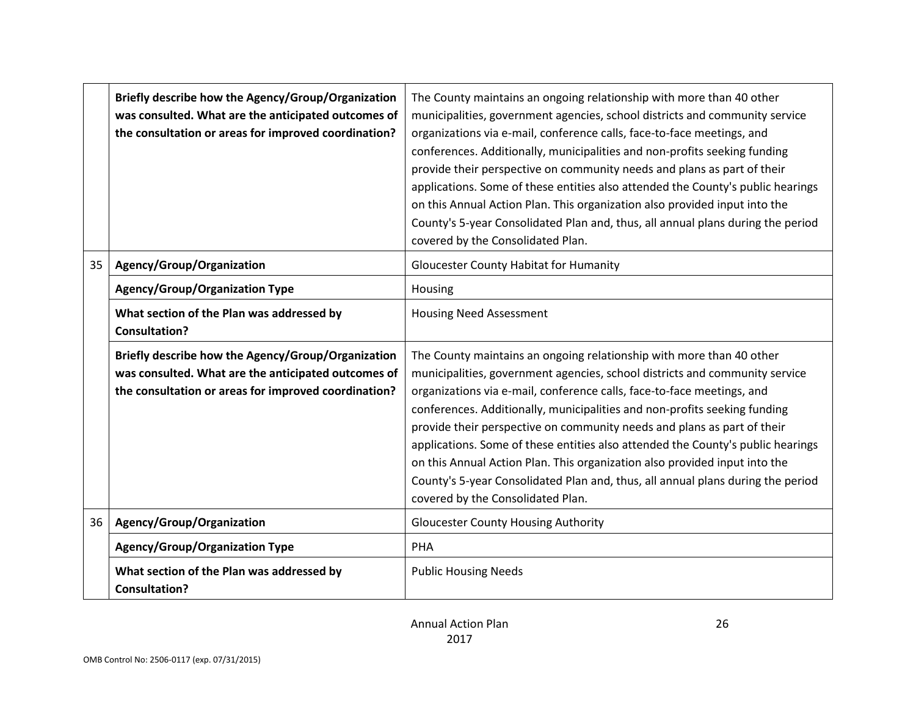|    | Briefly describe how the Agency/Group/Organization<br>was consulted. What are the anticipated outcomes of<br>the consultation or areas for improved coordination? | The County maintains an ongoing relationship with more than 40 other<br>municipalities, government agencies, school districts and community service<br>organizations via e-mail, conference calls, face-to-face meetings, and<br>conferences. Additionally, municipalities and non-profits seeking funding<br>provide their perspective on community needs and plans as part of their<br>applications. Some of these entities also attended the County's public hearings<br>on this Annual Action Plan. This organization also provided input into the<br>County's 5-year Consolidated Plan and, thus, all annual plans during the period<br>covered by the Consolidated Plan. |  |  |  |  |
|----|-------------------------------------------------------------------------------------------------------------------------------------------------------------------|--------------------------------------------------------------------------------------------------------------------------------------------------------------------------------------------------------------------------------------------------------------------------------------------------------------------------------------------------------------------------------------------------------------------------------------------------------------------------------------------------------------------------------------------------------------------------------------------------------------------------------------------------------------------------------|--|--|--|--|
| 35 | Agency/Group/Organization                                                                                                                                         | <b>Gloucester County Habitat for Humanity</b>                                                                                                                                                                                                                                                                                                                                                                                                                                                                                                                                                                                                                                  |  |  |  |  |
|    | <b>Agency/Group/Organization Type</b>                                                                                                                             | Housing                                                                                                                                                                                                                                                                                                                                                                                                                                                                                                                                                                                                                                                                        |  |  |  |  |
|    | What section of the Plan was addressed by<br><b>Consultation?</b>                                                                                                 | <b>Housing Need Assessment</b>                                                                                                                                                                                                                                                                                                                                                                                                                                                                                                                                                                                                                                                 |  |  |  |  |
|    | Briefly describe how the Agency/Group/Organization<br>was consulted. What are the anticipated outcomes of<br>the consultation or areas for improved coordination? | The County maintains an ongoing relationship with more than 40 other<br>municipalities, government agencies, school districts and community service<br>organizations via e-mail, conference calls, face-to-face meetings, and<br>conferences. Additionally, municipalities and non-profits seeking funding<br>provide their perspective on community needs and plans as part of their<br>applications. Some of these entities also attended the County's public hearings<br>on this Annual Action Plan. This organization also provided input into the<br>County's 5-year Consolidated Plan and, thus, all annual plans during the period<br>covered by the Consolidated Plan. |  |  |  |  |
| 36 | Agency/Group/Organization                                                                                                                                         | <b>Gloucester County Housing Authority</b>                                                                                                                                                                                                                                                                                                                                                                                                                                                                                                                                                                                                                                     |  |  |  |  |
|    | <b>Agency/Group/Organization Type</b>                                                                                                                             | <b>PHA</b>                                                                                                                                                                                                                                                                                                                                                                                                                                                                                                                                                                                                                                                                     |  |  |  |  |
|    | What section of the Plan was addressed by<br><b>Consultation?</b>                                                                                                 | <b>Public Housing Needs</b>                                                                                                                                                                                                                                                                                                                                                                                                                                                                                                                                                                                                                                                    |  |  |  |  |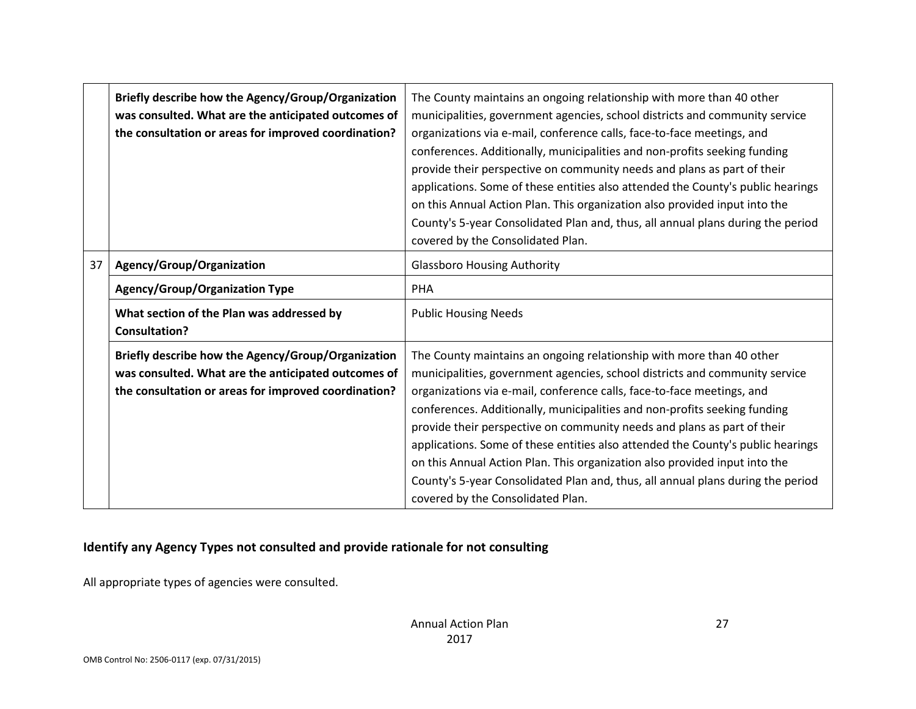|    | Briefly describe how the Agency/Group/Organization<br>was consulted. What are the anticipated outcomes of<br>the consultation or areas for improved coordination? | The County maintains an ongoing relationship with more than 40 other<br>municipalities, government agencies, school districts and community service<br>organizations via e-mail, conference calls, face-to-face meetings, and<br>conferences. Additionally, municipalities and non-profits seeking funding<br>provide their perspective on community needs and plans as part of their<br>applications. Some of these entities also attended the County's public hearings<br>on this Annual Action Plan. This organization also provided input into the<br>County's 5-year Consolidated Plan and, thus, all annual plans during the period<br>covered by the Consolidated Plan. |  |  |  |  |
|----|-------------------------------------------------------------------------------------------------------------------------------------------------------------------|--------------------------------------------------------------------------------------------------------------------------------------------------------------------------------------------------------------------------------------------------------------------------------------------------------------------------------------------------------------------------------------------------------------------------------------------------------------------------------------------------------------------------------------------------------------------------------------------------------------------------------------------------------------------------------|--|--|--|--|
| 37 | Agency/Group/Organization                                                                                                                                         | <b>Glassboro Housing Authority</b>                                                                                                                                                                                                                                                                                                                                                                                                                                                                                                                                                                                                                                             |  |  |  |  |
|    | <b>Agency/Group/Organization Type</b>                                                                                                                             | <b>PHA</b>                                                                                                                                                                                                                                                                                                                                                                                                                                                                                                                                                                                                                                                                     |  |  |  |  |
|    | What section of the Plan was addressed by<br><b>Consultation?</b>                                                                                                 | <b>Public Housing Needs</b>                                                                                                                                                                                                                                                                                                                                                                                                                                                                                                                                                                                                                                                    |  |  |  |  |
|    | Briefly describe how the Agency/Group/Organization<br>was consulted. What are the anticipated outcomes of<br>the consultation or areas for improved coordination? | The County maintains an ongoing relationship with more than 40 other<br>municipalities, government agencies, school districts and community service<br>organizations via e-mail, conference calls, face-to-face meetings, and<br>conferences. Additionally, municipalities and non-profits seeking funding<br>provide their perspective on community needs and plans as part of their<br>applications. Some of these entities also attended the County's public hearings<br>on this Annual Action Plan. This organization also provided input into the<br>County's 5-year Consolidated Plan and, thus, all annual plans during the period<br>covered by the Consolidated Plan. |  |  |  |  |

# **Identify any Agency Types not consulted and provide rationale for not consulting**

All appropriate types of agencies were consulted.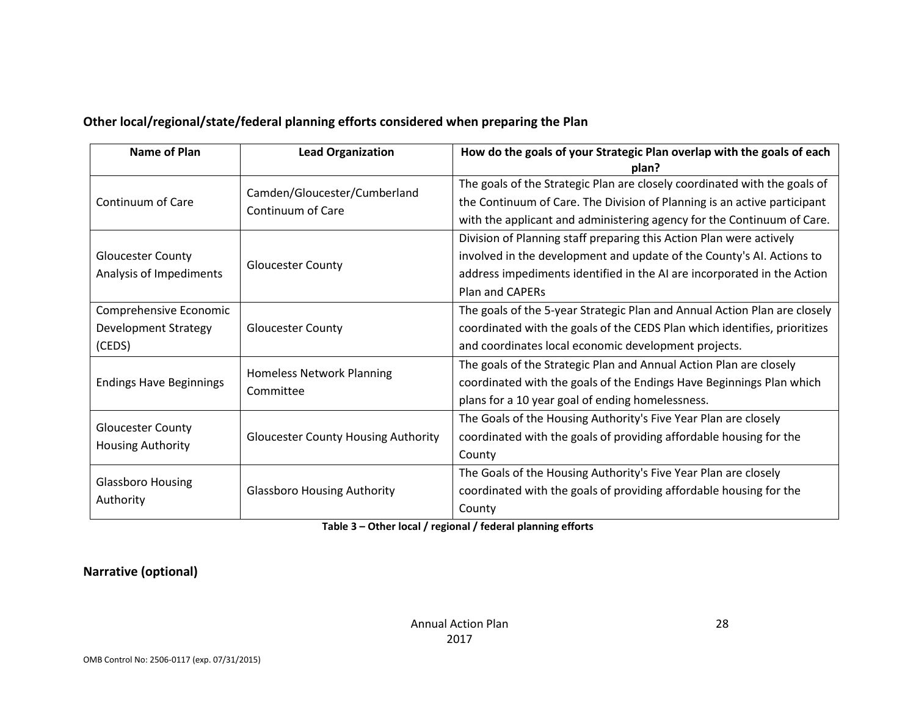| Name of Plan                                                                    | <b>Lead Organization</b>                          | How do the goals of your Strategic Plan overlap with the goals of each<br>plan?                                                                                                                                                                   |  |  |  |
|---------------------------------------------------------------------------------|---------------------------------------------------|---------------------------------------------------------------------------------------------------------------------------------------------------------------------------------------------------------------------------------------------------|--|--|--|
| Continuum of Care                                                               | Camden/Gloucester/Cumberland<br>Continuum of Care | The goals of the Strategic Plan are closely coordinated with the goals of<br>the Continuum of Care. The Division of Planning is an active participant<br>with the applicant and administering agency for the Continuum of Care.                   |  |  |  |
| <b>Gloucester County</b><br><b>Gloucester County</b><br>Analysis of Impediments |                                                   | Division of Planning staff preparing this Action Plan were actively<br>involved in the development and update of the County's AI. Actions to<br>address impediments identified in the AI are incorporated in the Action<br><b>Plan and CAPERs</b> |  |  |  |
| Comprehensive Economic<br><b>Development Strategy</b><br>(CEDS)                 | <b>Gloucester County</b>                          | The goals of the 5-year Strategic Plan and Annual Action Plan are closely<br>coordinated with the goals of the CEDS Plan which identifies, prioritizes<br>and coordinates local economic development projects.                                    |  |  |  |
| <b>Endings Have Beginnings</b>                                                  | Homeless Network Planning<br>Committee            | The goals of the Strategic Plan and Annual Action Plan are closely<br>coordinated with the goals of the Endings Have Beginnings Plan which<br>plans for a 10 year goal of ending homelessness.                                                    |  |  |  |
| <b>Gloucester County</b><br><b>Housing Authority</b>                            | <b>Gloucester County Housing Authority</b>        | The Goals of the Housing Authority's Five Year Plan are closely<br>coordinated with the goals of providing affordable housing for the<br>County                                                                                                   |  |  |  |
| <b>Glassboro Housing</b><br>Authority                                           | <b>Glassboro Housing Authority</b>                | The Goals of the Housing Authority's Five Year Plan are closely<br>coordinated with the goals of providing affordable housing for the<br>County                                                                                                   |  |  |  |

### **Other local/regional/state/federal planning efforts considered when preparing the Plan**

#### **Table 3 – Other local / regional / federal planning efforts**

#### **Narrative (optional)**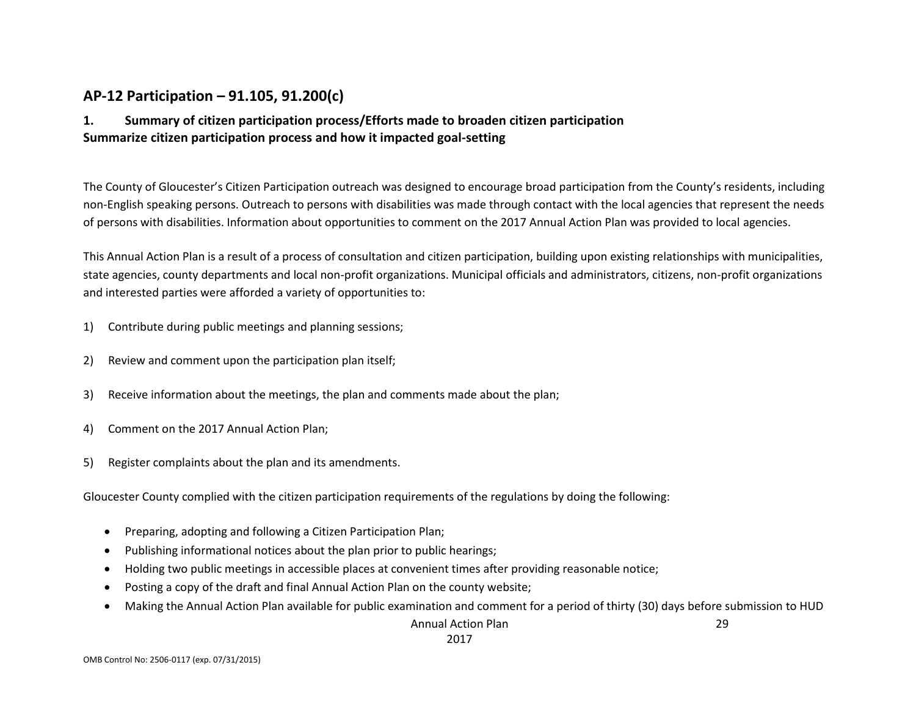# **AP-12 Participation – 91.105, 91.200(c)**

### **1. Summary of citizen participation process/Efforts made to broaden citizen participation Summarize citizen participation process and how it impacted goal-setting**

The County of Gloucester's Citizen Participation outreach was designed to encourage broad participation from the County's residents, including non-English speaking persons. Outreach to persons with disabilities was made through contact with the local agencies that represent the needs of persons with disabilities. Information about opportunities to comment on the 2017 Annual Action Plan was provided to local agencies.

This Annual Action Plan is a result of a process of consultation and citizen participation, building upon existing relationships with municipalities, state agencies, county departments and local non-profit organizations. Municipal officials and administrators, citizens, non-profit organizations and interested parties were afforded a variety of opportunities to:

- 1) Contribute during public meetings and planning sessions;
- 2) Review and comment upon the participation plan itself;
- 3) Receive information about the meetings, the plan and comments made about the plan;
- 4) Comment on the 2017 Annual Action Plan;
- 5) Register complaints about the plan and its amendments.

Gloucester County complied with the citizen participation requirements of the regulations by doing the following:

- Preparing, adopting and following a Citizen Participation Plan;
- Publishing informational notices about the plan prior to public hearings;
- Holding two public meetings in accessible places at convenient times after providing reasonable notice;
- Posting a copy of the draft and final Annual Action Plan on the county website;
- Making the Annual Action Plan available for public examination and comment for a period of thirty (30) days before submission to HUD

Annual Action Plan 2017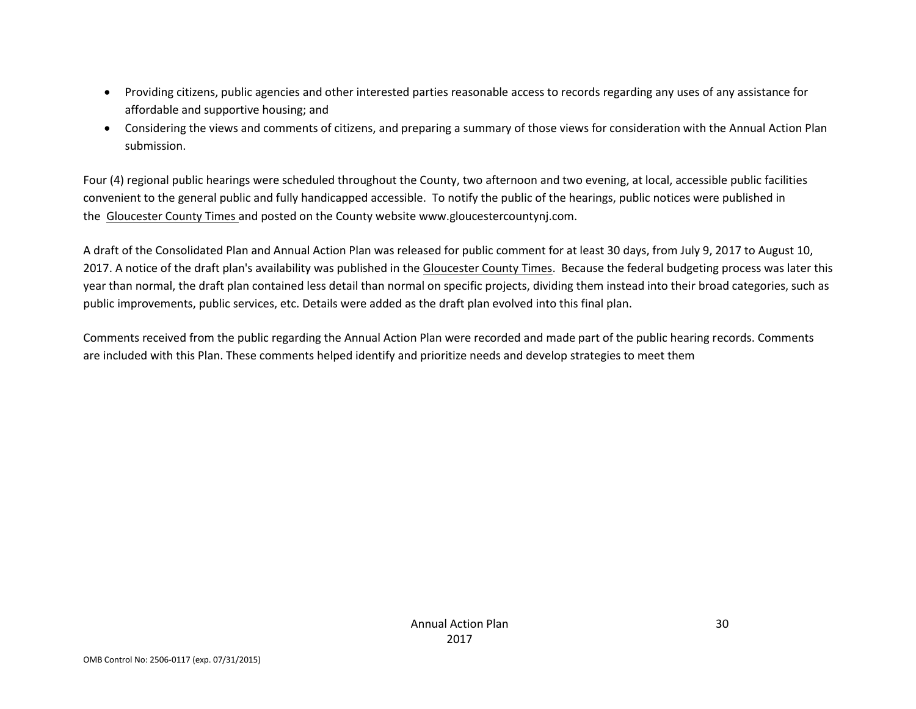- Providing citizens, public agencies and other interested parties reasonable access to records regarding any uses of any assistance for affordable and supportive housing; and
- Considering the views and comments of citizens, and preparing a summary of those views for consideration with the Annual Action Plan submission.

Four (4) regional public hearings were scheduled throughout the County, two afternoon and two evening, at local, accessible public facilities convenient to the general public and fully handicapped accessible. To notify the public of the hearings, public notices were published in the Gloucester County Times and posted on the County website www.gloucestercountynj.com.

A draft of the Consolidated Plan and Annual Action Plan was released for public comment for at least 30 days, from July 9, 2017 to August 10, 2017. A notice of the draft plan's availability was published in the Gloucester County Times. Because the federal budgeting process was later this year than normal, the draft plan contained less detail than normal on specific projects, dividing them instead into their broad categories, such as public improvements, public services, etc. Details were added as the draft plan evolved into this final plan.

Comments received from the public regarding the Annual Action Plan were recorded and made part of the public hearing records. Comments are included with this Plan. These comments helped identify and prioritize needs and develop strategies to meet them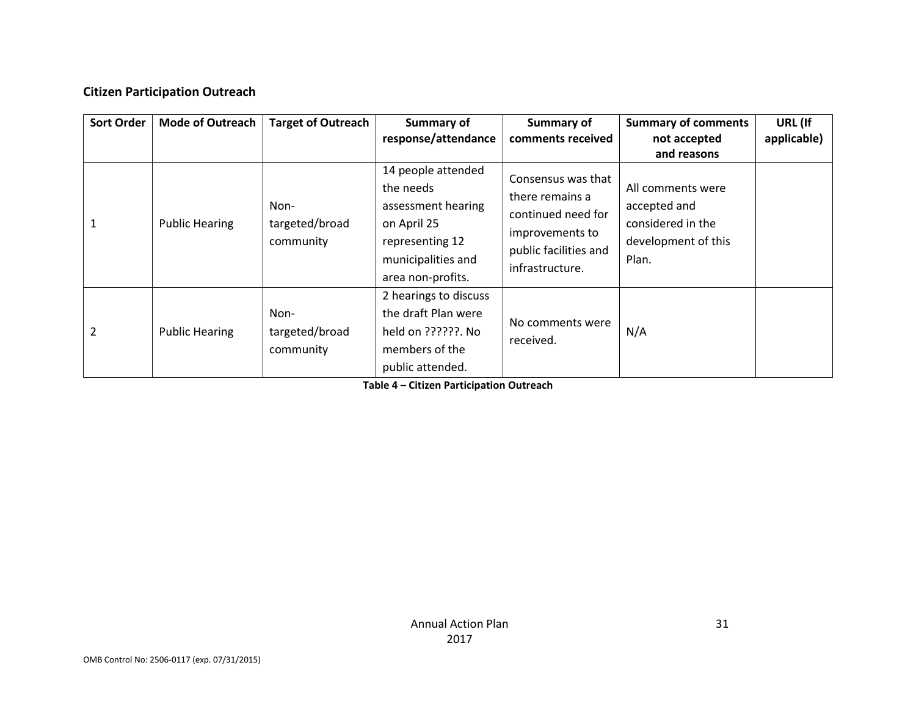#### **Citizen Participation Outreach**

| <b>Sort Order</b> | <b>Mode of Outreach</b> | <b>Target of Outreach</b>           | Summary of<br>response/attendance                                                                                                  | Summary of<br>comments received                                                                                            | <b>Summary of comments</b><br>not accepted                                                            | URL (If<br>applicable) |
|-------------------|-------------------------|-------------------------------------|------------------------------------------------------------------------------------------------------------------------------------|----------------------------------------------------------------------------------------------------------------------------|-------------------------------------------------------------------------------------------------------|------------------------|
|                   | <b>Public Hearing</b>   | Non-<br>targeted/broad<br>community | 14 people attended<br>the needs<br>assessment hearing<br>on April 25<br>representing 12<br>municipalities and<br>area non-profits. | Consensus was that<br>there remains a<br>continued need for<br>improvements to<br>public facilities and<br>infrastructure. | and reasons<br>All comments were<br>accepted and<br>considered in the<br>development of this<br>Plan. |                        |
| 2                 | <b>Public Hearing</b>   | Non-<br>targeted/broad<br>community | 2 hearings to discuss<br>the draft Plan were<br>held on ??????. No<br>members of the<br>public attended.                           | No comments were<br>received.                                                                                              | N/A                                                                                                   |                        |

**Table 4 – Citizen Participation Outreach**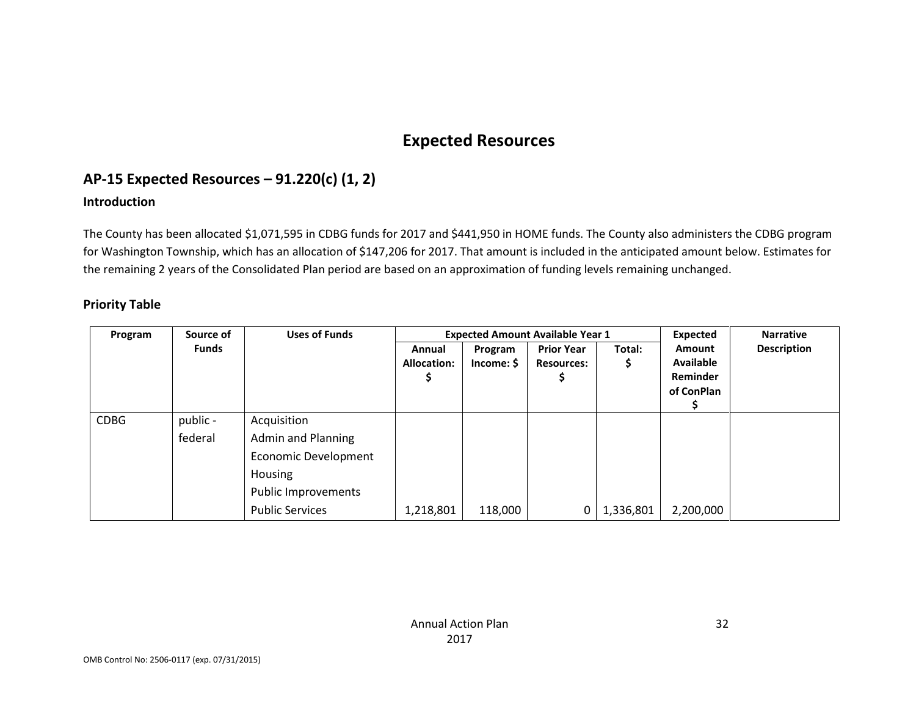# **Expected Resources**

# **AP-15 Expected Resources – 91.220(c) (1, 2)**

#### **Introduction**

The County has been allocated \$1,071,595 in CDBG funds for 2017 and \$441,950 in HOME funds. The County also administers the CDBG program for Washington Township, which has an allocation of \$147,206 for 2017. That amount is included in the anticipated amount below. Estimates for the remaining 2 years of the Consolidated Plan period are based on an approximation of funding levels remaining unchanged.

#### **Priority Table**

| Program     | Source of    | <b>Uses of Funds</b>      | <b>Expected Amount Available Year 1</b> |                       |                                        |           | <b>Expected</b>                                             | <b>Narrative</b> |
|-------------|--------------|---------------------------|-----------------------------------------|-----------------------|----------------------------------------|-----------|-------------------------------------------------------------|------------------|
|             | <b>Funds</b> |                           | Annual<br><b>Allocation:</b>            | Program<br>Income: \$ | <b>Prior Year</b><br><b>Resources:</b> | Total:    | <b>Amount</b><br><b>Available</b><br>Reminder<br>of ConPlan | Description      |
| <b>CDBG</b> | public -     | Acquisition               |                                         |                       |                                        |           |                                                             |                  |
|             | federal      | <b>Admin and Planning</b> |                                         |                       |                                        |           |                                                             |                  |
|             |              | Economic Development      |                                         |                       |                                        |           |                                                             |                  |
|             |              | Housing                   |                                         |                       |                                        |           |                                                             |                  |
|             |              | Public Improvements       |                                         |                       |                                        |           |                                                             |                  |
|             |              | <b>Public Services</b>    | 1,218,801                               | 118,000               | 0                                      | 1,336,801 | 2,200,000                                                   |                  |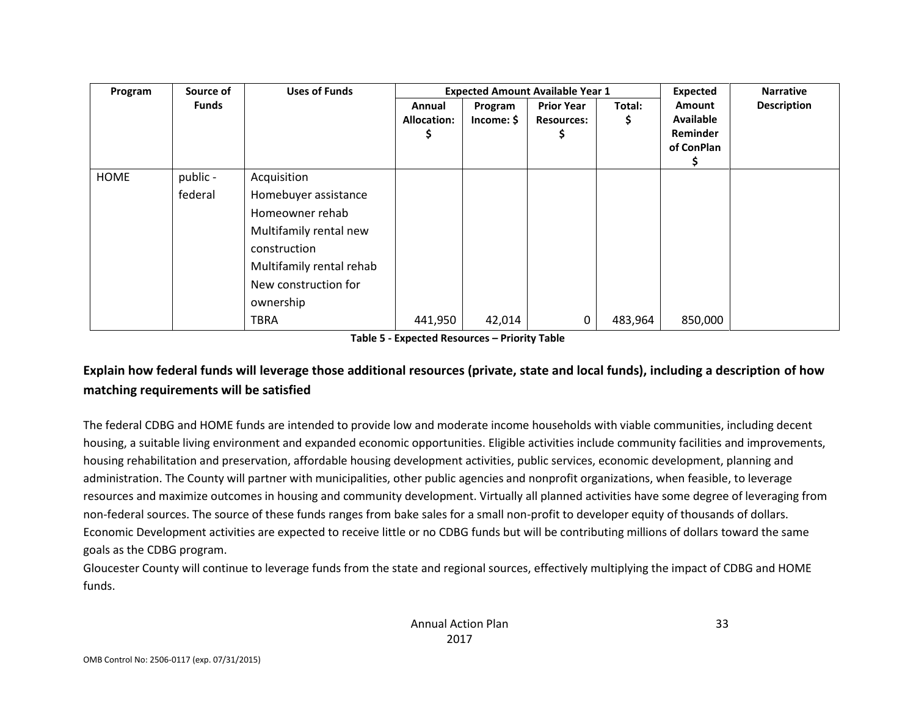| Source of<br>Program |                     | <b>Uses of Funds</b>                                                                                                                                                             |                                   |                       | <b>Expected Amount Available Year 1</b> |              | <b>Expected</b>                                      | <b>Narrative</b>   |
|----------------------|---------------------|----------------------------------------------------------------------------------------------------------------------------------------------------------------------------------|-----------------------------------|-----------------------|-----------------------------------------|--------------|------------------------------------------------------|--------------------|
|                      | <b>Funds</b>        |                                                                                                                                                                                  | Annual<br><b>Allocation:</b><br>5 | Program<br>Income: \$ | <b>Prior Year</b><br><b>Resources:</b>  | Total:<br>Ş. | Amount<br><b>Available</b><br>Reminder<br>of ConPlan | <b>Description</b> |
| <b>HOME</b>          | public -<br>federal | Acquisition<br>Homebuyer assistance<br>Homeowner rehab<br>Multifamily rental new<br>construction<br>Multifamily rental rehab<br>New construction for<br>ownership<br><b>TBRA</b> | 441,950                           | 42,014                | 0                                       | 483,964      | 850,000                                              |                    |

**Table 5 - Expected Resources – Priority Table**

# **Explain how federal funds will leverage those additional resources (private, state and local funds), including a description of how matching requirements will be satisfied**

The federal CDBG and HOME funds are intended to provide low and moderate income households with viable communities, including decent housing, a suitable living environment and expanded economic opportunities. Eligible activities include community facilities and improvements, housing rehabilitation and preservation, affordable housing development activities, public services, economic development, planning and administration. The County will partner with municipalities, other public agencies and nonprofit organizations, when feasible, to leverage resources and maximize outcomes in housing and community development. Virtually all planned activities have some degree of leveraging from non-federal sources. The source of these funds ranges from bake sales for a small non-profit to developer equity of thousands of dollars. Economic Development activities are expected to receive little or no CDBG funds but will be contributing millions of dollars toward the same goals as the CDBG program.

Gloucester County will continue to leverage funds from the state and regional sources, effectively multiplying the impact of CDBG and HOME funds.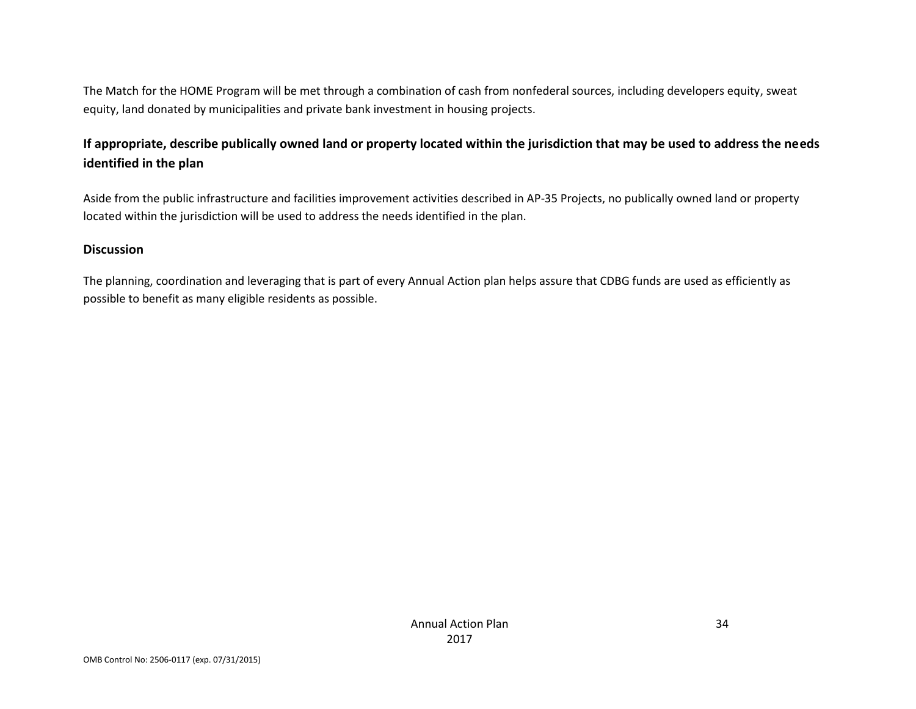The Match for the HOME Program will be met through a combination of cash from nonfederal sources, including developers equity, sweat equity, land donated by municipalities and private bank investment in housing projects.

# **If appropriate, describe publically owned land or property located within the jurisdiction that may be used to address the needs identified in the plan**

Aside from the public infrastructure and facilities improvement activities described in AP-35 Projects, no publically owned land or property located within the jurisdiction will be used to address the needs identified in the plan.

#### **Discussion**

The planning, coordination and leveraging that is part of every Annual Action plan helps assure that CDBG funds are used as efficiently as possible to benefit as many eligible residents as possible.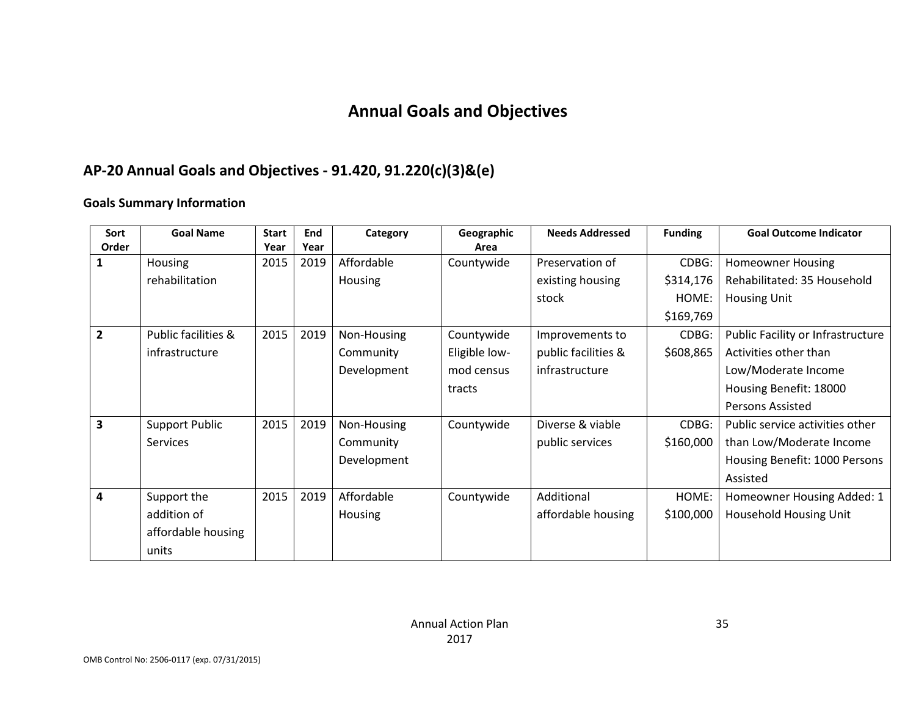# **Annual Goals and Objectives**

# **AP-20 Annual Goals and Objectives - 91.420, 91.220(c)(3)&(e)**

#### **Goals Summary Information**

| Sort           | <b>Goal Name</b>      | <b>Start</b> | End  | Category       | Geographic    | <b>Needs Addressed</b> | <b>Funding</b> | <b>Goal Outcome Indicator</b>     |
|----------------|-----------------------|--------------|------|----------------|---------------|------------------------|----------------|-----------------------------------|
| Order          |                       | Year         | Year |                | Area          |                        |                |                                   |
|                | Housing               | 2015         | 2019 | Affordable     | Countywide    | Preservation of        | CDBG:          | <b>Homeowner Housing</b>          |
|                | rehabilitation        |              |      | <b>Housing</b> |               | existing housing       | \$314,176      | Rehabilitated: 35 Household       |
|                |                       |              |      |                |               | stock                  | HOME:          | <b>Housing Unit</b>               |
|                |                       |              |      |                |               |                        | \$169,769      |                                   |
| $\overline{2}$ | Public facilities &   | 2015         | 2019 | Non-Housing    | Countywide    | Improvements to        | CDBG:          | Public Facility or Infrastructure |
|                | infrastructure        |              |      | Community      | Eligible low- | public facilities &    | \$608,865      | Activities other than             |
|                |                       |              |      | Development    | mod census    | infrastructure         |                | Low/Moderate Income               |
|                |                       |              |      |                | tracts        |                        |                | Housing Benefit: 18000            |
|                |                       |              |      |                |               |                        |                | <b>Persons Assisted</b>           |
| 3              | <b>Support Public</b> | 2015         | 2019 | Non-Housing    | Countywide    | Diverse & viable       | CDBG:          | Public service activities other   |
|                | <b>Services</b>       |              |      | Community      |               | public services        | \$160,000      | than Low/Moderate Income          |
|                |                       |              |      | Development    |               |                        |                | Housing Benefit: 1000 Persons     |
|                |                       |              |      |                |               |                        |                | Assisted                          |
| 4              | Support the           | 2015         | 2019 | Affordable     | Countywide    | Additional             | HOME:          | Homeowner Housing Added: 1        |
|                | addition of           |              |      | <b>Housing</b> |               | affordable housing     | \$100,000      | Household Housing Unit            |
|                | affordable housing    |              |      |                |               |                        |                |                                   |
|                | units                 |              |      |                |               |                        |                |                                   |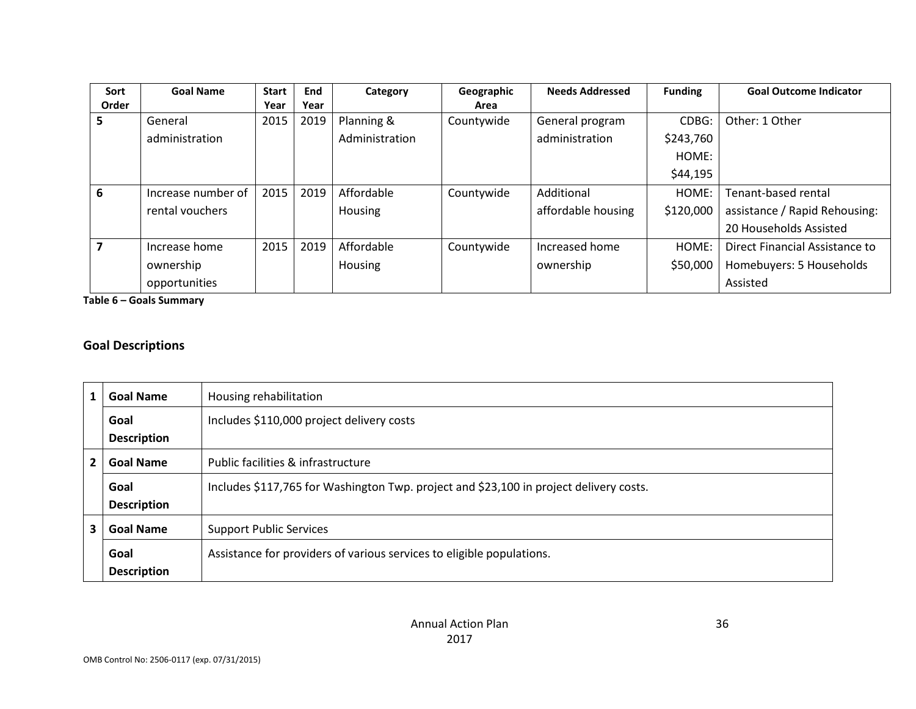| Sort  | <b>Goal Name</b>   | <b>Start</b> | End  | Category       | Geographic | <b>Needs Addressed</b> | <b>Funding</b> | <b>Goal Outcome Indicator</b>  |
|-------|--------------------|--------------|------|----------------|------------|------------------------|----------------|--------------------------------|
| Order |                    | Year         | Year |                | Area       |                        |                |                                |
| Ы     | General            | 2015         | 2019 | Planning &     | Countywide | General program        | CDBG:          | Other: 1 Other                 |
|       | administration     |              |      | Administration |            | administration         | \$243,760      |                                |
|       |                    |              |      |                |            |                        | HOME:          |                                |
|       |                    |              |      |                |            |                        | \$44,195       |                                |
| 6     | Increase number of | 2015         | 2019 | Affordable     | Countywide | Additional             | HOME:          | Tenant-based rental            |
|       | rental vouchers    |              |      | Housing        |            | affordable housing     | \$120,000      | assistance / Rapid Rehousing:  |
|       |                    |              |      |                |            |                        |                | 20 Households Assisted         |
|       | Increase home      | 2015         | 2019 | Affordable     | Countywide | Increased home         | HOME:          | Direct Financial Assistance to |
|       | ownership          |              |      | Housing        |            | ownership              | \$50,000       | Homebuyers: 5 Households       |
|       | opportunities      |              |      |                |            |                        |                | Assisted                       |

**Table 6 – Goals Summary**

### **Goal Descriptions**

| 1 | <b>Goal Name</b>   | Housing rehabilitation                                                                 |
|---|--------------------|----------------------------------------------------------------------------------------|
|   | Goal               | Includes \$110,000 project delivery costs                                              |
|   | <b>Description</b> |                                                                                        |
| 2 | <b>Goal Name</b>   | Public facilities & infrastructure                                                     |
|   | Goal               | Includes \$117,765 for Washington Twp. project and \$23,100 in project delivery costs. |
|   | <b>Description</b> |                                                                                        |
| 3 | <b>Goal Name</b>   | <b>Support Public Services</b>                                                         |
|   | Goal               | Assistance for providers of various services to eligible populations.                  |
|   | <b>Description</b> |                                                                                        |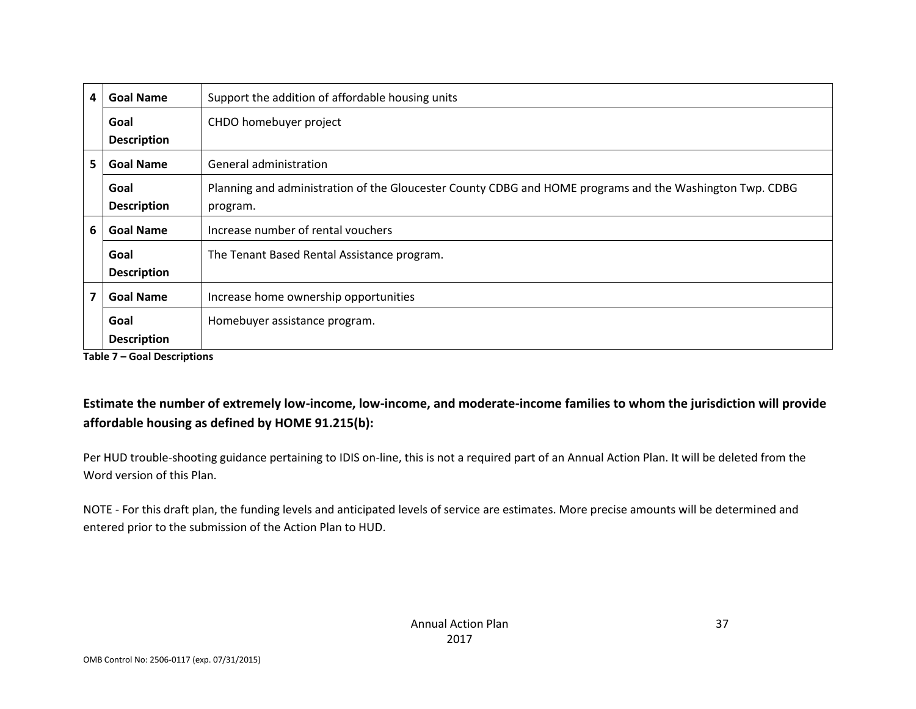| 4 | <b>Goal Name</b>           | Support the addition of affordable housing units                                                                     |  |  |  |  |
|---|----------------------------|----------------------------------------------------------------------------------------------------------------------|--|--|--|--|
|   | Goal<br><b>Description</b> | CHDO homebuyer project                                                                                               |  |  |  |  |
| 5 | <b>Goal Name</b>           | General administration                                                                                               |  |  |  |  |
|   | Goal<br><b>Description</b> | Planning and administration of the Gloucester County CDBG and HOME programs and the Washington Twp. CDBG<br>program. |  |  |  |  |
| 6 | <b>Goal Name</b>           | Increase number of rental vouchers                                                                                   |  |  |  |  |
|   | Goal<br><b>Description</b> | The Tenant Based Rental Assistance program.                                                                          |  |  |  |  |
|   | <b>Goal Name</b>           | Increase home ownership opportunities                                                                                |  |  |  |  |
|   | Goal<br><b>Description</b> | Homebuyer assistance program.                                                                                        |  |  |  |  |

**Table 7 – Goal Descriptions**

# **Estimate the number of extremely low-income, low-income, and moderate-income families to whom the jurisdiction will provide affordable housing as defined by HOME 91.215(b):**

Per HUD trouble-shooting guidance pertaining to IDIS on-line, this is not a required part of an Annual Action Plan. It will be deleted from the Word version of this Plan.

NOTE - For this draft plan, the funding levels and anticipated levels of service are estimates. More precise amounts will be determined and entered prior to the submission of the Action Plan to HUD.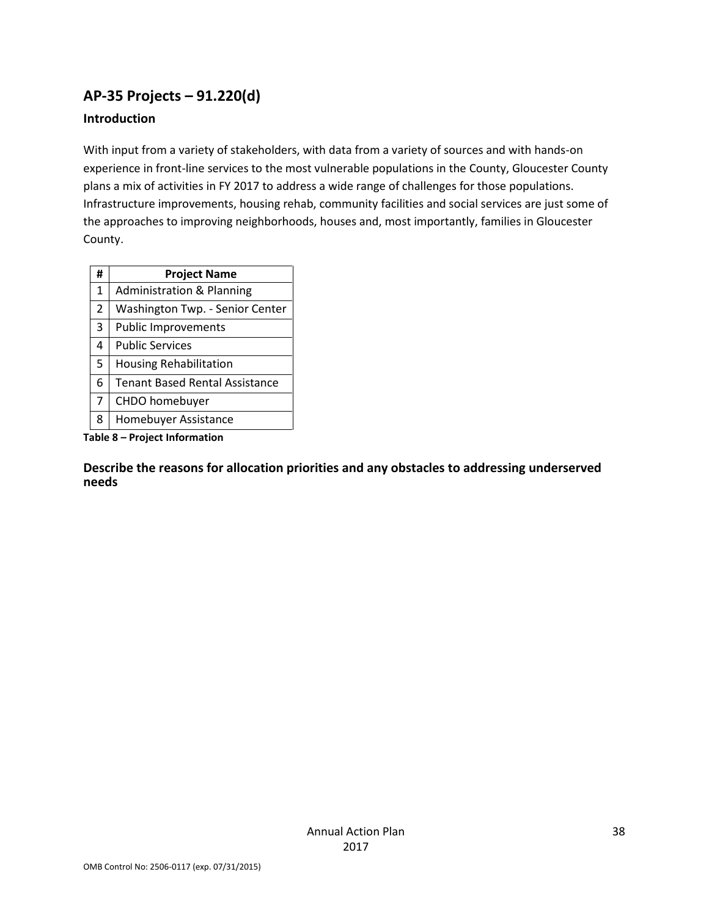# **AP-35 Projects – 91.220(d)**

#### **Introduction**

With input from a variety of stakeholders, with data from a variety of sources and with hands-on experience in front-line services to the most vulnerable populations in the County, Gloucester County plans a mix of activities in FY 2017 to address a wide range of challenges for those populations. Infrastructure improvements, housing rehab, community facilities and social services are just some of the approaches to improving neighborhoods, houses and, most importantly, families in Gloucester County.

| #              | <b>Project Name</b>                   |
|----------------|---------------------------------------|
| 1              | <b>Administration &amp; Planning</b>  |
| $\overline{2}$ | Washington Twp. - Senior Center       |
| 3              | <b>Public Improvements</b>            |
| 4              | <b>Public Services</b>                |
| 5              | <b>Housing Rehabilitation</b>         |
| 6              | <b>Tenant Based Rental Assistance</b> |
| 7              | CHDO homebuyer                        |
| 8              | Homebuyer Assistance                  |

**Table 8 – Project Information**

**Describe the reasons for allocation priorities and any obstacles to addressing underserved needs**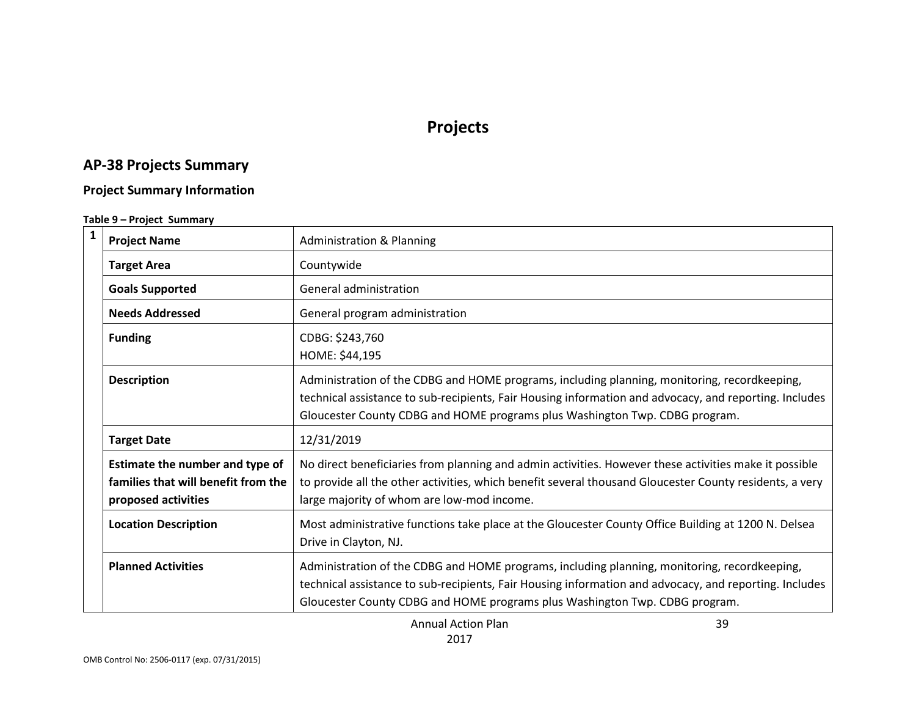# **Projects**

# **AP-38 Projects Summary**

#### **Project Summary Information**

#### **Table 9 – Project Summary**

| $\mathbf{1}$ | <b>Project Name</b>                                                                           | <b>Administration &amp; Planning</b>                                                                                                                                                                                                                                                  |
|--------------|-----------------------------------------------------------------------------------------------|---------------------------------------------------------------------------------------------------------------------------------------------------------------------------------------------------------------------------------------------------------------------------------------|
|              | <b>Target Area</b>                                                                            | Countywide                                                                                                                                                                                                                                                                            |
|              | <b>Goals Supported</b>                                                                        | General administration                                                                                                                                                                                                                                                                |
|              | <b>Needs Addressed</b>                                                                        | General program administration                                                                                                                                                                                                                                                        |
|              | <b>Funding</b>                                                                                | CDBG: \$243,760<br>HOME: \$44,195                                                                                                                                                                                                                                                     |
|              | <b>Description</b>                                                                            | Administration of the CDBG and HOME programs, including planning, monitoring, recordkeeping,<br>technical assistance to sub-recipients, Fair Housing information and advocacy, and reporting. Includes<br>Gloucester County CDBG and HOME programs plus Washington Twp. CDBG program. |
|              | <b>Target Date</b>                                                                            | 12/31/2019                                                                                                                                                                                                                                                                            |
|              | Estimate the number and type of<br>families that will benefit from the<br>proposed activities | No direct beneficiaries from planning and admin activities. However these activities make it possible<br>to provide all the other activities, which benefit several thousand Gloucester County residents, a very<br>large majority of whom are low-mod income.                        |
|              | <b>Location Description</b>                                                                   | Most administrative functions take place at the Gloucester County Office Building at 1200 N. Delsea<br>Drive in Clayton, NJ.                                                                                                                                                          |
|              | <b>Planned Activities</b>                                                                     | Administration of the CDBG and HOME programs, including planning, monitoring, recordkeeping,<br>technical assistance to sub-recipients, Fair Housing information and advocacy, and reporting. Includes<br>Gloucester County CDBG and HOME programs plus Washington Twp. CDBG program. |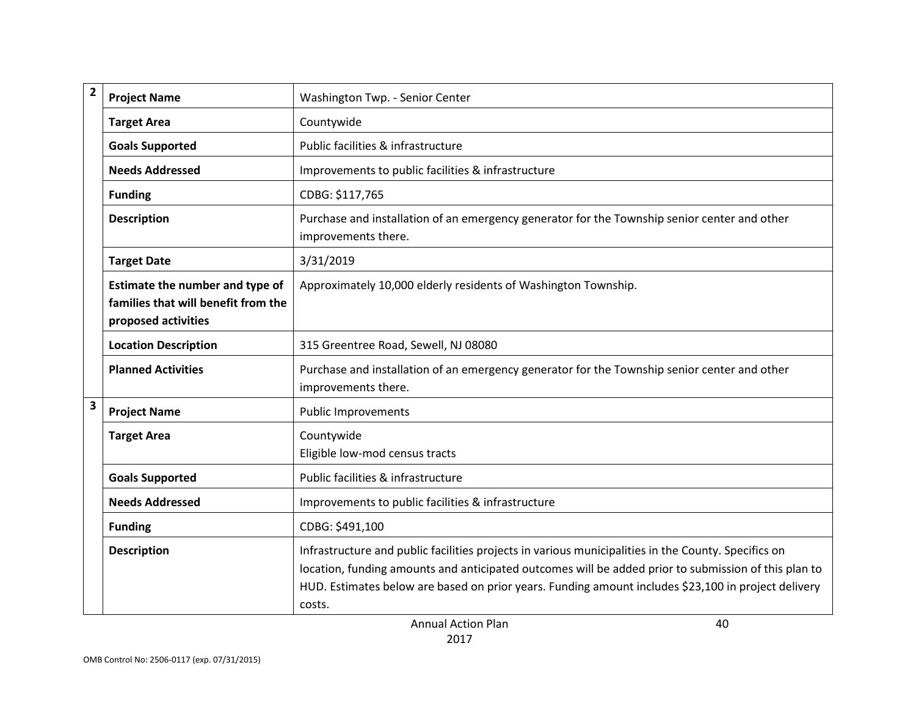| $\mathbf{2}$ | <b>Project Name</b>                                                                           | Washington Twp. - Senior Center                                                                                                                                                                                                                                                                                              |
|--------------|-----------------------------------------------------------------------------------------------|------------------------------------------------------------------------------------------------------------------------------------------------------------------------------------------------------------------------------------------------------------------------------------------------------------------------------|
|              | <b>Target Area</b>                                                                            | Countywide                                                                                                                                                                                                                                                                                                                   |
|              | <b>Goals Supported</b>                                                                        | Public facilities & infrastructure                                                                                                                                                                                                                                                                                           |
|              | <b>Needs Addressed</b>                                                                        | Improvements to public facilities & infrastructure                                                                                                                                                                                                                                                                           |
|              | <b>Funding</b>                                                                                | CDBG: \$117,765                                                                                                                                                                                                                                                                                                              |
|              | <b>Description</b>                                                                            | Purchase and installation of an emergency generator for the Township senior center and other<br>improvements there.                                                                                                                                                                                                          |
|              | <b>Target Date</b>                                                                            | 3/31/2019                                                                                                                                                                                                                                                                                                                    |
|              | Estimate the number and type of<br>families that will benefit from the<br>proposed activities | Approximately 10,000 elderly residents of Washington Township.                                                                                                                                                                                                                                                               |
|              | <b>Location Description</b>                                                                   | 315 Greentree Road, Sewell, NJ 08080                                                                                                                                                                                                                                                                                         |
|              | <b>Planned Activities</b>                                                                     | Purchase and installation of an emergency generator for the Township senior center and other<br>improvements there.                                                                                                                                                                                                          |
| 3            | <b>Project Name</b>                                                                           | <b>Public Improvements</b>                                                                                                                                                                                                                                                                                                   |
|              | <b>Target Area</b>                                                                            | Countywide<br>Eligible low-mod census tracts                                                                                                                                                                                                                                                                                 |
|              | <b>Goals Supported</b>                                                                        | Public facilities & infrastructure                                                                                                                                                                                                                                                                                           |
|              | <b>Needs Addressed</b>                                                                        | Improvements to public facilities & infrastructure                                                                                                                                                                                                                                                                           |
|              | <b>Funding</b>                                                                                | CDBG: \$491,100                                                                                                                                                                                                                                                                                                              |
|              | <b>Description</b>                                                                            | Infrastructure and public facilities projects in various municipalities in the County. Specifics on<br>location, funding amounts and anticipated outcomes will be added prior to submission of this plan to<br>HUD. Estimates below are based on prior years. Funding amount includes \$23,100 in project delivery<br>costs. |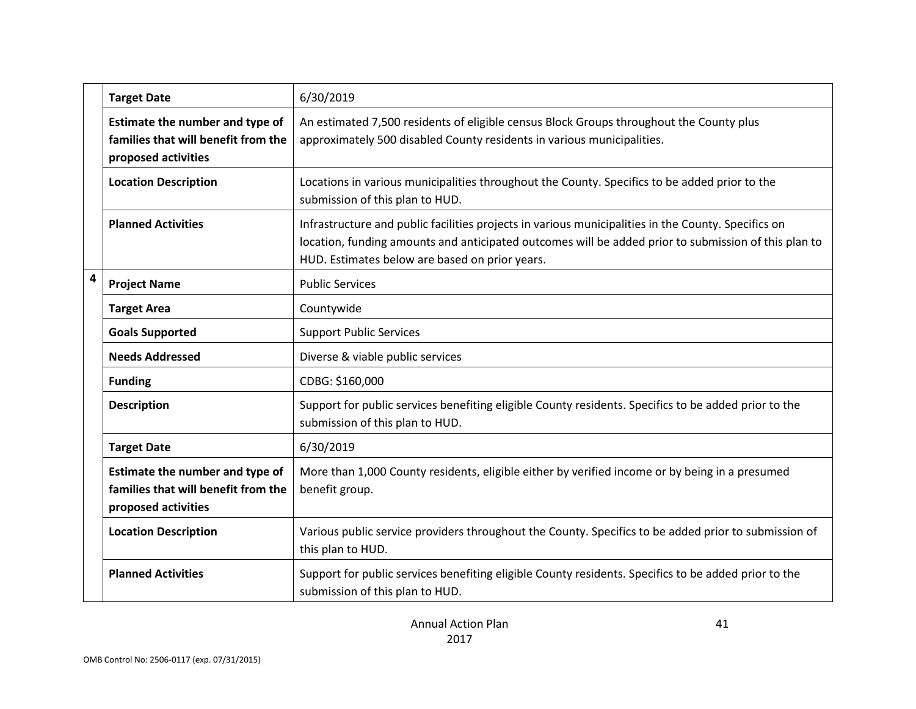|   | <b>Target Date</b>                                                                            | 6/30/2019                                                                                                                                                                                                                                                     |
|---|-----------------------------------------------------------------------------------------------|---------------------------------------------------------------------------------------------------------------------------------------------------------------------------------------------------------------------------------------------------------------|
|   | Estimate the number and type of<br>families that will benefit from the<br>proposed activities | An estimated 7,500 residents of eligible census Block Groups throughout the County plus<br>approximately 500 disabled County residents in various municipalities.                                                                                             |
|   | <b>Location Description</b>                                                                   | Locations in various municipalities throughout the County. Specifics to be added prior to the<br>submission of this plan to HUD.                                                                                                                              |
|   | <b>Planned Activities</b>                                                                     | Infrastructure and public facilities projects in various municipalities in the County. Specifics on<br>location, funding amounts and anticipated outcomes will be added prior to submission of this plan to<br>HUD. Estimates below are based on prior years. |
| 4 | <b>Project Name</b>                                                                           | <b>Public Services</b>                                                                                                                                                                                                                                        |
|   | <b>Target Area</b>                                                                            | Countywide                                                                                                                                                                                                                                                    |
|   | <b>Goals Supported</b>                                                                        | <b>Support Public Services</b>                                                                                                                                                                                                                                |
|   | <b>Needs Addressed</b>                                                                        | Diverse & viable public services                                                                                                                                                                                                                              |
|   | <b>Funding</b>                                                                                | CDBG: \$160,000                                                                                                                                                                                                                                               |
|   | <b>Description</b>                                                                            | Support for public services benefiting eligible County residents. Specifics to be added prior to the<br>submission of this plan to HUD.                                                                                                                       |
|   | <b>Target Date</b>                                                                            | 6/30/2019                                                                                                                                                                                                                                                     |
|   | Estimate the number and type of<br>families that will benefit from the<br>proposed activities | More than 1,000 County residents, eligible either by verified income or by being in a presumed<br>benefit group.                                                                                                                                              |
|   | <b>Location Description</b>                                                                   | Various public service providers throughout the County. Specifics to be added prior to submission of<br>this plan to HUD.                                                                                                                                     |
|   | <b>Planned Activities</b>                                                                     | Support for public services benefiting eligible County residents. Specifics to be added prior to the<br>submission of this plan to HUD.                                                                                                                       |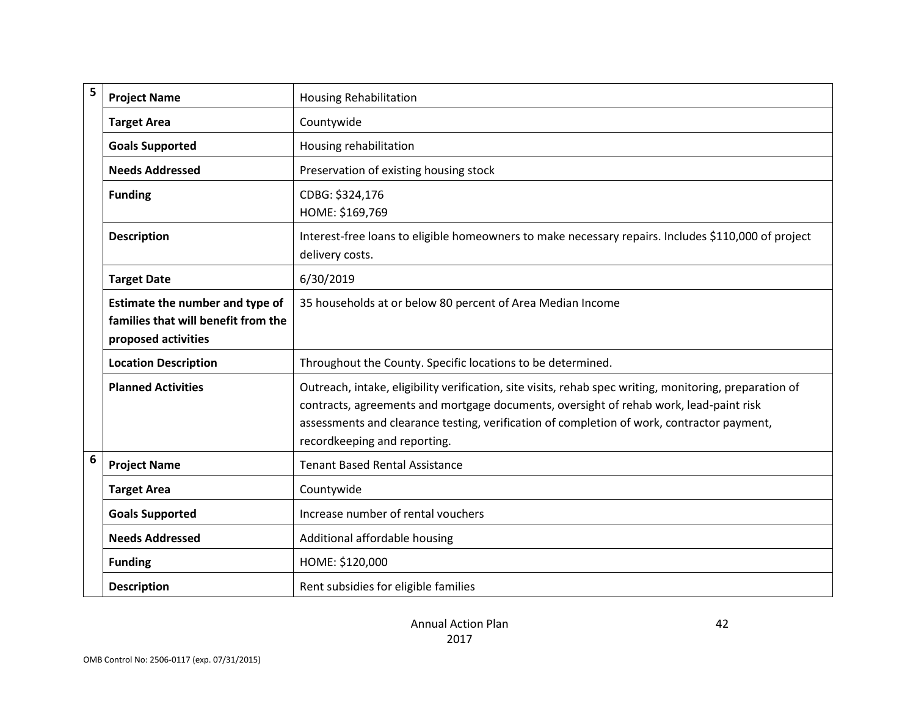| 5 | <b>Project Name</b>                                                                           | <b>Housing Rehabilitation</b>                                                                                                                                                                                                                                                                                                   |
|---|-----------------------------------------------------------------------------------------------|---------------------------------------------------------------------------------------------------------------------------------------------------------------------------------------------------------------------------------------------------------------------------------------------------------------------------------|
|   | <b>Target Area</b>                                                                            | Countywide                                                                                                                                                                                                                                                                                                                      |
|   | <b>Goals Supported</b>                                                                        | Housing rehabilitation                                                                                                                                                                                                                                                                                                          |
|   | <b>Needs Addressed</b>                                                                        | Preservation of existing housing stock                                                                                                                                                                                                                                                                                          |
|   | <b>Funding</b>                                                                                | CDBG: \$324,176<br>HOME: \$169,769                                                                                                                                                                                                                                                                                              |
|   | <b>Description</b>                                                                            | Interest-free loans to eligible homeowners to make necessary repairs. Includes \$110,000 of project<br>delivery costs.                                                                                                                                                                                                          |
|   | <b>Target Date</b>                                                                            | 6/30/2019                                                                                                                                                                                                                                                                                                                       |
|   | Estimate the number and type of<br>families that will benefit from the<br>proposed activities | 35 households at or below 80 percent of Area Median Income                                                                                                                                                                                                                                                                      |
|   | <b>Location Description</b>                                                                   | Throughout the County. Specific locations to be determined.                                                                                                                                                                                                                                                                     |
|   | <b>Planned Activities</b>                                                                     | Outreach, intake, eligibility verification, site visits, rehab spec writing, monitoring, preparation of<br>contracts, agreements and mortgage documents, oversight of rehab work, lead-paint risk<br>assessments and clearance testing, verification of completion of work, contractor payment,<br>recordkeeping and reporting. |
| 6 | <b>Project Name</b>                                                                           | <b>Tenant Based Rental Assistance</b>                                                                                                                                                                                                                                                                                           |
|   | <b>Target Area</b>                                                                            | Countywide                                                                                                                                                                                                                                                                                                                      |
|   | <b>Goals Supported</b>                                                                        | Increase number of rental vouchers                                                                                                                                                                                                                                                                                              |
|   | <b>Needs Addressed</b>                                                                        | Additional affordable housing                                                                                                                                                                                                                                                                                                   |
|   | <b>Funding</b>                                                                                | HOME: \$120,000                                                                                                                                                                                                                                                                                                                 |
|   | <b>Description</b>                                                                            | Rent subsidies for eligible families                                                                                                                                                                                                                                                                                            |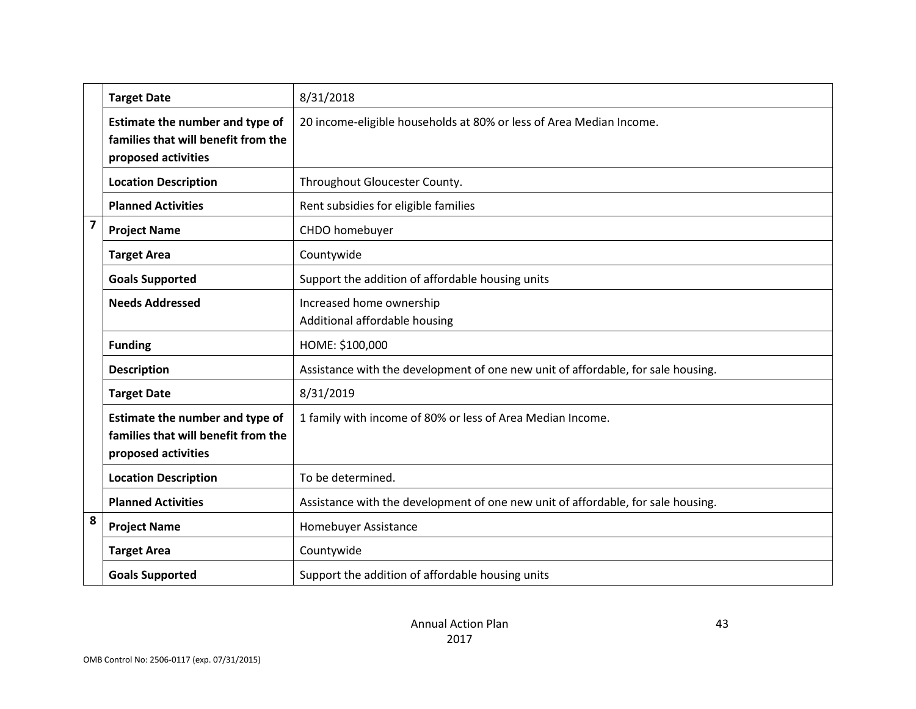|                | <b>Target Date</b>                                                                            | 8/31/2018                                                                        |
|----------------|-----------------------------------------------------------------------------------------------|----------------------------------------------------------------------------------|
|                | Estimate the number and type of<br>families that will benefit from the<br>proposed activities | 20 income-eligible households at 80% or less of Area Median Income.              |
|                | <b>Location Description</b>                                                                   | Throughout Gloucester County.                                                    |
|                | <b>Planned Activities</b>                                                                     | Rent subsidies for eligible families                                             |
| $\overline{7}$ | <b>Project Name</b>                                                                           | CHDO homebuyer                                                                   |
|                | <b>Target Area</b>                                                                            | Countywide                                                                       |
|                | <b>Goals Supported</b>                                                                        | Support the addition of affordable housing units                                 |
|                | <b>Needs Addressed</b>                                                                        | Increased home ownership<br>Additional affordable housing                        |
|                | <b>Funding</b>                                                                                | HOME: \$100,000                                                                  |
|                | <b>Description</b>                                                                            | Assistance with the development of one new unit of affordable, for sale housing. |
|                | <b>Target Date</b>                                                                            | 8/31/2019                                                                        |
|                | Estimate the number and type of<br>families that will benefit from the<br>proposed activities | 1 family with income of 80% or less of Area Median Income.                       |
|                | <b>Location Description</b>                                                                   | To be determined.                                                                |
|                | <b>Planned Activities</b>                                                                     | Assistance with the development of one new unit of affordable, for sale housing. |
| 8              | <b>Project Name</b>                                                                           | Homebuyer Assistance                                                             |
|                | <b>Target Area</b>                                                                            | Countywide                                                                       |
|                | <b>Goals Supported</b>                                                                        | Support the addition of affordable housing units                                 |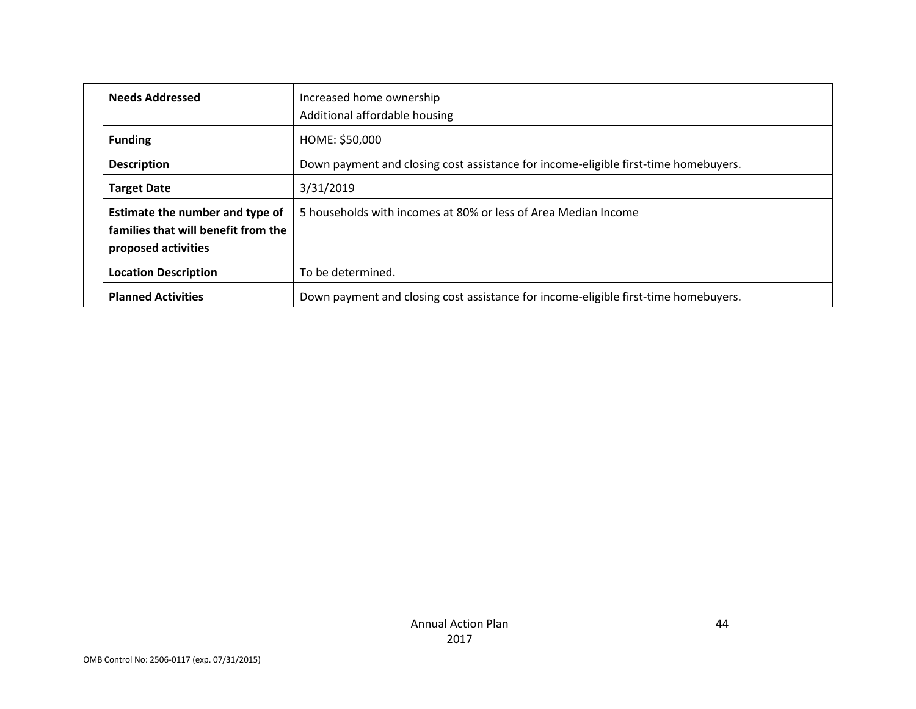| <b>Needs Addressed</b>                                                                        | Increased home ownership                                                            |
|-----------------------------------------------------------------------------------------------|-------------------------------------------------------------------------------------|
|                                                                                               | Additional affordable housing                                                       |
| <b>Funding</b>                                                                                | HOME: \$50,000                                                                      |
| <b>Description</b>                                                                            | Down payment and closing cost assistance for income-eligible first-time homebuyers. |
| <b>Target Date</b>                                                                            | 3/31/2019                                                                           |
| Estimate the number and type of<br>families that will benefit from the<br>proposed activities | 5 households with incomes at 80% or less of Area Median Income                      |
| <b>Location Description</b>                                                                   | To be determined.                                                                   |
| <b>Planned Activities</b>                                                                     | Down payment and closing cost assistance for income-eligible first-time homebuyers. |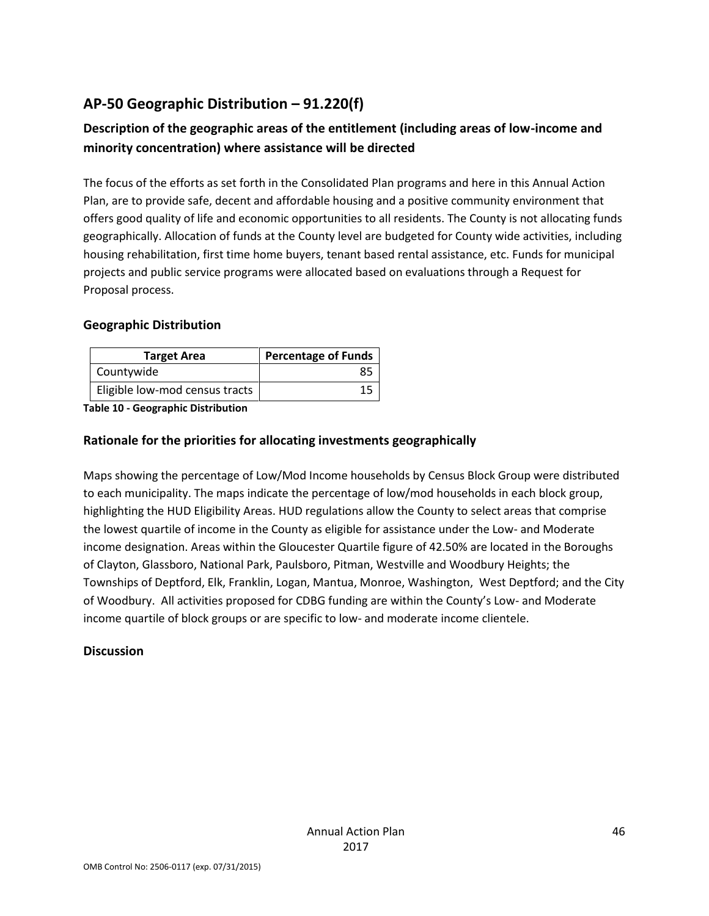# **AP-50 Geographic Distribution – 91.220(f)**

# **Description of the geographic areas of the entitlement (including areas of low-income and minority concentration) where assistance will be directed**

The focus of the efforts as set forth in the Consolidated Plan programs and here in this Annual Action Plan, are to provide safe, decent and affordable housing and a positive community environment that offers good quality of life and economic opportunities to all residents. The County is not allocating funds geographically. Allocation of funds at the County level are budgeted for County wide activities, including housing rehabilitation, first time home buyers, tenant based rental assistance, etc. Funds for municipal projects and public service programs were allocated based on evaluations through a Request for Proposal process.

#### **Geographic Distribution**

| <b>Target Area</b>             | <b>Percentage of Funds</b> |
|--------------------------------|----------------------------|
| Countywide                     | 85                         |
| Eligible low-mod census tracts |                            |

**Table 10 - Geographic Distribution** 

#### **Rationale for the priorities for allocating investments geographically**

Maps showing the percentage of Low/Mod Income households by Census Block Group were distributed to each municipality. The maps indicate the percentage of low/mod households in each block group, highlighting the HUD Eligibility Areas. HUD regulations allow the County to select areas that comprise the lowest quartile of income in the County as eligible for assistance under the Low- and Moderate income designation. Areas within the Gloucester Quartile figure of 42.50% are located in the Boroughs of Clayton, Glassboro, National Park, Paulsboro, Pitman, Westville and Woodbury Heights; the Townships of Deptford, Elk, Franklin, Logan, Mantua, Monroe, Washington, West Deptford; and the City of Woodbury. All activities proposed for CDBG funding are within the County's Low- and Moderate income quartile of block groups or are specific to low- and moderate income clientele.

#### **Discussion**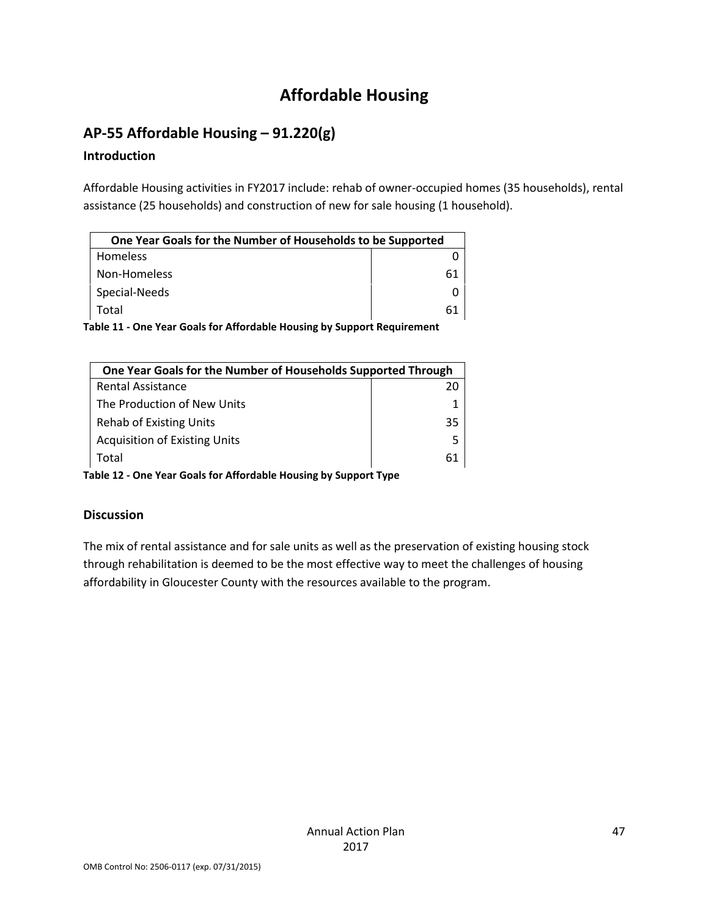# **Affordable Housing**

# **AP-55 Affordable Housing – 91.220(g)**

# **Introduction**

Affordable Housing activities in FY2017 include: rehab of owner-occupied homes (35 households), rental assistance (25 households) and construction of new for sale housing (1 household).

| One Year Goals for the Number of Households to be Supported |    |
|-------------------------------------------------------------|----|
| <b>Homeless</b>                                             |    |
| Non-Homeless                                                | 61 |
| Special-Needs                                               |    |
| Total                                                       | 61 |

**Table 11 - One Year Goals for Affordable Housing by Support Requirement**

| One Year Goals for the Number of Households Supported Through |    |  |
|---------------------------------------------------------------|----|--|
| <b>Rental Assistance</b>                                      | 20 |  |
| The Production of New Units                                   |    |  |
| Rehab of Existing Units                                       | 35 |  |
| <b>Acquisition of Existing Units</b>                          | 5  |  |
| Total                                                         | 61 |  |

**Table 12 - One Year Goals for Affordable Housing by Support Type**

# **Discussion**

The mix of rental assistance and for sale units as well as the preservation of existing housing stock through rehabilitation is deemed to be the most effective way to meet the challenges of housing affordability in Gloucester County with the resources available to the program.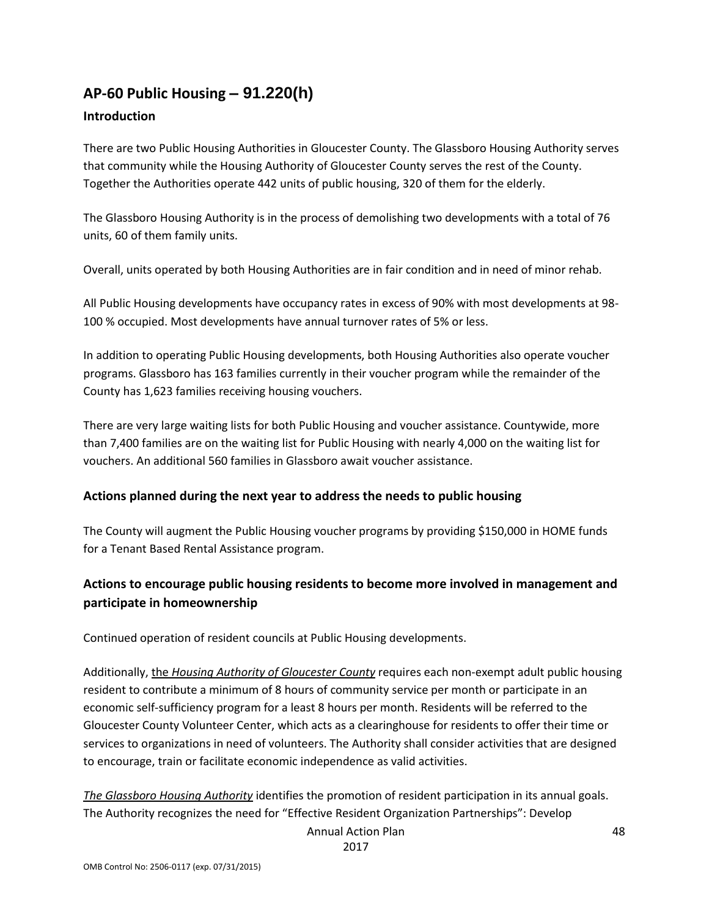# **AP-60 Public Housing** *–* **91.220(h)**

#### **Introduction**

There are two Public Housing Authorities in Gloucester County. The Glassboro Housing Authority serves that community while the Housing Authority of Gloucester County serves the rest of the County. Together the Authorities operate 442 units of public housing, 320 of them for the elderly.

The Glassboro Housing Authority is in the process of demolishing two developments with a total of 76 units, 60 of them family units.

Overall, units operated by both Housing Authorities are in fair condition and in need of minor rehab.

All Public Housing developments have occupancy rates in excess of 90% with most developments at 98- 100 % occupied. Most developments have annual turnover rates of 5% or less.

In addition to operating Public Housing developments, both Housing Authorities also operate voucher programs. Glassboro has 163 families currently in their voucher program while the remainder of the County has 1,623 families receiving housing vouchers.

There are very large waiting lists for both Public Housing and voucher assistance. Countywide, more than 7,400 families are on the waiting list for Public Housing with nearly 4,000 on the waiting list for vouchers. An additional 560 families in Glassboro await voucher assistance.

#### **Actions planned during the next year to address the needs to public housing**

The County will augment the Public Housing voucher programs by providing \$150,000 in HOME funds for a Tenant Based Rental Assistance program.

# **Actions to encourage public housing residents to become more involved in management and participate in homeownership**

Continued operation of resident councils at Public Housing developments.

Additionally, the *Housing Authority of Gloucester County* requires each non-exempt adult public housing resident to contribute a minimum of 8 hours of community service per month or participate in an economic self-sufficiency program for a least 8 hours per month. Residents will be referred to the Gloucester County Volunteer Center, which acts as a clearinghouse for residents to offer their time or services to organizations in need of volunteers. The Authority shall consider activities that are designed to encourage, train or facilitate economic independence as valid activities.

*The Glassboro Housing Authority* identifies the promotion of resident participation in its annual goals. The Authority recognizes the need for "Effective Resident Organization Partnerships": Develop

Annual Action Plan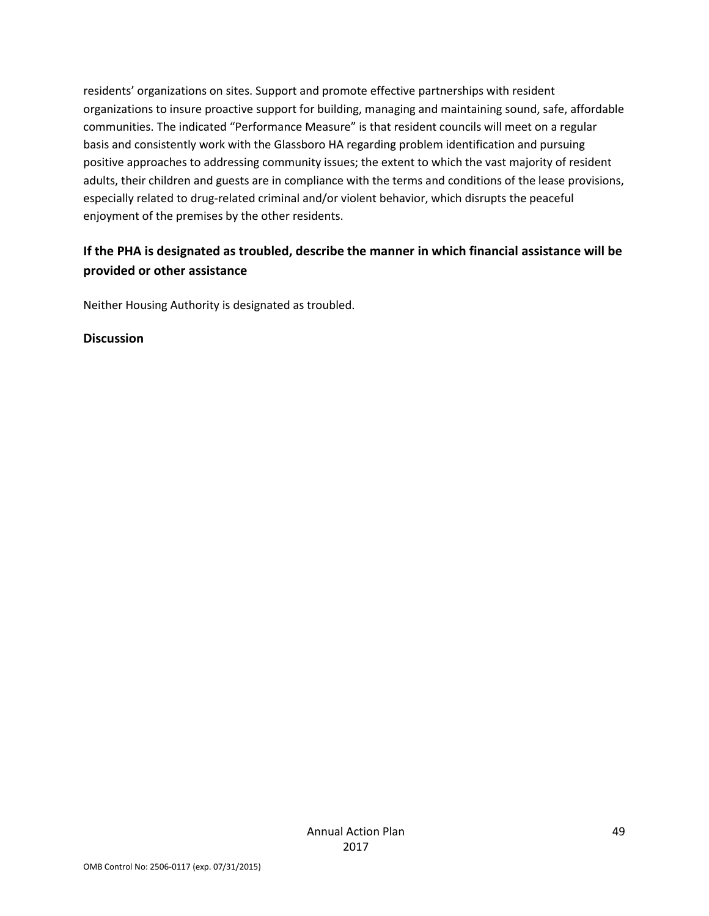residents' organizations on sites. Support and promote effective partnerships with resident organizations to insure proactive support for building, managing and maintaining sound, safe, affordable communities. The indicated "Performance Measure" is that resident councils will meet on a regular basis and consistently work with the Glassboro HA regarding problem identification and pursuing positive approaches to addressing community issues; the extent to which the vast majority of resident adults, their children and guests are in compliance with the terms and conditions of the lease provisions, especially related to drug-related criminal and/or violent behavior, which disrupts the peaceful enjoyment of the premises by the other residents.

# **If the PHA is designated as troubled, describe the manner in which financial assistance will be provided or other assistance**

Neither Housing Authority is designated as troubled.

#### **Discussion**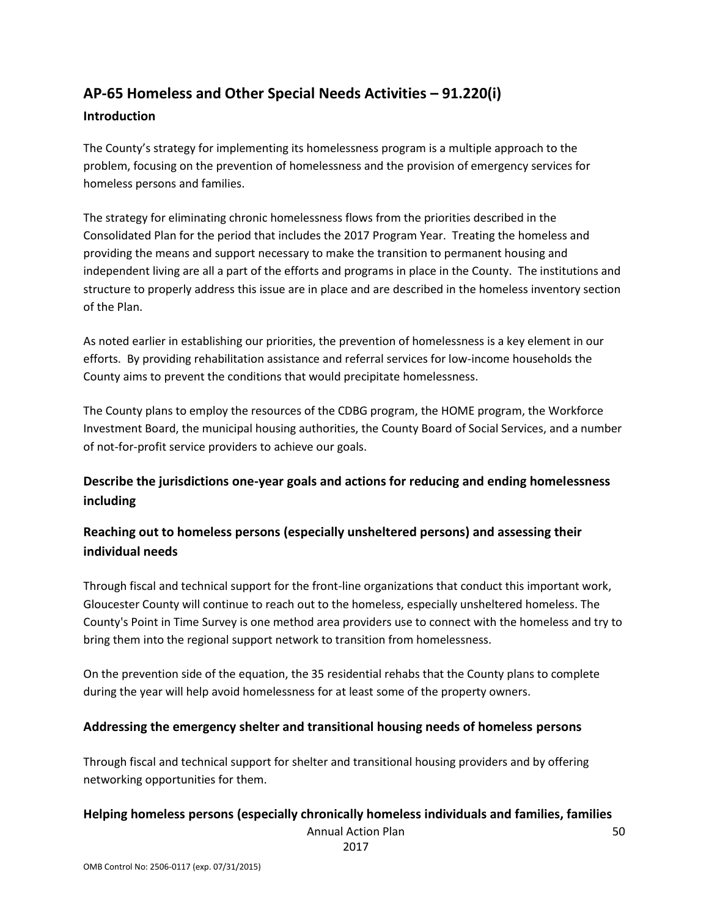# **AP-65 Homeless and Other Special Needs Activities – 91.220(i)**

#### **Introduction**

The County's strategy for implementing its homelessness program is a multiple approach to the problem, focusing on the prevention of homelessness and the provision of emergency services for homeless persons and families.

The strategy for eliminating chronic homelessness flows from the priorities described in the Consolidated Plan for the period that includes the 2017 Program Year. Treating the homeless and providing the means and support necessary to make the transition to permanent housing and independent living are all a part of the efforts and programs in place in the County. The institutions and structure to properly address this issue are in place and are described in the homeless inventory section of the Plan.

As noted earlier in establishing our priorities, the prevention of homelessness is a key element in our efforts. By providing rehabilitation assistance and referral services for low-income households the County aims to prevent the conditions that would precipitate homelessness.

The County plans to employ the resources of the CDBG program, the HOME program, the Workforce Investment Board, the municipal housing authorities, the County Board of Social Services, and a number of not-for-profit service providers to achieve our goals.

# **Describe the jurisdictions one-year goals and actions for reducing and ending homelessness including**

# **Reaching out to homeless persons (especially unsheltered persons) and assessing their individual needs**

Through fiscal and technical support for the front-line organizations that conduct this important work, Gloucester County will continue to reach out to the homeless, especially unsheltered homeless. The County's Point in Time Survey is one method area providers use to connect with the homeless and try to bring them into the regional support network to transition from homelessness.

On the prevention side of the equation, the 35 residential rehabs that the County plans to complete during the year will help avoid homelessness for at least some of the property owners.

#### **Addressing the emergency shelter and transitional housing needs of homeless persons**

Through fiscal and technical support for shelter and transitional housing providers and by offering networking opportunities for them.

#### **Helping homeless persons (especially chronically homeless individuals and families, families**

Annual Action Plan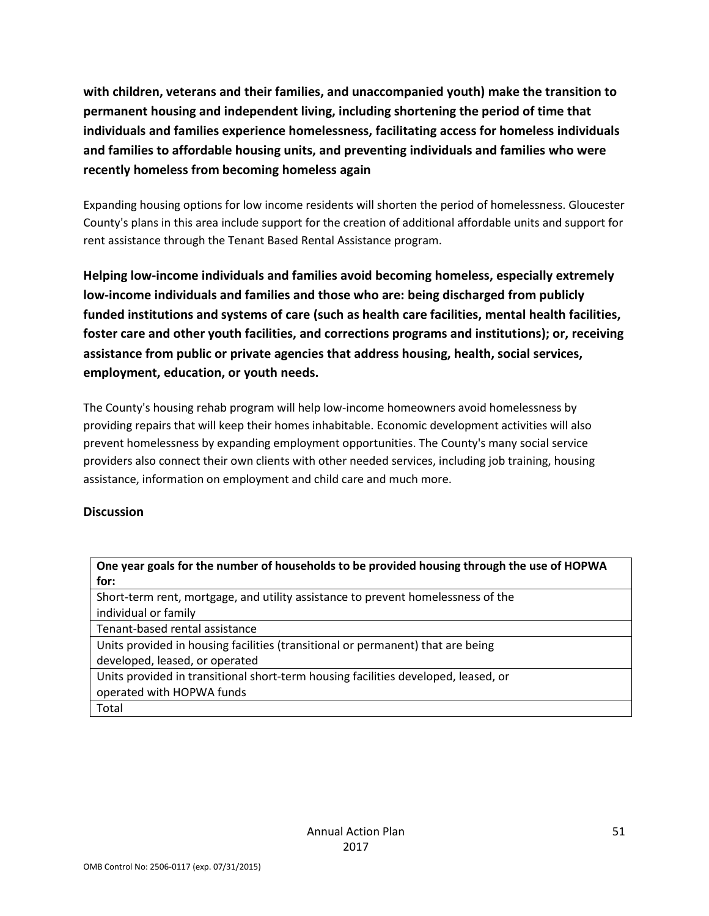**with children, veterans and their families, and unaccompanied youth) make the transition to permanent housing and independent living, including shortening the period of time that individuals and families experience homelessness, facilitating access for homeless individuals and families to affordable housing units, and preventing individuals and families who were recently homeless from becoming homeless again**

Expanding housing options for low income residents will shorten the period of homelessness. Gloucester County's plans in this area include support for the creation of additional affordable units and support for rent assistance through the Tenant Based Rental Assistance program.

**Helping low-income individuals and families avoid becoming homeless, especially extremely low-income individuals and families and those who are: being discharged from publicly funded institutions and systems of care (such as health care facilities, mental health facilities, foster care and other youth facilities, and corrections programs and institutions); or, receiving assistance from public or private agencies that address housing, health, social services, employment, education, or youth needs.**

The County's housing rehab program will help low-income homeowners avoid homelessness by providing repairs that will keep their homes inhabitable. Economic development activities will also prevent homelessness by expanding employment opportunities. The County's many social service providers also connect their own clients with other needed services, including job training, housing assistance, information on employment and child care and much more.

#### **Discussion**

| One year goals for the number of households to be provided housing through the use of HOPWA |  |
|---------------------------------------------------------------------------------------------|--|
| for:                                                                                        |  |
| Short-term rent, mortgage, and utility assistance to prevent homelessness of the            |  |
| individual or family                                                                        |  |
| Tenant-based rental assistance                                                              |  |
| Units provided in housing facilities (transitional or permanent) that are being             |  |
| developed, leased, or operated                                                              |  |
| Units provided in transitional short-term housing facilities developed, leased, or          |  |
| operated with HOPWA funds                                                                   |  |
| Total                                                                                       |  |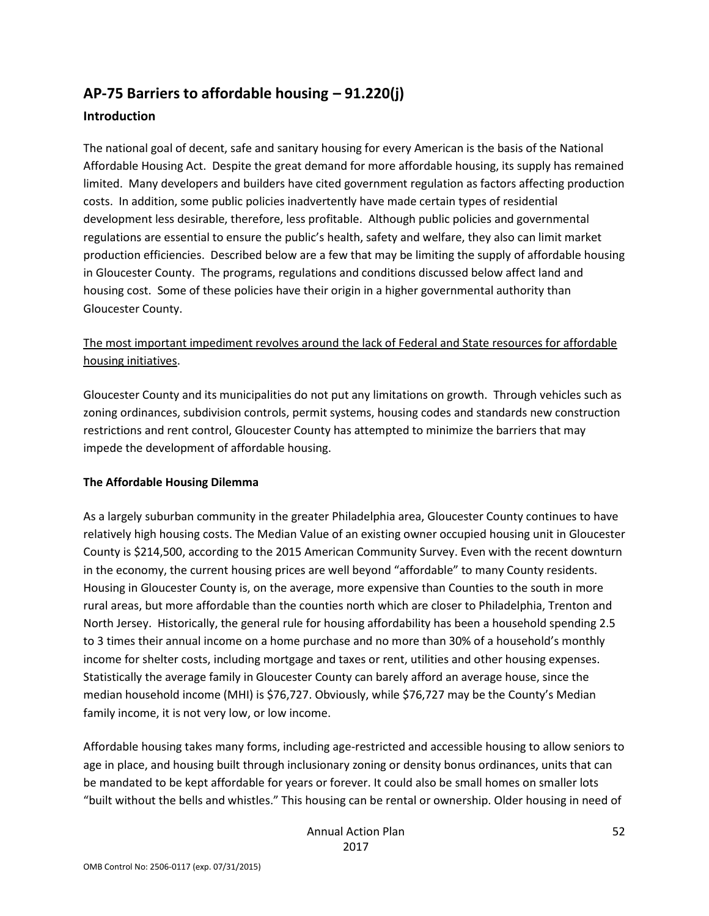# **AP-75 Barriers to affordable housing – 91.220(j)**

#### **Introduction**

The national goal of decent, safe and sanitary housing for every American is the basis of the National Affordable Housing Act. Despite the great demand for more affordable housing, its supply has remained limited. Many developers and builders have cited government regulation as factors affecting production costs. In addition, some public policies inadvertently have made certain types of residential development less desirable, therefore, less profitable. Although public policies and governmental regulations are essential to ensure the public's health, safety and welfare, they also can limit market production efficiencies. Described below are a few that may be limiting the supply of affordable housing in Gloucester County. The programs, regulations and conditions discussed below affect land and housing cost. Some of these policies have their origin in a higher governmental authority than Gloucester County.

#### The most important impediment revolves around the lack of Federal and State resources for affordable housing initiatives.

Gloucester County and its municipalities do not put any limitations on growth. Through vehicles such as zoning ordinances, subdivision controls, permit systems, housing codes and standards new construction restrictions and rent control, Gloucester County has attempted to minimize the barriers that may impede the development of affordable housing.

#### **The Affordable Housing Dilemma**

As a largely suburban community in the greater Philadelphia area, Gloucester County continues to have relatively high housing costs. The Median Value of an existing owner occupied housing unit in Gloucester County is \$214,500, according to the 2015 American Community Survey. Even with the recent downturn in the economy, the current housing prices are well beyond "affordable" to many County residents. Housing in Gloucester County is, on the average, more expensive than Counties to the south in more rural areas, but more affordable than the counties north which are closer to Philadelphia, Trenton and North Jersey. Historically, the general rule for housing affordability has been a household spending 2.5 to 3 times their annual income on a home purchase and no more than 30% of a household's monthly income for shelter costs, including mortgage and taxes or rent, utilities and other housing expenses. Statistically the average family in Gloucester County can barely afford an average house, since the median household income (MHI) is \$76,727. Obviously, while \$76,727 may be the County's Median family income, it is not very low, or low income.

Affordable housing takes many forms, including age-restricted and accessible housing to allow seniors to age in place, and housing built through inclusionary zoning or density bonus ordinances, units that can be mandated to be kept affordable for years or forever. It could also be small homes on smaller lots "built without the bells and whistles." This housing can be rental or ownership. Older housing in need of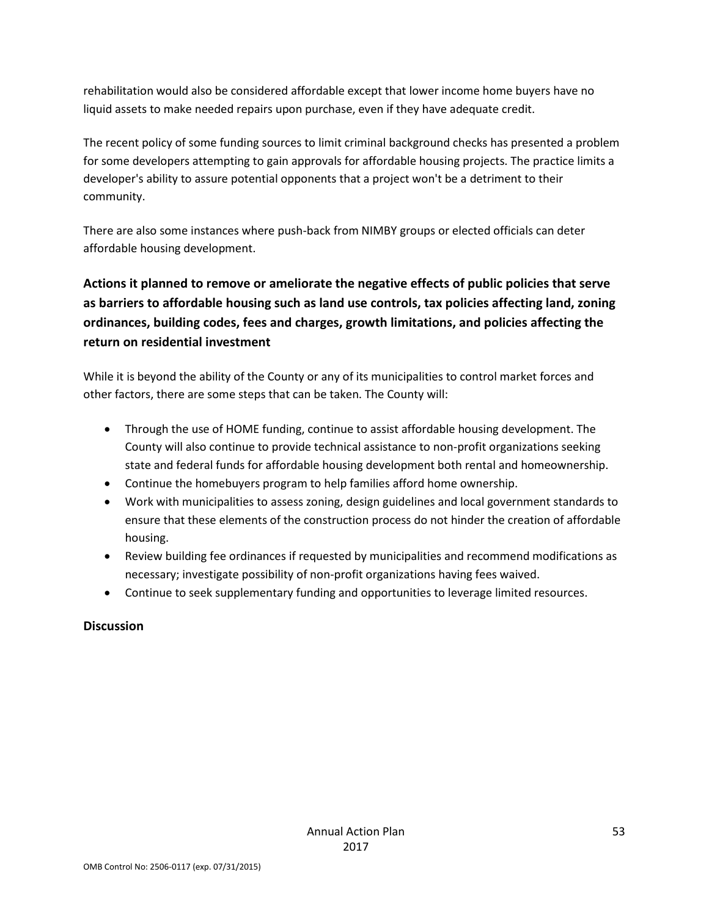rehabilitation would also be considered affordable except that lower income home buyers have no liquid assets to make needed repairs upon purchase, even if they have adequate credit.

The recent policy of some funding sources to limit criminal background checks has presented a problem for some developers attempting to gain approvals for affordable housing projects. The practice limits a developer's ability to assure potential opponents that a project won't be a detriment to their community.

There are also some instances where push-back from NIMBY groups or elected officials can deter affordable housing development.

# **Actions it planned to remove or ameliorate the negative effects of public policies that serve as barriers to affordable housing such as land use controls, tax policies affecting land, zoning ordinances, building codes, fees and charges, growth limitations, and policies affecting the return on residential investment**

While it is beyond the ability of the County or any of its municipalities to control market forces and other factors, there are some steps that can be taken. The County will:

- Through the use of HOME funding, continue to assist affordable housing development. The County will also continue to provide technical assistance to non-profit organizations seeking state and federal funds for affordable housing development both rental and homeownership.
- Continue the homebuyers program to help families afford home ownership.
- Work with municipalities to assess zoning, design guidelines and local government standards to ensure that these elements of the construction process do not hinder the creation of affordable housing.
- Review building fee ordinances if requested by municipalities and recommend modifications as necessary; investigate possibility of non-profit organizations having fees waived.
- Continue to seek supplementary funding and opportunities to leverage limited resources.

# **Discussion**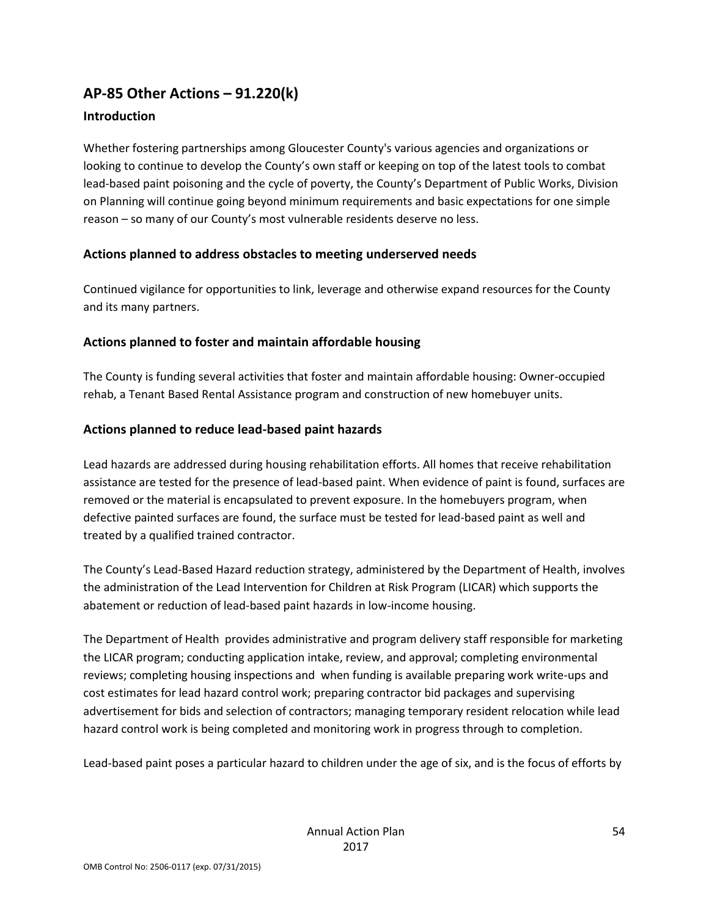# **AP-85 Other Actions – 91.220(k)**

#### **Introduction**

Whether fostering partnerships among Gloucester County's various agencies and organizations or looking to continue to develop the County's own staff or keeping on top of the latest tools to combat lead-based paint poisoning and the cycle of poverty, the County's Department of Public Works, Division on Planning will continue going beyond minimum requirements and basic expectations for one simple reason – so many of our County's most vulnerable residents deserve no less.

#### **Actions planned to address obstacles to meeting underserved needs**

Continued vigilance for opportunities to link, leverage and otherwise expand resources for the County and its many partners.

#### **Actions planned to foster and maintain affordable housing**

The County is funding several activities that foster and maintain affordable housing: Owner-occupied rehab, a Tenant Based Rental Assistance program and construction of new homebuyer units.

#### **Actions planned to reduce lead-based paint hazards**

Lead hazards are addressed during housing rehabilitation efforts. All homes that receive rehabilitation assistance are tested for the presence of lead-based paint. When evidence of paint is found, surfaces are removed or the material is encapsulated to prevent exposure. In the homebuyers program, when defective painted surfaces are found, the surface must be tested for lead-based paint as well and treated by a qualified trained contractor.

The County's Lead-Based Hazard reduction strategy, administered by the Department of Health, involves the administration of the Lead Intervention for Children at Risk Program (LICAR) which supports the abatement or reduction of lead-based paint hazards in low-income housing.

The Department of Health provides administrative and program delivery staff responsible for marketing the LICAR program; conducting application intake, review, and approval; completing environmental reviews; completing housing inspections and when funding is available preparing work write-ups and cost estimates for lead hazard control work; preparing contractor bid packages and supervising advertisement for bids and selection of contractors; managing temporary resident relocation while lead hazard control work is being completed and monitoring work in progress through to completion.

Lead-based paint poses a particular hazard to children under the age of six, and is the focus of efforts by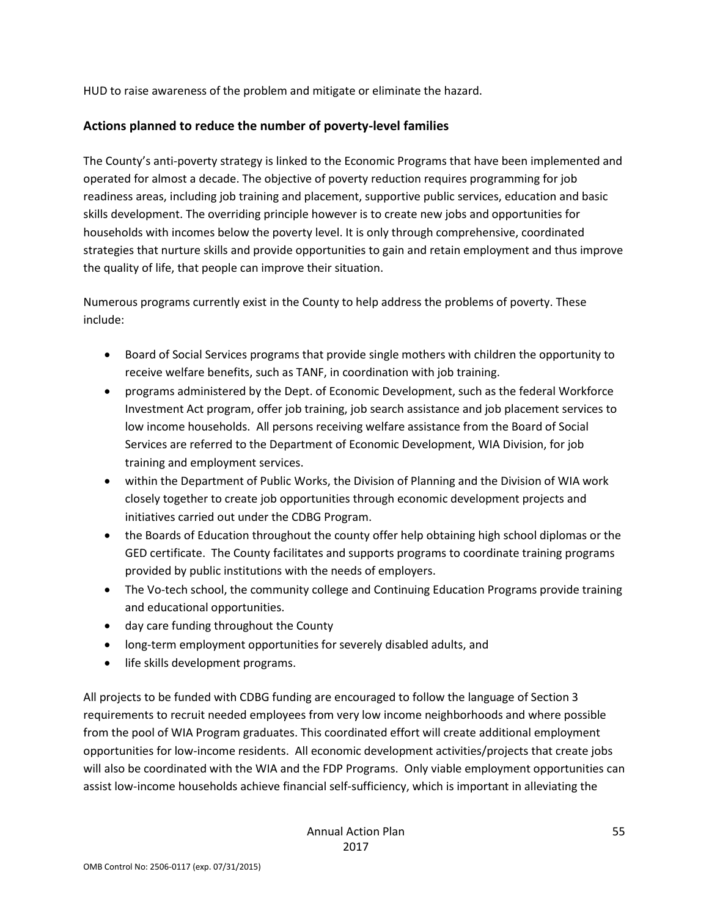HUD to raise awareness of the problem and mitigate or eliminate the hazard.

#### **Actions planned to reduce the number of poverty-level families**

The County's anti-poverty strategy is linked to the Economic Programs that have been implemented and operated for almost a decade. The objective of poverty reduction requires programming for job readiness areas, including job training and placement, supportive public services, education and basic skills development. The overriding principle however is to create new jobs and opportunities for households with incomes below the poverty level. It is only through comprehensive, coordinated strategies that nurture skills and provide opportunities to gain and retain employment and thus improve the quality of life, that people can improve their situation.

Numerous programs currently exist in the County to help address the problems of poverty. These include:

- Board of Social Services programs that provide single mothers with children the opportunity to receive welfare benefits, such as TANF, in coordination with job training.
- programs administered by the Dept. of Economic Development, such as the federal Workforce Investment Act program, offer job training, job search assistance and job placement services to low income households. All persons receiving welfare assistance from the Board of Social Services are referred to the Department of Economic Development, WIA Division, for job training and employment services.
- within the Department of Public Works, the Division of Planning and the Division of WIA work closely together to create job opportunities through economic development projects and initiatives carried out under the CDBG Program.
- the Boards of Education throughout the county offer help obtaining high school diplomas or the GED certificate. The County facilitates and supports programs to coordinate training programs provided by public institutions with the needs of employers.
- The Vo-tech school, the community college and Continuing Education Programs provide training and educational opportunities.
- day care funding throughout the County
- long-term employment opportunities for severely disabled adults, and
- life skills development programs.

All projects to be funded with CDBG funding are encouraged to follow the language of Section 3 requirements to recruit needed employees from very low income neighborhoods and where possible from the pool of WIA Program graduates. This coordinated effort will create additional employment opportunities for low-income residents. All economic development activities/projects that create jobs will also be coordinated with the WIA and the FDP Programs. Only viable employment opportunities can assist low-income households achieve financial self-sufficiency, which is important in alleviating the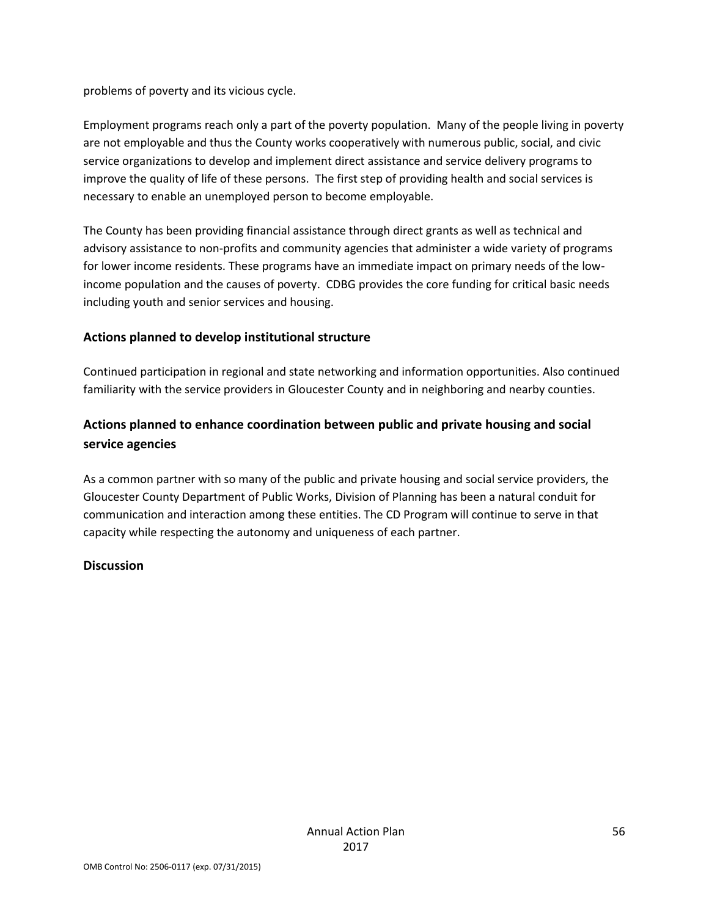problems of poverty and its vicious cycle.

Employment programs reach only a part of the poverty population. Many of the people living in poverty are not employable and thus the County works cooperatively with numerous public, social, and civic service organizations to develop and implement direct assistance and service delivery programs to improve the quality of life of these persons. The first step of providing health and social services is necessary to enable an unemployed person to become employable.

The County has been providing financial assistance through direct grants as well as technical and advisory assistance to non-profits and community agencies that administer a wide variety of programs for lower income residents. These programs have an immediate impact on primary needs of the lowincome population and the causes of poverty. CDBG provides the core funding for critical basic needs including youth and senior services and housing.

#### **Actions planned to develop institutional structure**

Continued participation in regional and state networking and information opportunities. Also continued familiarity with the service providers in Gloucester County and in neighboring and nearby counties.

# **Actions planned to enhance coordination between public and private housing and social service agencies**

As a common partner with so many of the public and private housing and social service providers, the Gloucester County Department of Public Works, Division of Planning has been a natural conduit for communication and interaction among these entities. The CD Program will continue to serve in that capacity while respecting the autonomy and uniqueness of each partner.

#### **Discussion**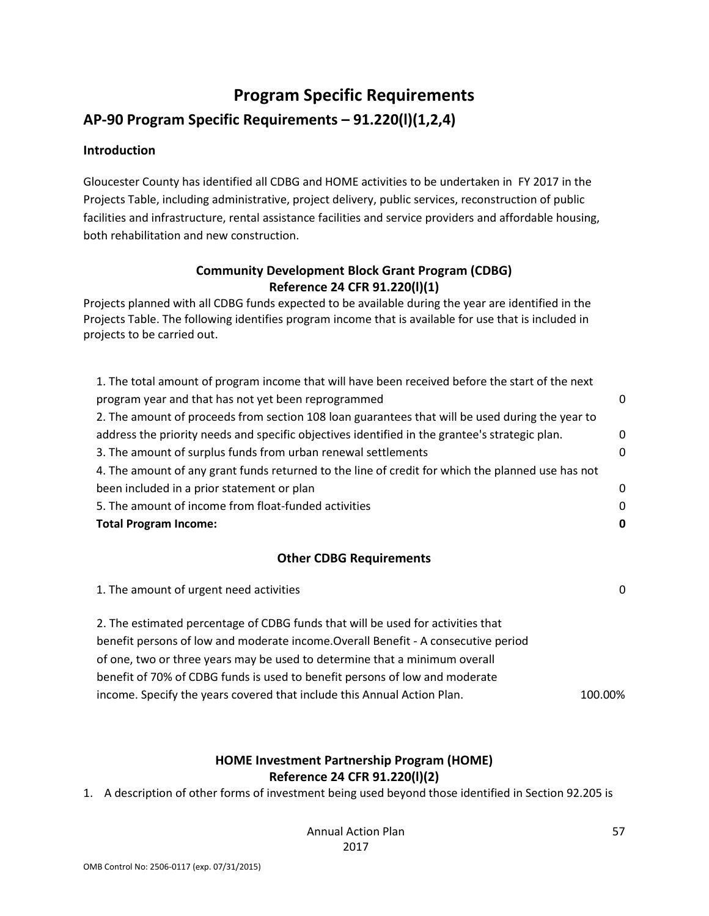# **Program Specific Requirements**

# **AP-90 Program Specific Requirements – 91.220(l)(1,2,4)**

#### **Introduction**

Gloucester County has identified all CDBG and HOME activities to be undertaken in FY 2017 in the Projects Table, including administrative, project delivery, public services, reconstruction of public facilities and infrastructure, rental assistance facilities and service providers and affordable housing, both rehabilitation and new construction.

### **Community Development Block Grant Program (CDBG) Reference 24 CFR 91.220(l)(1)**

Projects planned with all CDBG funds expected to be available during the year are identified in the Projects Table. The following identifies program income that is available for use that is included in projects to be carried out.

| 1. The total amount of program income that will have been received before the start of the next   |   |
|---------------------------------------------------------------------------------------------------|---|
| program year and that has not yet been reprogrammed                                               | ∩ |
| 2. The amount of proceeds from section 108 loan guarantees that will be used during the year to   |   |
| address the priority needs and specific objectives identified in the grantee's strategic plan.    | 0 |
| 3. The amount of surplus funds from urban renewal settlements                                     | 0 |
| 4. The amount of any grant funds returned to the line of credit for which the planned use has not |   |
| been included in a prior statement or plan                                                        | 0 |
| 5. The amount of income from float-funded activities                                              | 0 |
| <b>Total Program Income:</b>                                                                      | 0 |

#### **Other CDBG Requirements**

| 1. The amount of urgent need activities                                            | $\Omega$ |
|------------------------------------------------------------------------------------|----------|
| 2. The estimated percentage of CDBG funds that will be used for activities that    |          |
| benefit persons of low and moderate income. Overall Benefit - A consecutive period |          |
| of one, two or three years may be used to determine that a minimum overall         |          |
| benefit of 70% of CDBG funds is used to benefit persons of low and moderate        |          |
| income. Specify the years covered that include this Annual Action Plan.            | 100.00%  |

#### **HOME Investment Partnership Program (HOME) Reference 24 CFR 91.220(l)(2)**

1. A description of other forms of investment being used beyond those identified in Section 92.205 is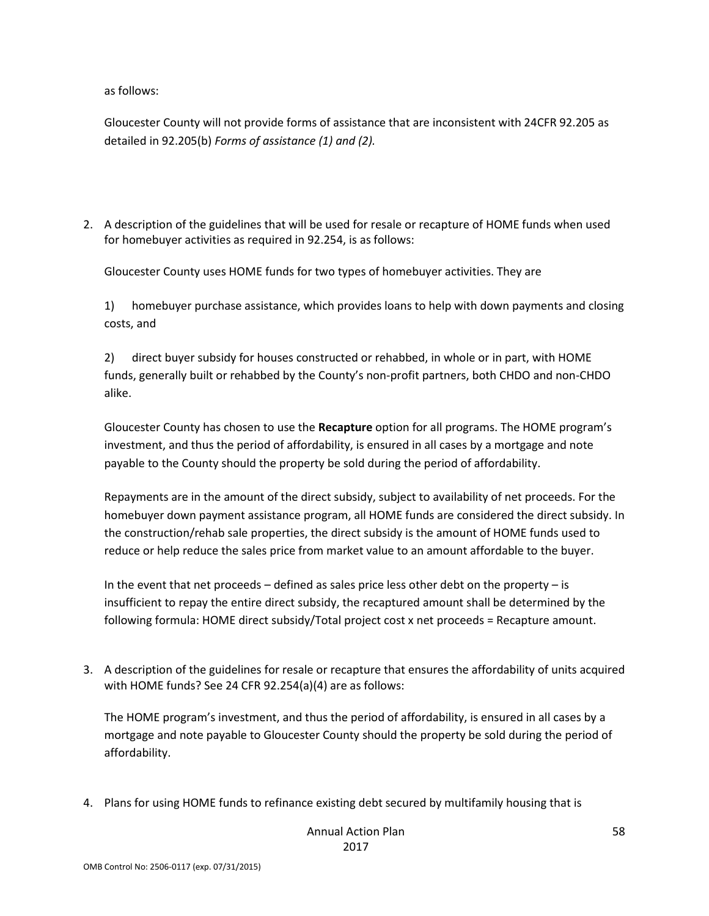as follows:

Gloucester County will not provide forms of assistance that are inconsistent with 24CFR 92.205 as detailed in 92.205(b) *Forms of assistance (1) and (2).*

2. A description of the guidelines that will be used for resale or recapture of HOME funds when used for homebuyer activities as required in 92.254, is as follows:

Gloucester County uses HOME funds for two types of homebuyer activities. They are

1) homebuyer purchase assistance, which provides loans to help with down payments and closing costs, and

2) direct buyer subsidy for houses constructed or rehabbed, in whole or in part, with HOME funds, generally built or rehabbed by the County's non-profit partners, both CHDO and non-CHDO alike.

Gloucester County has chosen to use the **Recapture** option for all programs. The HOME program's investment, and thus the period of affordability, is ensured in all cases by a mortgage and note payable to the County should the property be sold during the period of affordability.

Repayments are in the amount of the direct subsidy, subject to availability of net proceeds. For the homebuyer down payment assistance program, all HOME funds are considered the direct subsidy. In the construction/rehab sale properties, the direct subsidy is the amount of HOME funds used to reduce or help reduce the sales price from market value to an amount affordable to the buyer.

In the event that net proceeds – defined as sales price less other debt on the property – is insufficient to repay the entire direct subsidy, the recaptured amount shall be determined by the following formula: HOME direct subsidy/Total project cost x net proceeds = Recapture amount.

3. A description of the guidelines for resale or recapture that ensures the affordability of units acquired with HOME funds? See 24 CFR 92.254(a)(4) are as follows:

The HOME program's investment, and thus the period of affordability, is ensured in all cases by a mortgage and note payable to Gloucester County should the property be sold during the period of affordability.

4. Plans for using HOME funds to refinance existing debt secured by multifamily housing that is